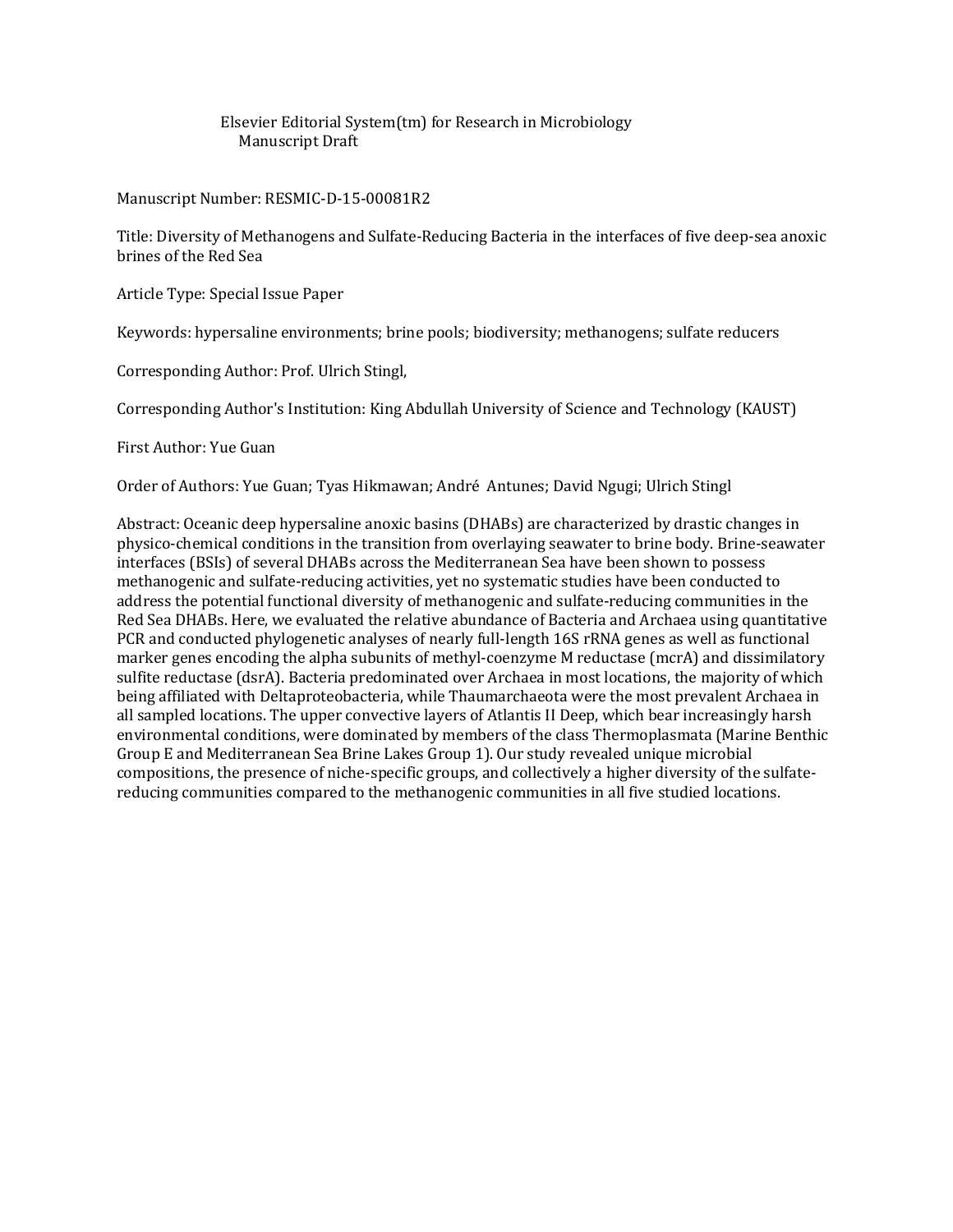Elsevier Editorial System(tm) for Research in Microbiology Manuscript Draft

Manuscript Number: RESMIC-D-15-00081R2

Title: Diversity of Methanogens and Sulfate-Reducing Bacteria in the interfaces of five deep-sea anoxic brines of the Red Sea

Article Type: Special Issue Paper

Keywords: hypersaline environments; brine pools; biodiversity; methanogens; sulfate reducers

Corresponding Author: Prof. Ulrich Stingl,

Corresponding Author's Institution: King Abdullah University of Science and Technology (KAUST)

First Author: Yue Guan

Order of Authors: Yue Guan; Tyas Hikmawan; André Antunes; David Ngugi; Ulrich Stingl

Abstract: Oceanic deep hypersaline anoxic basins (DHABs) are characterized by drastic changes in physico-chemical conditions in the transition from overlaying seawater to brine body. Brine-seawater interfaces (BSIs) of several DHABs across the Mediterranean Sea have been shown to possess methanogenic and sulfate-reducing activities, yet no systematic studies have been conducted to address the potential functional diversity of methanogenic and sulfate-reducing communities in the Red Sea DHABs. Here, we evaluated the relative abundance of Bacteria and Archaea using quantitative PCR and conducted phylogenetic analyses of nearly full-length 16S rRNA genes as well as functional marker genes encoding the alpha subunits of methyl-coenzyme M reductase (mcrA) and dissimilatory sulfite reductase (dsrA). Bacteria predominated over Archaea in most locations, the majority of which being affiliated with Deltaproteobacteria, while Thaumarchaeota were the most prevalent Archaea in all sampled locations. The upper convective layers of Atlantis II Deep, which bear increasingly harsh environmental conditions, were dominated by members of the class Thermoplasmata (Marine Benthic Group E and Mediterranean Sea Brine Lakes Group 1). Our study revealed unique microbial compositions, the presence of niche-specific groups, and collectively a higher diversity of the sulfatereducing communities compared to the methanogenic communities in all five studied locations.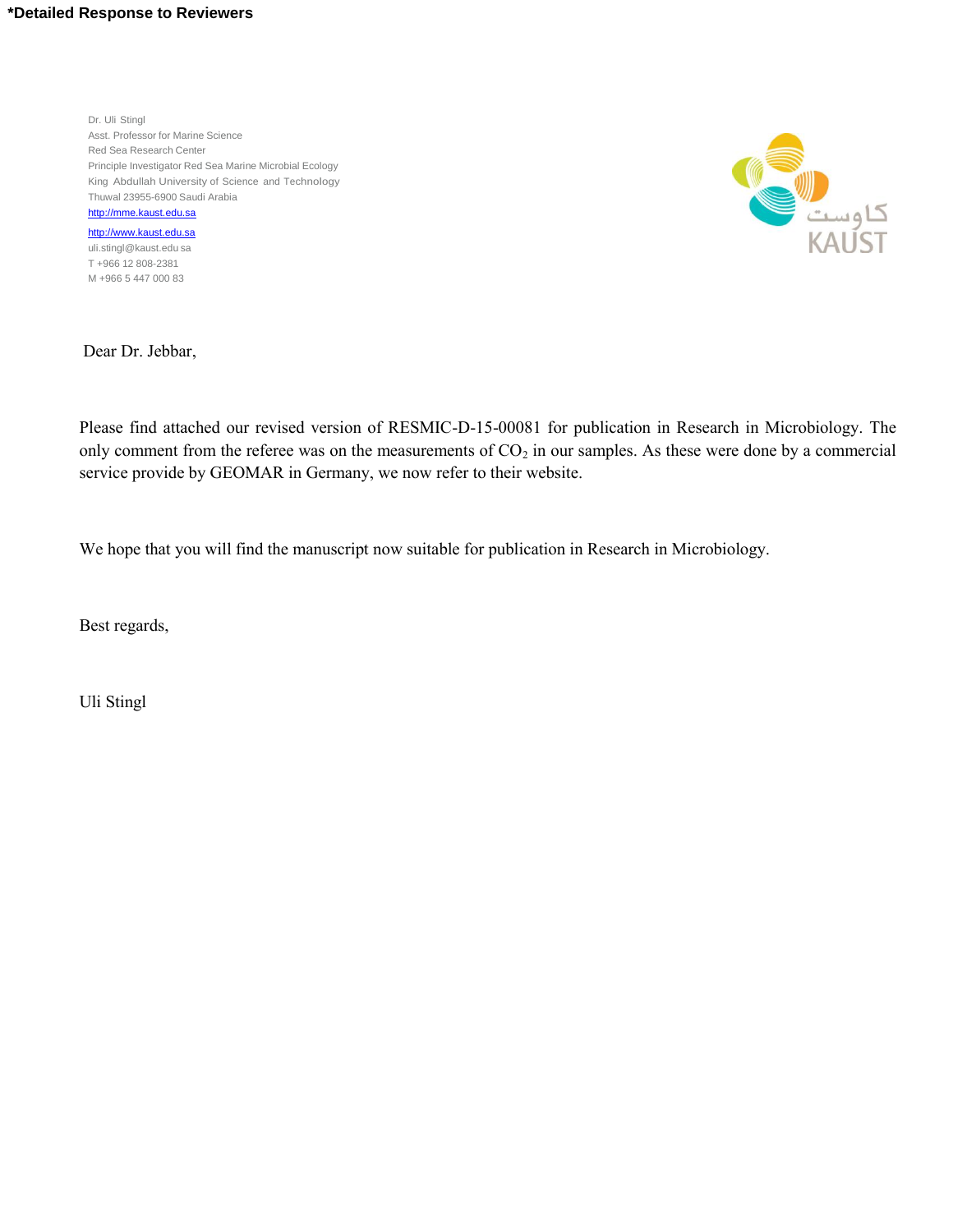#### **\*Detailed Response to Reviewers**

Dr. Uli Stingl Asst. Professor for Marine Science Red Sea Research Center Principle Investigator Red Sea Marine Microbial Ecology King Abdullah University of Science and Technology Thuwal 23955-6900 Saudi Arabia [http://mme.kaust.edu.sa](http://mme.kaust.edu.sa/)

[http://www.kaust.edu.sa](http://mme.kaust.edu.sa/) [uli.stingl@kaust.edu](mailto:uli.stingl@kaust.edu) sa T +966 12 808-2381 M +966 5 447 000 83



Dear Dr. Jebbar,

Please find attached our revised version of RESMIC-D-15-00081 for publication in Research in Microbiology. The only comment from the referee was on the measurements of  $CO<sub>2</sub>$  in our samples. As these were done by a commercial service provide by GEOMAR in Germany, we now refer to their website.

We hope that you will find the manuscript now suitable for publication in Research in Microbiology.

Best regards,

Uli Stingl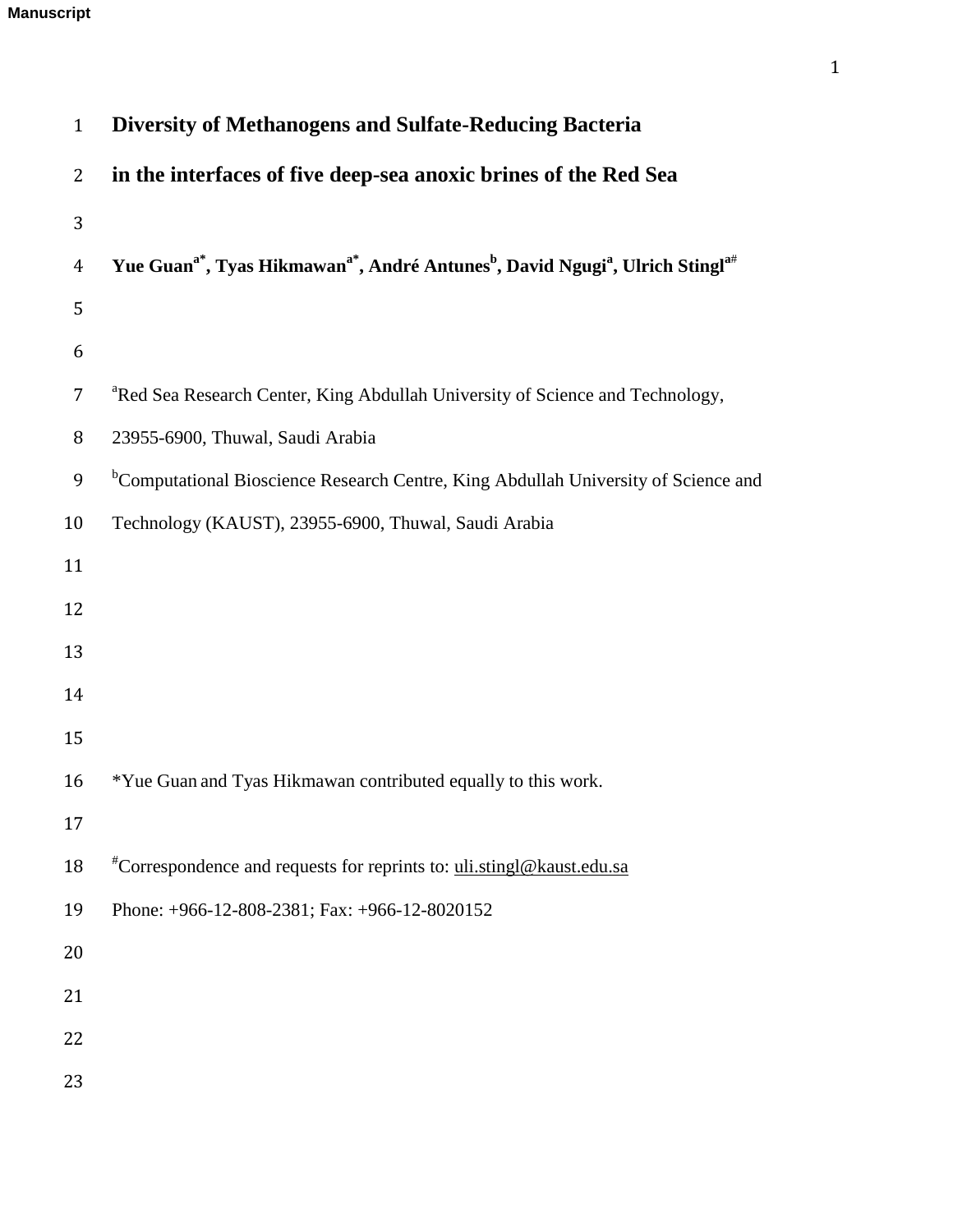# **Manuscript**

| $\mathbf{1}$   | <b>Diversity of Methanogens and Sulfate-Reducing Bacteria</b>                                                                              |
|----------------|--------------------------------------------------------------------------------------------------------------------------------------------|
| $\overline{2}$ | in the interfaces of five deep-sea anoxic brines of the Red Sea                                                                            |
| 3              |                                                                                                                                            |
| $\overline{4}$ | Yue Guan <sup>a*</sup> , Tyas Hikmawan <sup>a*</sup> , André Antunes <sup>b</sup> , David Ngugi <sup>a</sup> , Ulrich Stingl <sup>a#</sup> |
| 5              |                                                                                                                                            |
| 6              |                                                                                                                                            |
| 7              | <sup>a</sup> Red Sea Research Center, King Abdullah University of Science and Technology,                                                  |
| 8              | 23955-6900, Thuwal, Saudi Arabia                                                                                                           |
| 9              | <sup>b</sup> Computational Bioscience Research Centre, King Abdullah University of Science and                                             |
| 10             | Technology (KAUST), 23955-6900, Thuwal, Saudi Arabia                                                                                       |
| 11             |                                                                                                                                            |
| 12             |                                                                                                                                            |
| 13             |                                                                                                                                            |
| 14             |                                                                                                                                            |
| 15             |                                                                                                                                            |
| 16             | *Yue Guan and Tyas Hikmawan contributed equally to this work.                                                                              |
| 17             |                                                                                                                                            |
| 18             | <sup>#</sup> Correspondence and requests for reprints to: uli.stingl@kaust.edu.sa                                                          |
| 19             | Phone: +966-12-808-2381; Fax: +966-12-8020152                                                                                              |
| 20             |                                                                                                                                            |
| 21             |                                                                                                                                            |
| 22             |                                                                                                                                            |
| 23             |                                                                                                                                            |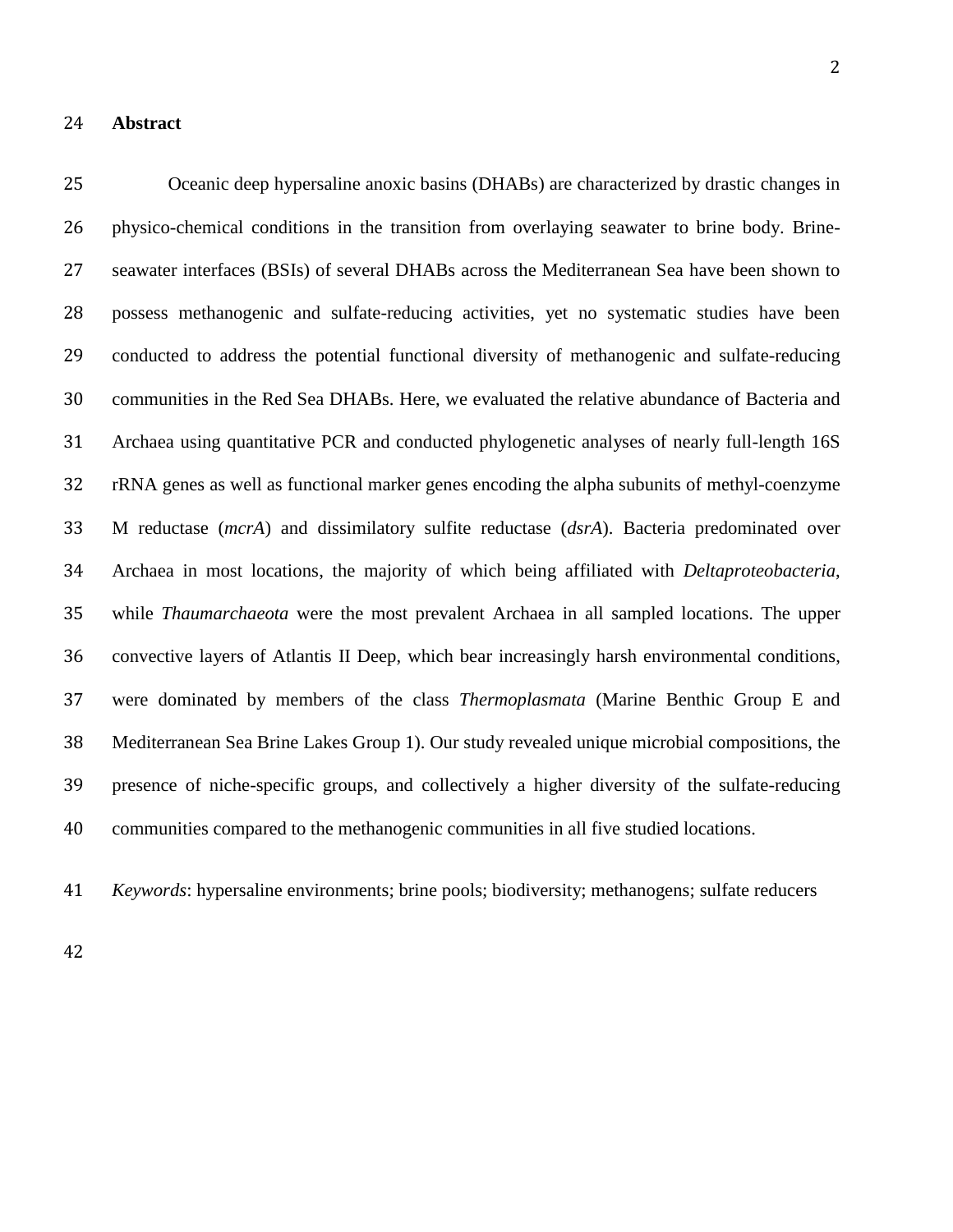#### **Abstract**

 Oceanic deep hypersaline anoxic basins (DHABs) are characterized by drastic changes in physico-chemical conditions in the transition from overlaying seawater to brine body. Brine- seawater interfaces (BSIs) of several DHABs across the Mediterranean Sea have been shown to possess methanogenic and sulfate-reducing activities, yet no systematic studies have been conducted to address the potential functional diversity of methanogenic and sulfate-reducing communities in the Red Sea DHABs. Here, we evaluated the relative abundance of Bacteria and Archaea using quantitative PCR and conducted phylogenetic analyses of nearly full-length 16S rRNA genes as well as functional marker genes encoding the alpha subunits of methyl-coenzyme M reductase (*mcrA*) and dissimilatory sulfite reductase (*dsrA*). Bacteria predominated over Archaea in most locations, the majority of which being affiliated with *Deltaproteobacteria*, while *Thaumarchaeota* were the most prevalent Archaea in all sampled locations. The upper convective layers of Atlantis II Deep, which bear increasingly harsh environmental conditions, were dominated by members of the class *Thermoplasmata* (Marine Benthic Group E and Mediterranean Sea Brine Lakes Group 1). Our study revealed unique microbial compositions, the presence of niche-specific groups, and collectively a higher diversity of the sulfate-reducing communities compared to the methanogenic communities in all five studied locations.

*Keywords*: hypersaline environments; brine pools; biodiversity; methanogens; sulfate reducers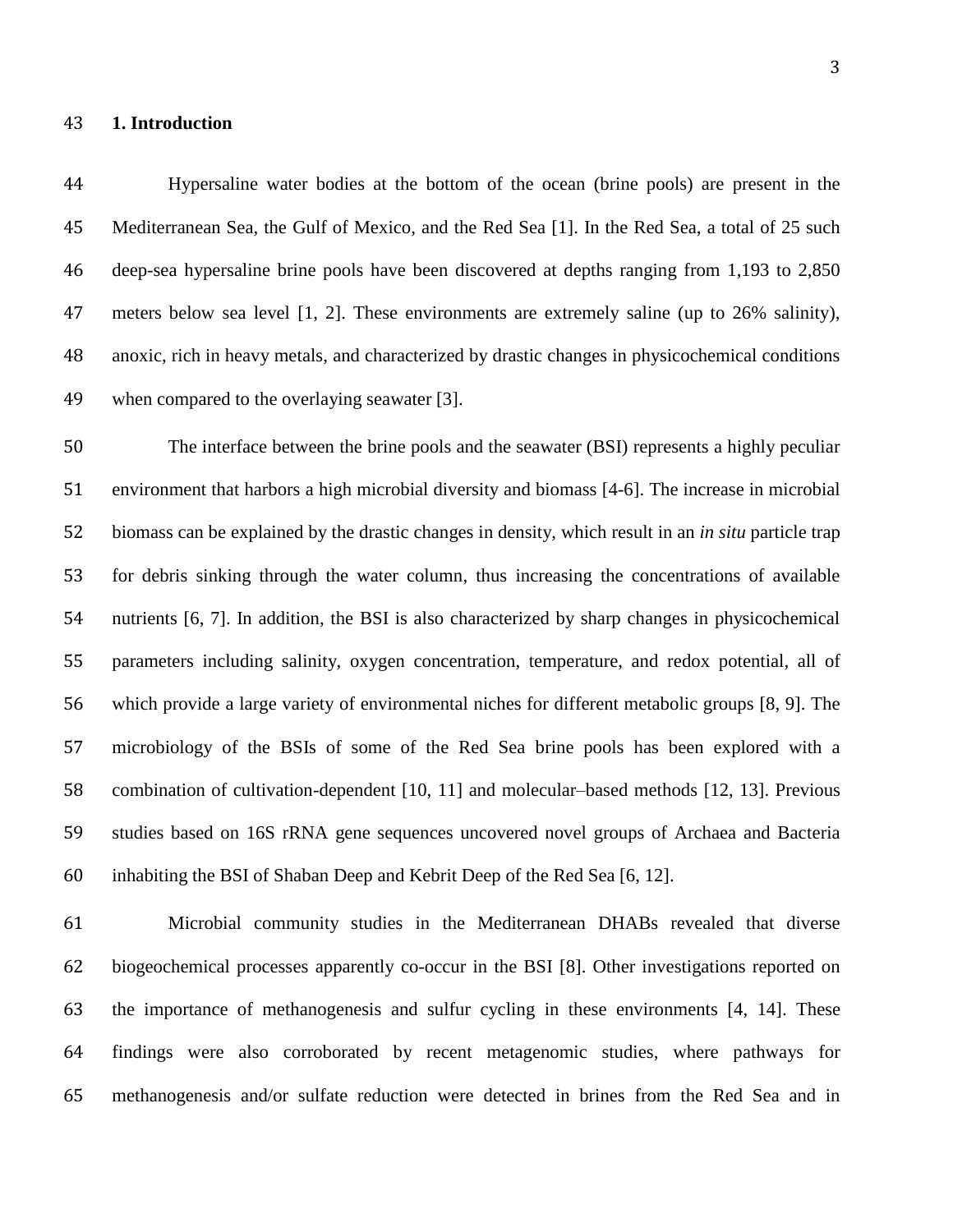#### **1. Introduction**

 Hypersaline water bodies at the bottom of the ocean (brine pools) are present in the Mediterranean Sea, the Gulf of Mexico, and the Red Sea [\[1\]](#page-22-0). In the Red Sea, a total of 25 such deep-sea hypersaline brine pools have been discovered at depths ranging from 1,193 to 2,850 meters below sea level [\[1,](#page-22-0) [2\]](#page-22-1). These environments are extremely saline (up to 26% salinity), anoxic, rich in heavy metals, and characterized by drastic changes in physicochemical conditions when compared to the overlaying seawater [\[3\]](#page-22-2).

 The interface between the brine pools and the seawater (BSI) represents a highly peculiar environment that harbors a high microbial diversity and biomass [\[4-6\]](#page-22-3). The increase in microbial biomass can be explained by the drastic changes in density, which result in an *in situ* particle trap for debris sinking through the water column, thus increasing the concentrations of available nutrients [\[6,](#page-22-4) [7\]](#page-22-5). In addition, the BSI is also characterized by sharp changes in physicochemical parameters including salinity, oxygen concentration, temperature, and redox potential, all of which provide a large variety of environmental niches for different metabolic groups [\[8,](#page-23-0) [9\]](#page-23-1). The microbiology of the BSIs of some of the Red Sea brine pools has been explored with a combination of cultivation-dependent [\[10,](#page-23-2) [11\]](#page-23-3) and molecular–based methods [\[12,](#page-23-4) [13\]](#page-23-5). Previous studies based on 16S rRNA gene sequences uncovered novel groups of Archaea and Bacteria inhabiting the BSI of Shaban Deep and Kebrit Deep of the Red Sea [\[6,](#page-22-4) [12\]](#page-23-4).

 Microbial community studies in the Mediterranean DHABs revealed that diverse biogeochemical processes apparently co-occur in the BSI [\[8\]](#page-23-0). Other investigations reported on the importance of methanogenesis and sulfur cycling in these environments [\[4,](#page-22-3) [14\]](#page-23-6). These findings were also corroborated by recent metagenomic studies, where pathways for methanogenesis and/or sulfate reduction were detected in brines from the Red Sea and in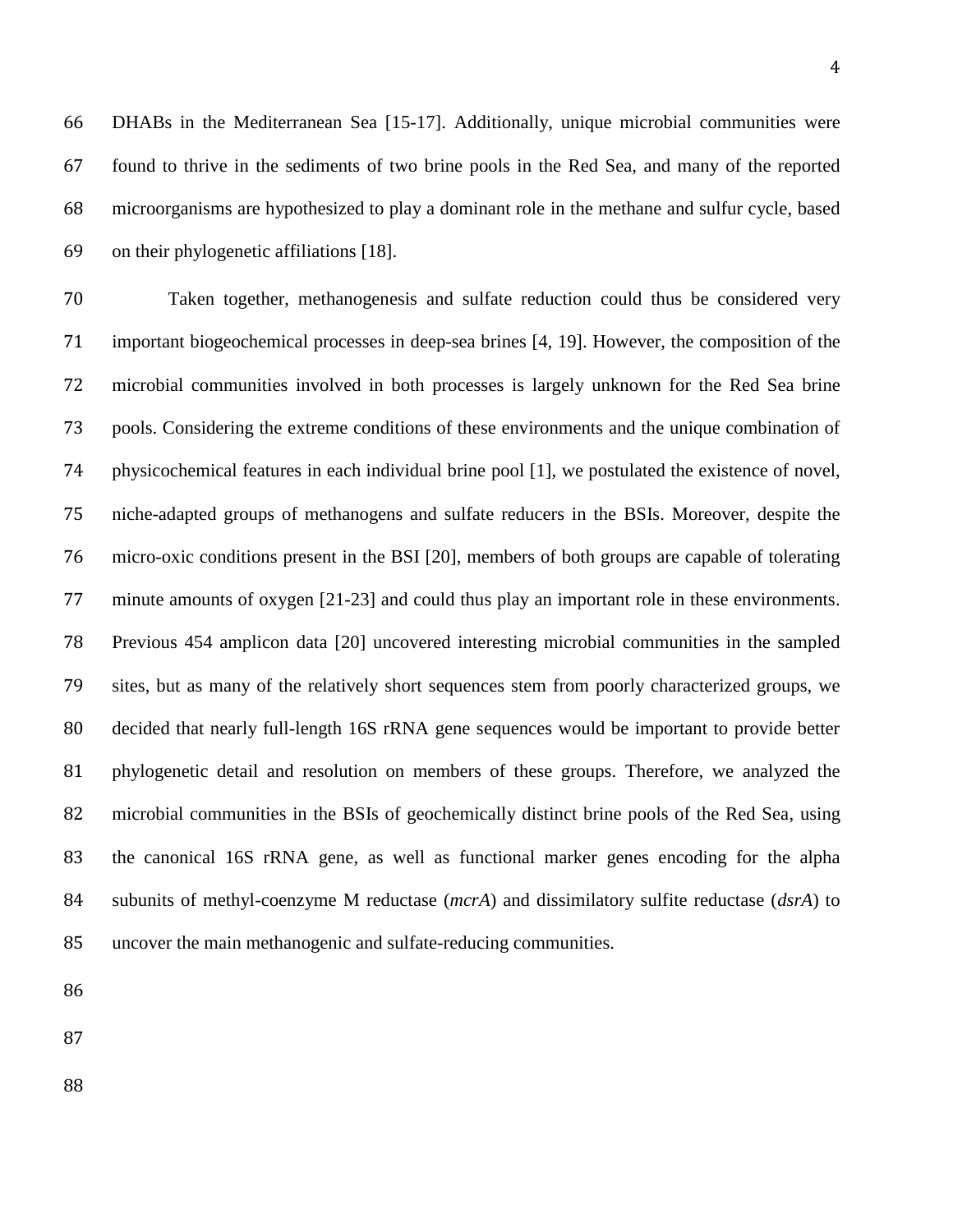DHABs in the Mediterranean Sea [\[15-17\]](#page-24-0). Additionally, unique microbial communities were found to thrive in the sediments of two brine pools in the Red Sea, and many of the reported microorganisms are hypothesized to play a dominant role in the methane and sulfur cycle, based on their phylogenetic affiliations [\[18\]](#page-24-1).

 Taken together, methanogenesis and sulfate reduction could thus be considered very important biogeochemical processes in deep-sea brines [\[4,](#page-22-3) [19\]](#page-24-2). However, the composition of the microbial communities involved in both processes is largely unknown for the Red Sea brine pools. Considering the extreme conditions of these environments and the unique combination of physicochemical features in each individual brine pool [\[1\]](#page-22-0), we postulated the existence of novel, niche-adapted groups of methanogens and sulfate reducers in the BSIs. Moreover, despite the micro-oxic conditions present in the BSI [\[20\]](#page-24-3), members of both groups are capable of tolerating minute amounts of oxygen [\[21-23\]](#page-24-4) and could thus play an important role in these environments. Previous 454 amplicon data [\[20\]](#page-24-3) uncovered interesting microbial communities in the sampled sites, but as many of the relatively short sequences stem from poorly characterized groups, we decided that nearly full-length 16S rRNA gene sequences would be important to provide better phylogenetic detail and resolution on members of these groups. Therefore, we analyzed the microbial communities in the BSIs of geochemically distinct brine pools of the Red Sea, using the canonical 16S rRNA gene, as well as functional marker genes encoding for the alpha subunits of methyl-coenzyme M reductase (*mcrA*) and dissimilatory sulfite reductase (*dsrA*) to uncover the main methanogenic and sulfate-reducing communities.

- 
- 
-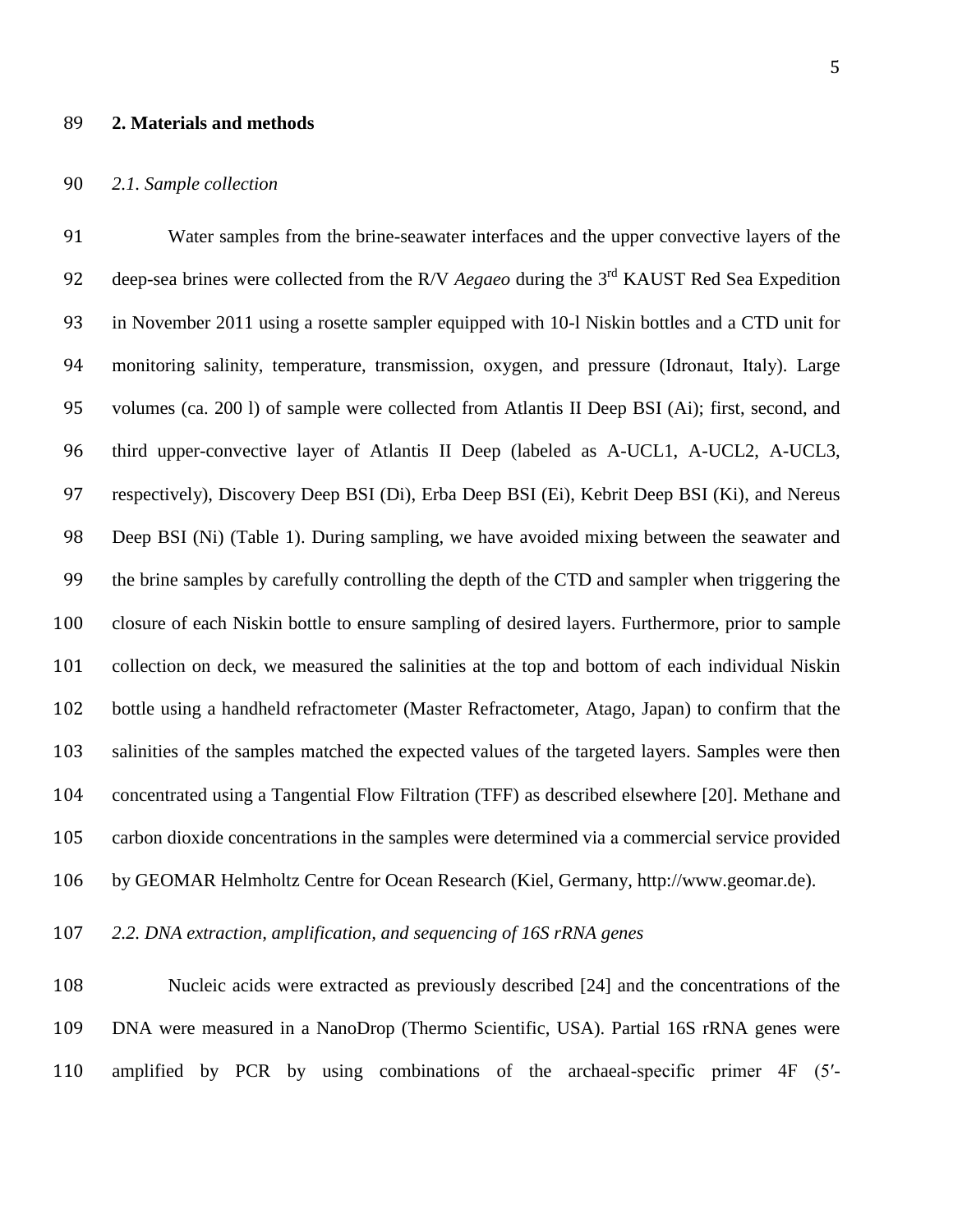#### **2. Materials and methods**

## *2.1. Sample collection*

 Water samples from the brine-seawater interfaces and the upper convective layers of the 92 deep-sea brines were collected from the R/V *Aegaeo* during the 3<sup>rd</sup> KAUST Red Sea Expedition in November 2011 using a rosette sampler equipped with 10-l Niskin bottles and a CTD unit for monitoring salinity, temperature, transmission, oxygen, and pressure (Idronaut, Italy). Large volumes (ca. 200 l) of sample were collected from Atlantis II Deep BSI (Ai); first, second, and third upper-convective layer of Atlantis II Deep (labeled as A-UCL1, A-UCL2, A-UCL3, respectively), Discovery Deep BSI (Di), Erba Deep BSI (Ei), Kebrit Deep BSI (Ki), and Nereus Deep BSI (Ni) (Table 1). During sampling, we have avoided mixing between the seawater and the brine samples by carefully controlling the depth of the CTD and sampler when triggering the closure of each Niskin bottle to ensure sampling of desired layers. Furthermore, prior to sample collection on deck, we measured the salinities at the top and bottom of each individual Niskin bottle using a handheld refractometer (Master Refractometer, Atago, Japan) to confirm that the salinities of the samples matched the expected values of the targeted layers. Samples were then concentrated using a Tangential Flow Filtration (TFF) as described elsewhere [\[20\]](#page-24-3). Methane and carbon dioxide concentrations in the samples were determined via a commercial service provided by GEOMAR Helmholtz Centre for Ocean Research (Kiel, Germany, http://www.geomar.de).

*2.2. DNA extraction, amplification, and sequencing of 16S rRNA genes*

 Nucleic acids were extracted as previously described [\[24\]](#page-25-0) and the concentrations of the DNA were measured in a NanoDrop (Thermo Scientific, USA). Partial 16S rRNA genes were amplified by PCR by using combinations of the archaeal-specific primer 4F (5′-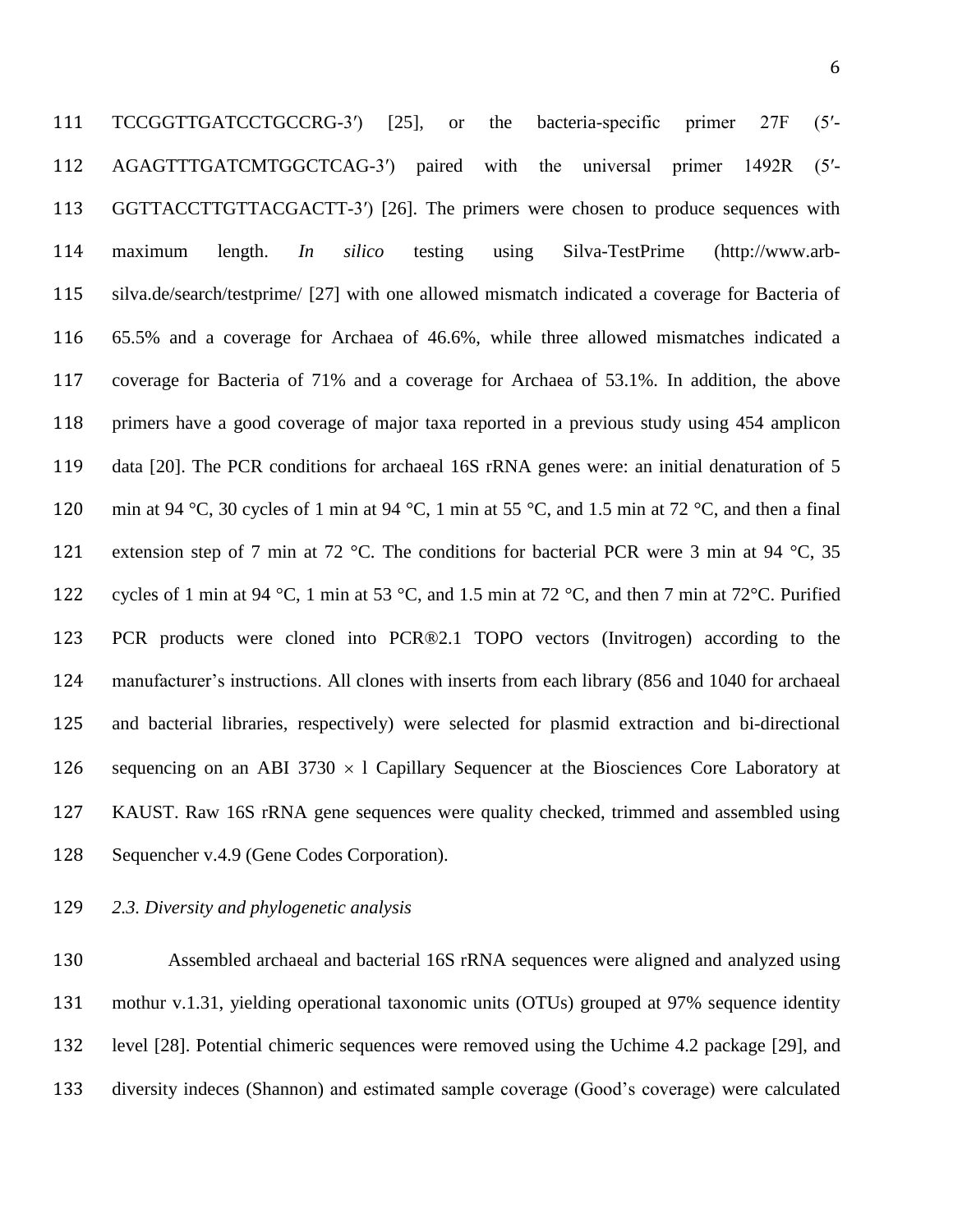TCCGGTTGATCCTGCCRG-3′) [\[25\]](#page-25-1), or the bacteria-specific primer 27F (5′- AGAGTTTGATCMTGGCTCAG-3′) paired with the universal primer 1492R (5′- GGTTACCTTGTTACGACTT-3′) [\[26\]](#page-25-2). The primers were chosen to produce sequences with maximum length. *In silico* testing using Silva-TestPrime [\(http://www.arb-](http://www.arb-silva.de/search/testprime/) [silva.de/search/testprime/](http://www.arb-silva.de/search/testprime/) [\[27\]](#page-25-3) with one allowed mismatch indicated a coverage for Bacteria of 65.5% and a coverage for Archaea of 46.6%, while three allowed mismatches indicated a coverage for Bacteria of 71% and a coverage for Archaea of 53.1%. In addition, the above primers have a good coverage of major taxa reported in a previous study using 454 amplicon data [\[20\]](#page-24-3). The PCR conditions for archaeal 16S rRNA genes were: an initial denaturation of 5 min at 94 °C, 30 cycles of 1 min at 94 °C, 1 min at 55 °C, and 1.5 min at 72 °C, and then a final 121 extension step of 7 min at 72 °C. The conditions for bacterial PCR were 3 min at 94 °C, 35 cycles of 1 min at 94 °C, 1 min at 53 °C, and 1.5 min at 72 °C, and then 7 min at 72°C. Purified PCR products were cloned into PCR®2.1 TOPO vectors (Invitrogen) according to the manufacturer's instructions. All clones with inserts from each library (856 and 1040 for archaeal and bacterial libraries, respectively) were selected for plasmid extraction and bi-directional 126 sequencing on an ABI 3730  $\times$  1 Capillary Sequencer at the Biosciences Core Laboratory at KAUST. Raw 16S rRNA gene sequences were quality checked, trimmed and assembled using Sequencher v.4.9 (Gene Codes Corporation).

*2.3. Diversity and phylogenetic analysis*

 Assembled archaeal and bacterial 16S rRNA sequences were aligned and analyzed using mothur v.1.31, yielding operational taxonomic units (OTUs) grouped at 97% sequence identity level [\[28\]](#page-25-4). Potential chimeric sequences were removed using the Uchime 4.2 package [\[29\]](#page-25-5), and diversity indeces (Shannon) and estimated sample coverage (Good's coverage) were calculated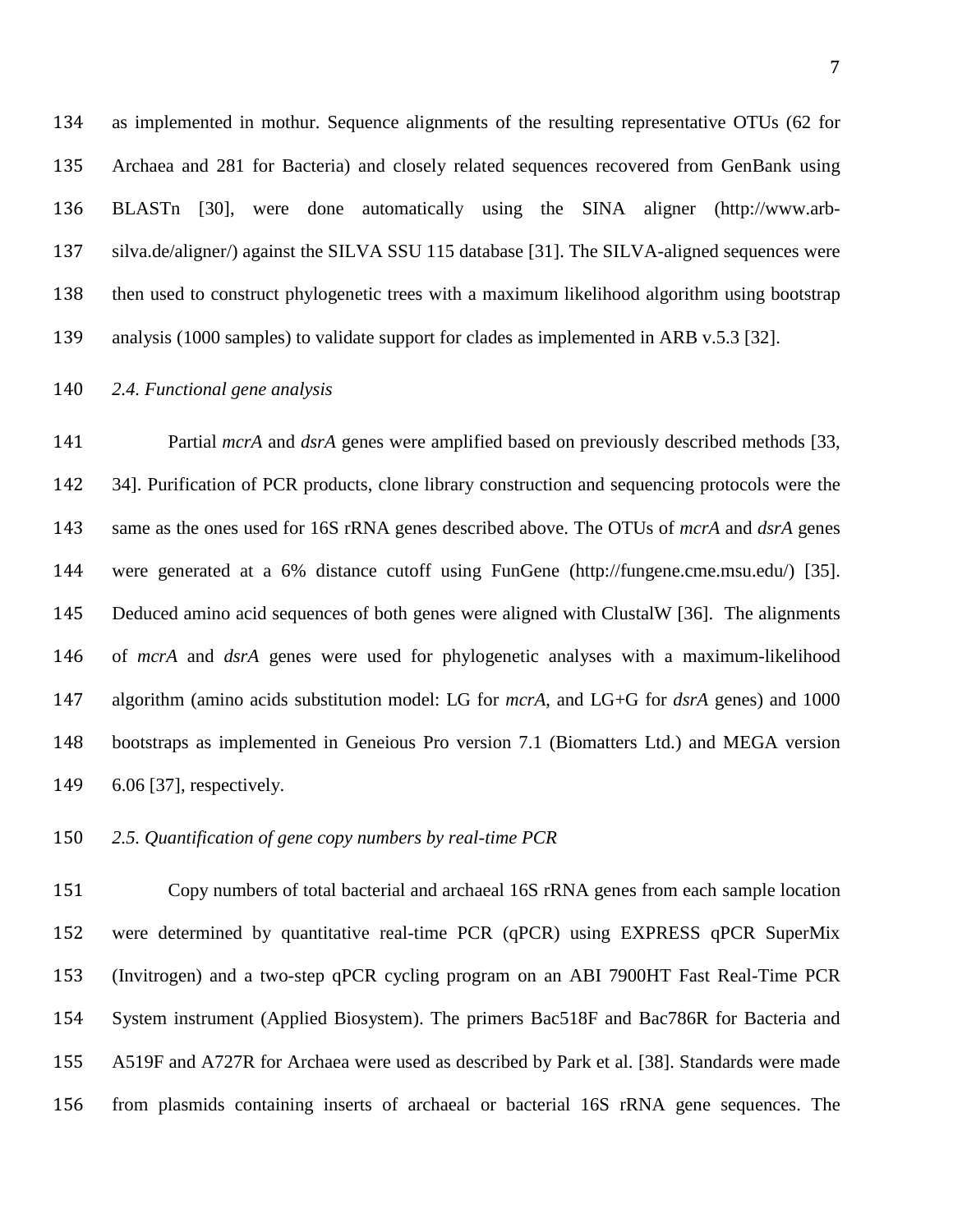as implemented in mothur. Sequence alignments of the resulting representative OTUs (62 for Archaea and 281 for Bacteria) and closely related sequences recovered from GenBank using BLASTn [\[30\]](#page-26-0), were done automatically using the SINA aligner (http://www.arb- silva.de/aligner/) against the SILVA SSU 115 database [\[31\]](#page-26-1). The SILVA-aligned sequences were then used to construct phylogenetic trees with a maximum likelihood algorithm using bootstrap analysis (1000 samples) to validate support for clades as implemented in ARB v.5.3 [\[32\]](#page-26-2).

# *2.4. Functional gene analysis*

141 Partial *mcrA* and *dsrA* genes were amplified based on previously described methods [\[33,](#page-26-3) [34\]](#page-26-4). Purification of PCR products, clone library construction and sequencing protocols were the same as the ones used for 16S rRNA genes described above. The OTUs of *mcrA* and *dsrA* genes were generated at a 6% distance cutoff using FunGene (http://fungene.cme.msu.edu/) [\[35\]](#page-26-5). Deduced amino acid sequences of both genes were aligned with ClustalW [\[36\]](#page-26-6). The alignments of *mcrA* and *dsrA* genes were used for phylogenetic analyses with a maximum-likelihood algorithm (amino acids substitution model: LG for *mcrA*, and LG+G for *dsrA* genes) and 1000 bootstraps as implemented in Geneious Pro version 7.1 (Biomatters Ltd.) and MEGA version 6.06 [\[37\]](#page-27-0), respectively.

#### *2.5. Quantification of gene copy numbers by real-time PCR*

 Copy numbers of total bacterial and archaeal 16S rRNA genes from each sample location were determined by quantitative real-time PCR (qPCR) using EXPRESS qPCR SuperMix (Invitrogen) and a two-step qPCR cycling program on an ABI 7900HT Fast Real-Time PCR System instrument (Applied Biosystem). The primers Bac518F and Bac786R for Bacteria and A519F and A727R for Archaea were used as described by Park et al. [\[38\]](#page-27-1). Standards were made from plasmids containing inserts of archaeal or bacterial 16S rRNA gene sequences. The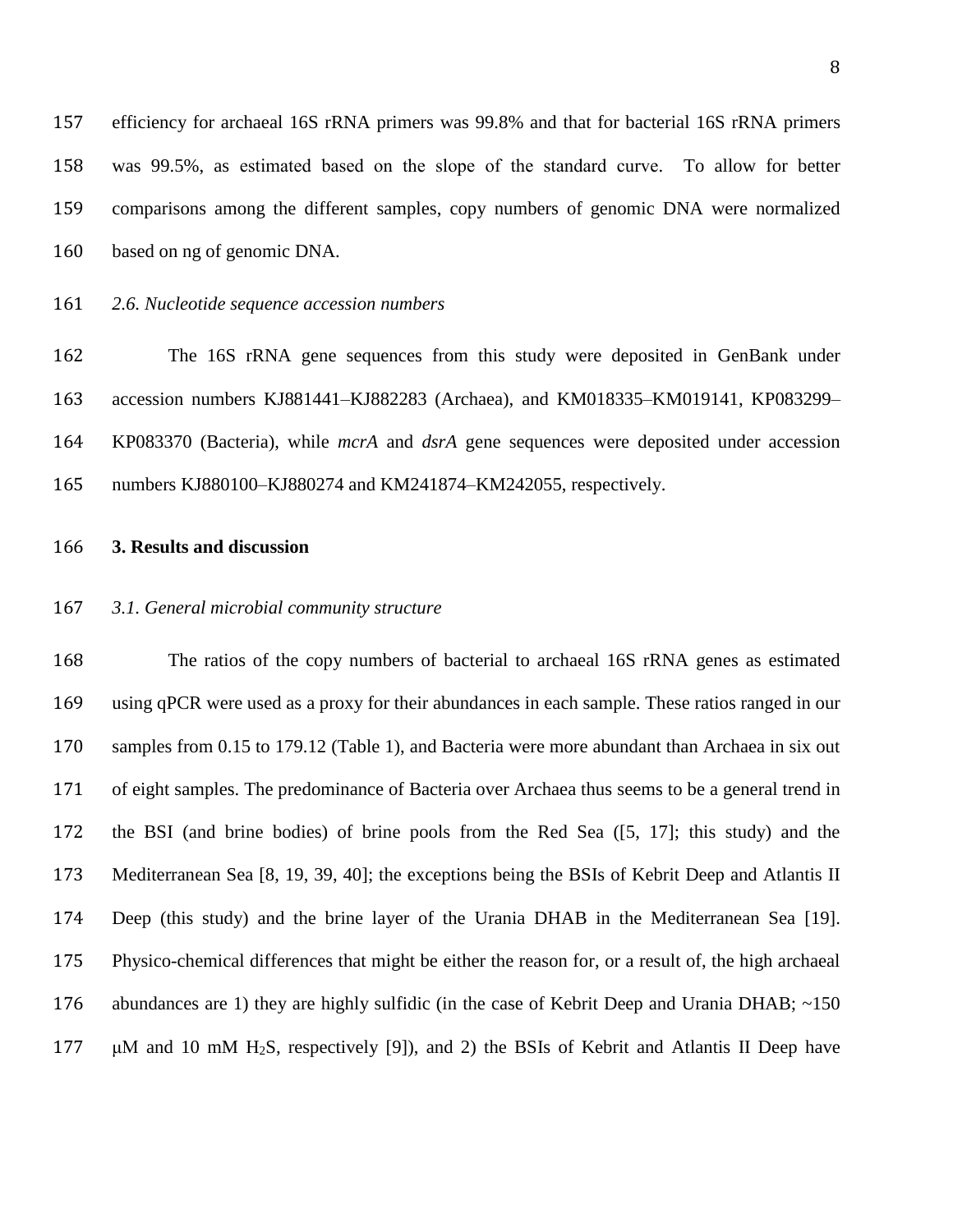efficiency for archaeal 16S rRNA primers was 99.8% and that for bacterial 16S rRNA primers was 99.5%, as estimated based on the slope of the standard curve. To allow for better comparisons among the different samples, copy numbers of genomic DNA were normalized based on ng of genomic DNA.

*2.6. Nucleotide sequence accession numbers*

 The 16S rRNA gene sequences from this study were deposited in GenBank under accession numbers KJ881441–KJ882283 (Archaea), and KM018335–KM019141, KP083299– KP083370 (Bacteria), while *mcrA* and *dsrA* gene sequences were deposited under accession numbers KJ880100–KJ880274 and KM241874–KM242055, respectively.

# **3. Results and discussion**

#### *3.1. General microbial community structure*

 The ratios of the copy numbers of bacterial to archaeal 16S rRNA genes as estimated using qPCR were used as a proxy for their abundances in each sample. These ratios ranged in our samples from 0.15 to 179.12 (Table 1), and Bacteria were more abundant than Archaea in six out of eight samples. The predominance of Bacteria over Archaea thus seems to be a general trend in the BSI (and brine bodies) of brine pools from the Red Sea ([\[5,](#page-22-6) [17\]](#page-24-5); this study) and the Mediterranean Sea [\[8,](#page-23-0) [19,](#page-24-2) [39,](#page-27-2) [40\]](#page-27-3); the exceptions being the BSIs of Kebrit Deep and Atlantis II Deep (this study) and the brine layer of the Urania DHAB in the Mediterranean Sea [\[19\]](#page-24-2). Physico-chemical differences that might be either the reason for, or a result of, the high archaeal 176 abundances are 1) they are highly sulfidic (in the case of Kebrit Deep and Urania DHAB; ~150 μM and 10 mM H2S, respectively [\[9\]](#page-23-1)), and 2) the BSIs of Kebrit and Atlantis II Deep have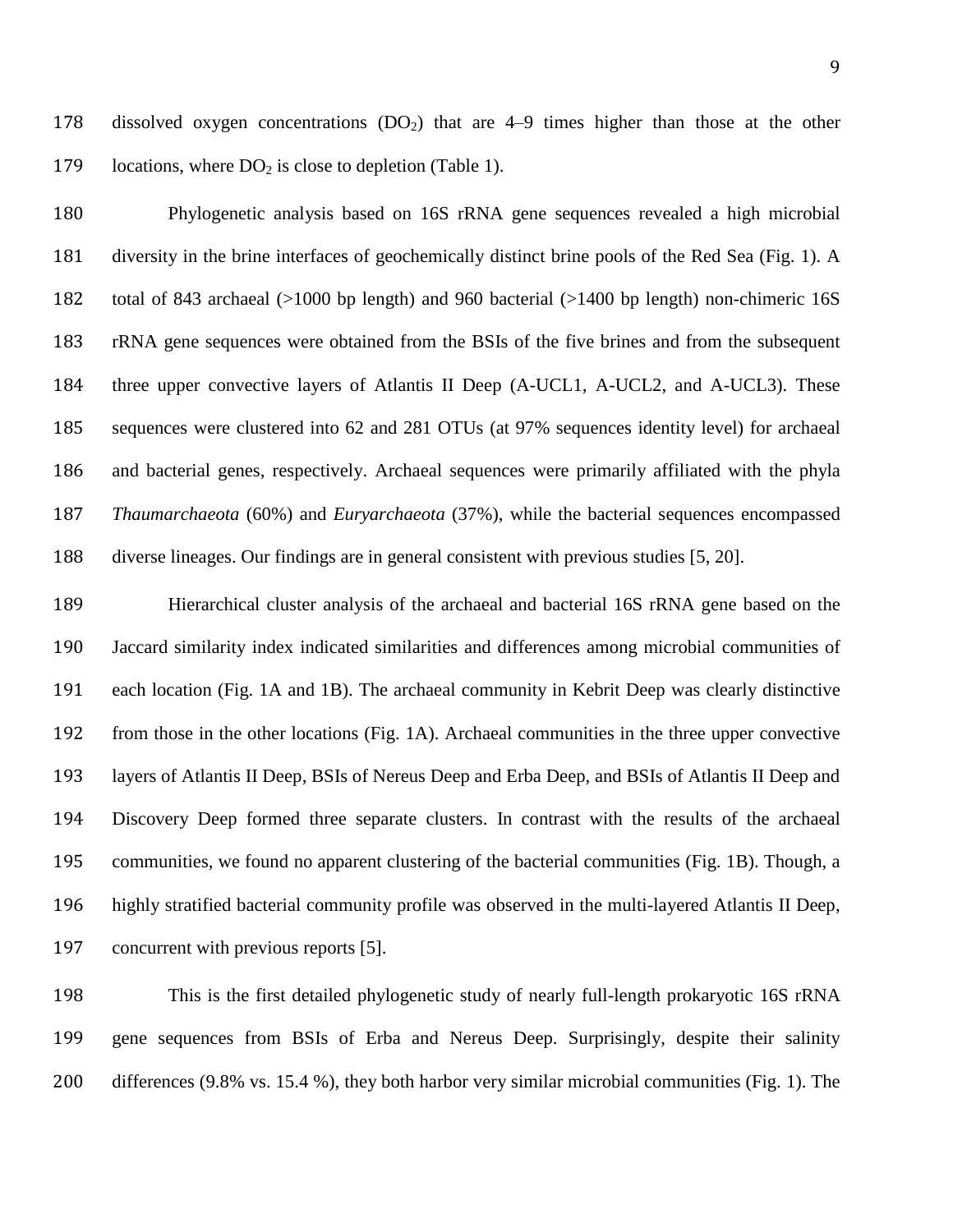178 dissolved oxygen concentrations  $(DO<sub>2</sub>)$  that are 4–9 times higher than those at the other 179 locations, where  $DO<sub>2</sub>$  is close to depletion (Table 1).

 Phylogenetic analysis based on 16S rRNA gene sequences revealed a high microbial diversity in the brine interfaces of geochemically distinct brine pools of the Red Sea (Fig. 1). A total of 843 archaeal (>1000 bp length) and 960 bacterial (>1400 bp length) non-chimeric 16S rRNA gene sequences were obtained from the BSIs of the five brines and from the subsequent three upper convective layers of Atlantis II Deep (A-UCL1, A-UCL2, and A-UCL3). These sequences were clustered into 62 and 281 OTUs (at 97% sequences identity level) for archaeal and bacterial genes, respectively. Archaeal sequences were primarily affiliated with the phyla *Thaumarchaeota* (60%) and *Euryarchaeota* (37%), while the bacterial sequences encompassed diverse lineages. Our findings are in general consistent with previous studies [\[5,](#page-22-6) [20\]](#page-24-3).

 Hierarchical cluster analysis of the archaeal and bacterial 16S rRNA gene based on the Jaccard similarity index indicated similarities and differences among microbial communities of each location (Fig. 1A and 1B). The archaeal community in Kebrit Deep was clearly distinctive from those in the other locations (Fig. 1A). Archaeal communities in the three upper convective layers of Atlantis II Deep, BSIs of Nereus Deep and Erba Deep, and BSIs of Atlantis II Deep and Discovery Deep formed three separate clusters. In contrast with the results of the archaeal communities, we found no apparent clustering of the bacterial communities (Fig. 1B). Though, a highly stratified bacterial community profile was observed in the multi-layered Atlantis II Deep, concurrent with previous reports [\[5\]](#page-22-6).

 This is the first detailed phylogenetic study of nearly full-length prokaryotic 16S rRNA gene sequences from BSIs of Erba and Nereus Deep. Surprisingly, despite their salinity differences (9.8% vs. 15.4 %), they both harbor very similar microbial communities (Fig. 1). The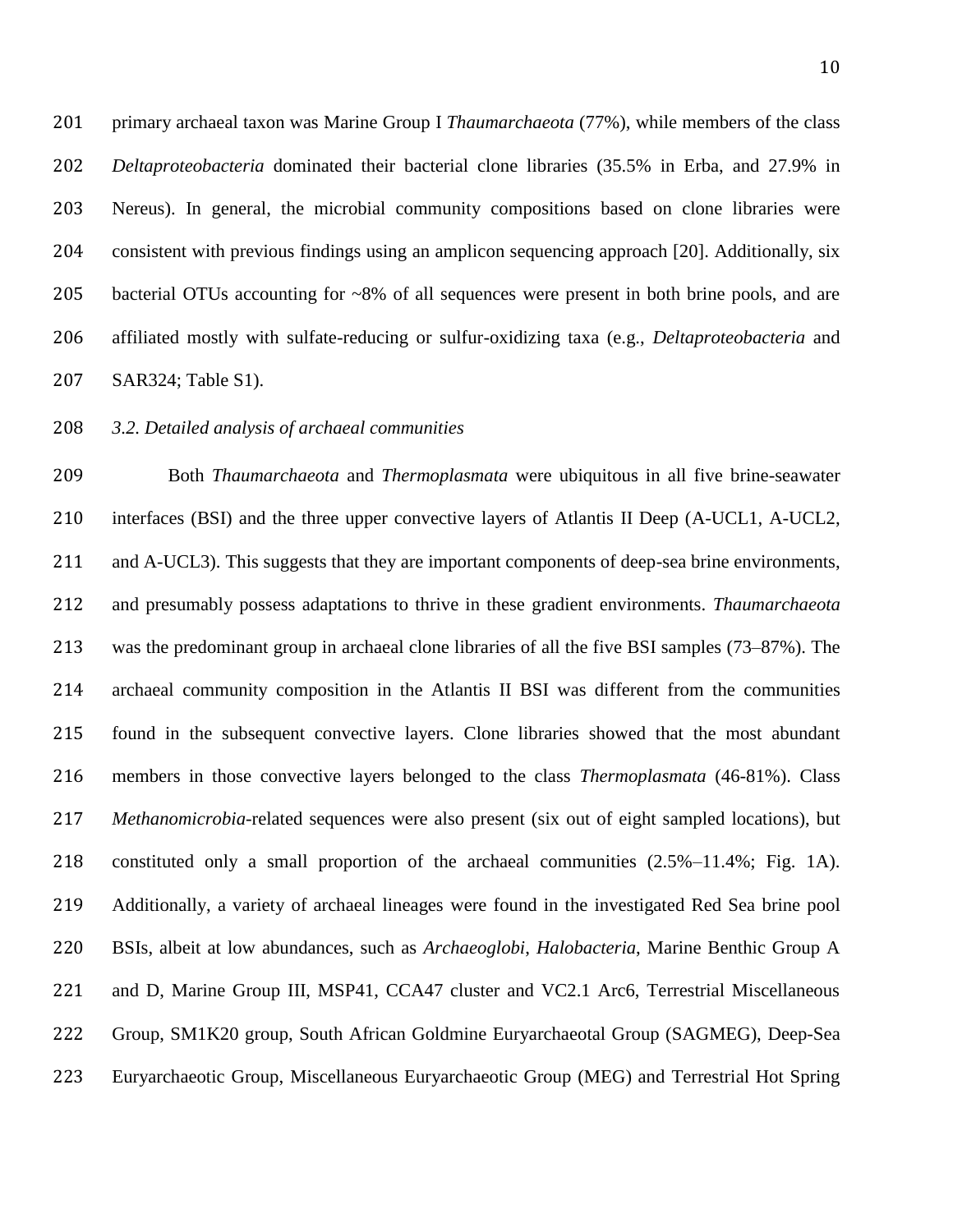primary archaeal taxon was Marine Group I *Thaumarchaeota* (77%), while members of the class *Deltaproteobacteria* dominated their bacterial clone libraries (35.5% in Erba, and 27.9% in Nereus). In general, the microbial community compositions based on clone libraries were consistent with previous findings using an amplicon sequencing approach [\[20\]](#page-24-3). Additionally, six bacterial OTUs accounting for ~8% of all sequences were present in both brine pools, and are affiliated mostly with sulfate-reducing or sulfur-oxidizing taxa (e.g., *Deltaproteobacteria* and SAR324; Table S1).

# *3.2. Detailed analysis of archaeal communities*

 Both *Thaumarchaeota* and *Thermoplasmata* were ubiquitous in all five brine-seawater interfaces (BSI) and the three upper convective layers of Atlantis II Deep (A-UCL1, A-UCL2, and A-UCL3). This suggests that they are important components of deep-sea brine environments, and presumably possess adaptations to thrive in these gradient environments. *Thaumarchaeota* was the predominant group in archaeal clone libraries of all the five BSI samples (73–87%). The archaeal community composition in the Atlantis II BSI was different from the communities found in the subsequent convective layers. Clone libraries showed that the most abundant members in those convective layers belonged to the class *Thermoplasmata* (46-81%). Class *Methanomicrobia-*related sequences were also present (six out of eight sampled locations), but constituted only a small proportion of the archaeal communities (2.5%–11.4%; Fig. 1A). Additionally, a variety of archaeal lineages were found in the investigated Red Sea brine pool BSIs, albeit at low abundances, such as *Archaeoglobi*, *Halobacteria*, Marine Benthic Group A and D, Marine Group III, MSP41, CCA47 cluster and VC2.1 Arc6, Terrestrial Miscellaneous Group, SM1K20 group, South African Goldmine Euryarchaeotal Group (SAGMEG), Deep-Sea Euryarchaeotic Group, Miscellaneous Euryarchaeotic Group (MEG) and Terrestrial Hot Spring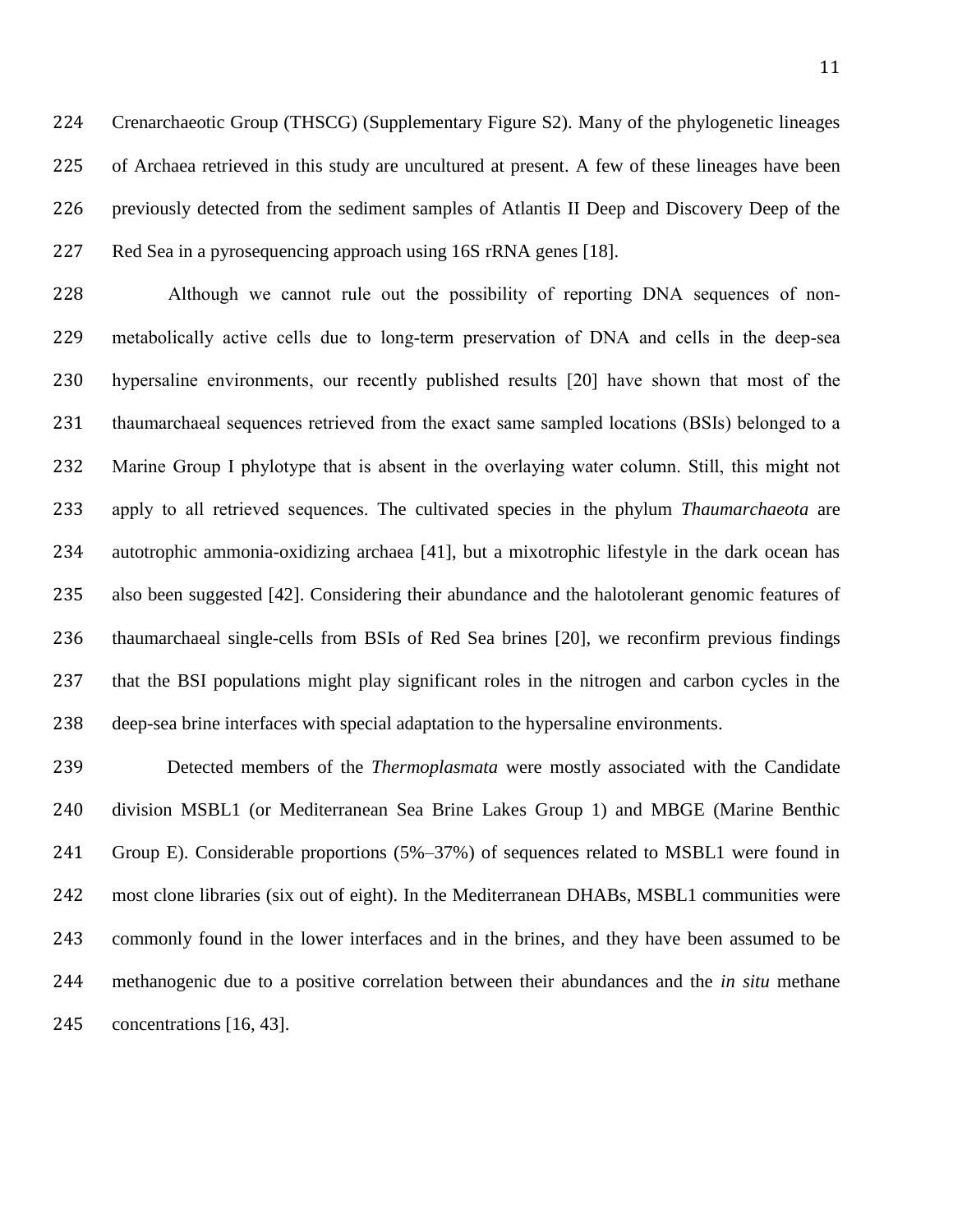Crenarchaeotic Group (THSCG) (Supplementary Figure S2). Many of the phylogenetic lineages of Archaea retrieved in this study are uncultured at present. A few of these lineages have been previously detected from the sediment samples of Atlantis II Deep and Discovery Deep of the Red Sea in a pyrosequencing approach using 16S rRNA genes [\[18\]](#page-24-1).

 Although we cannot rule out the possibility of reporting DNA sequences of non- metabolically active cells due to long-term preservation of DNA and cells in the deep-sea hypersaline environments, our recently published results [\[20\]](#page-24-3) have shown that most of the thaumarchaeal sequences retrieved from the exact same sampled locations (BSIs) belonged to a Marine Group I phylotype that is absent in the overlaying water column. Still, this might not apply to all retrieved sequences. The cultivated species in the phylum *Thaumarchaeota* are autotrophic ammonia-oxidizing archaea [\[41\]](#page-27-4), but a mixotrophic lifestyle in the dark ocean has also been suggested [\[42\]](#page-27-5). Considering their abundance and the halotolerant genomic features of thaumarchaeal single-cells from BSIs of Red Sea brines [\[20\]](#page-24-3), we reconfirm previous findings that the BSI populations might play significant roles in the nitrogen and carbon cycles in the deep-sea brine interfaces with special adaptation to the hypersaline environments.

 Detected members of the *Thermoplasmata* were mostly associated with the Candidate division MSBL1 (or Mediterranean Sea Brine Lakes Group 1) and MBGE (Marine Benthic Group E). Considerable proportions (5%–37%) of sequences related to MSBL1 were found in most clone libraries (six out of eight). In the Mediterranean DHABs, MSBL1 communities were commonly found in the lower interfaces and in the brines, and they have been assumed to be methanogenic due to a positive correlation between their abundances and the *in situ* methane concentrations [\[16,](#page-24-6) [43\]](#page-27-6).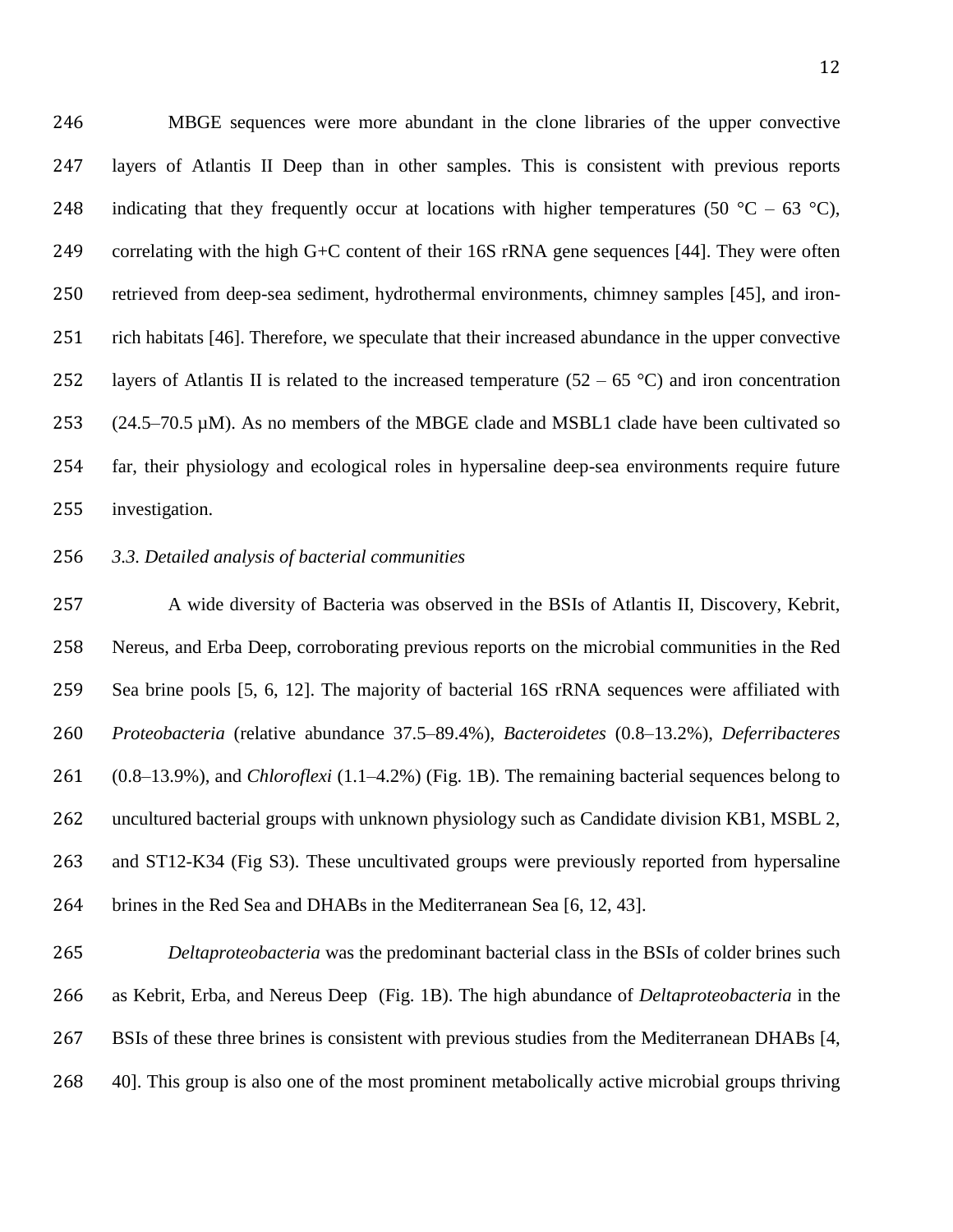MBGE sequences were more abundant in the clone libraries of the upper convective layers of Atlantis II Deep than in other samples. This is consistent with previous reports 248 indicating that they frequently occur at locations with higher temperatures (50  $^{\circ}$ C – 63  $^{\circ}$ C), correlating with the high G+C content of their 16S rRNA gene sequences [\[44\]](#page-28-0). They were often retrieved from deep-sea sediment, hydrothermal environments, chimney samples [\[45\]](#page-28-1), and iron- rich habitats [\[46\]](#page-28-2). Therefore, we speculate that their increased abundance in the upper convective 252 layers of Atlantis II is related to the increased temperature  $(52 – 65 °C)$  and iron concentration 253 (24.5–70.5  $\mu$ M). As no members of the MBGE clade and MSBL1 clade have been cultivated so far, their physiology and ecological roles in hypersaline deep-sea environments require future investigation.

# *3.3. Detailed analysis of bacterial communities*

 A wide diversity of Bacteria was observed in the BSIs of Atlantis II, Discovery, Kebrit, Nereus, and Erba Deep, corroborating previous reports on the microbial communities in the Red Sea brine pools [\[5,](#page-22-6) [6,](#page-22-4) [12\]](#page-23-4). The majority of bacterial 16S rRNA sequences were affiliated with *Proteobacteria* (relative abundance 37.5–89.4%), *Bacteroidetes* (0.8–13.2%), *Deferribacteres*  (0.8–13.9%), and *Chloroflexi* (1.1–4.2%) (Fig. 1B). The remaining bacterial sequences belong to uncultured bacterial groups with unknown physiology such as Candidate division KB1, MSBL 2, and ST12-K34 (Fig S3). These uncultivated groups were previously reported from hypersaline brines in the Red Sea and DHABs in the Mediterranean Sea [\[6,](#page-22-4) [12,](#page-23-4) [43\]](#page-27-6).

 *Deltaproteobacteria* was the predominant bacterial class in the BSIs of colder brines such as Kebrit, Erba, and Nereus Deep (Fig. 1B). The high abundance of *Deltaproteobacteria* in the BSIs of these three brines is consistent with previous studies from the Mediterranean DHABs [\[4,](#page-22-3) [40\]](#page-27-3). This group is also one of the most prominent metabolically active microbial groups thriving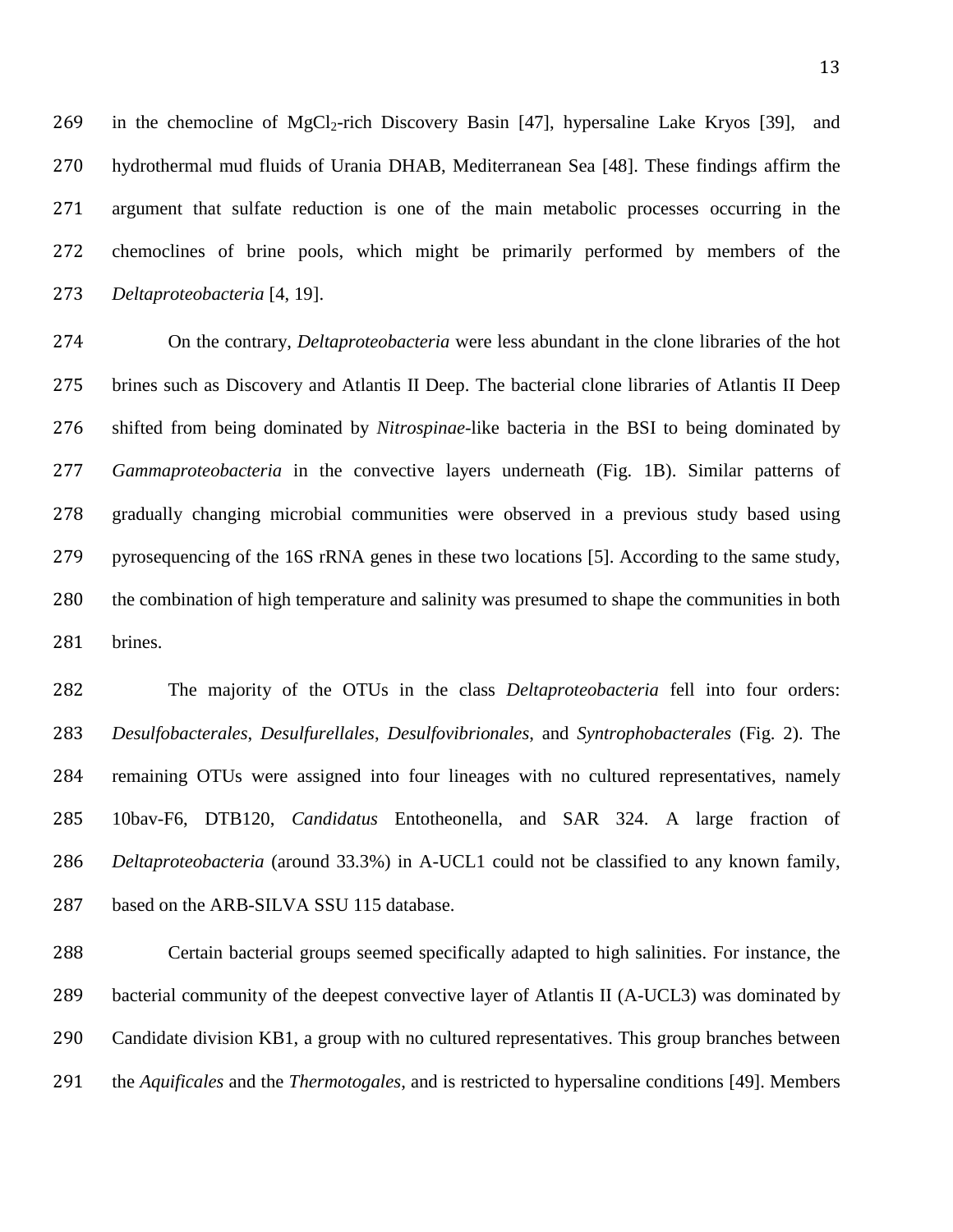269 in the chemocline of MgCl<sub>2</sub>-rich Discovery Basin [\[47\]](#page-28-3), hypersaline Lake Kryos [\[39\]](#page-27-2), and hydrothermal mud fluids of Urania DHAB, Mediterranean Sea [\[48\]](#page-28-4). These findings affirm the argument that sulfate reduction is one of the main metabolic processes occurring in the chemoclines of brine pools, which might be primarily performed by members of the *Deltaproteobacteria* [\[4,](#page-22-3) [19\]](#page-24-2).

 On the contrary, *Deltaproteobacteria* were less abundant in the clone libraries of the hot brines such as Discovery and Atlantis II Deep. The bacterial clone libraries of Atlantis II Deep shifted from being dominated by *Nitrospinae*-like bacteria in the BSI to being dominated by *Gammaproteobacteria* in the convective layers underneath (Fig. 1B). Similar patterns of gradually changing microbial communities were observed in a previous study based using pyrosequencing of the 16S rRNA genes in these two locations [\[5\]](#page-22-6). According to the same study, the combination of high temperature and salinity was presumed to shape the communities in both brines.

 The majority of the OTUs in the class *Deltaproteobacteria* fell into four orders: *Desulfobacterales*, *Desulfurellales*, *Desulfovibrionales*, and *Syntrophobacterales* (Fig. 2). The remaining OTUs were assigned into four lineages with no cultured representatives, namely 10bav-F6, DTB120, *Candidatus* Entotheonella, and SAR 324. A large fraction of *Deltaproteobacteria* (around 33.3%) in A-UCL1 could not be classified to any known family, based on the ARB-SILVA SSU 115 database.

 Certain bacterial groups seemed specifically adapted to high salinities. For instance, the bacterial community of the deepest convective layer of Atlantis II (A-UCL3) was dominated by Candidate division KB1, a group with no cultured representatives. This group branches between the *Aquificales* and the *Thermotogales*, and is restricted to hypersaline conditions [\[49\]](#page-28-5). Members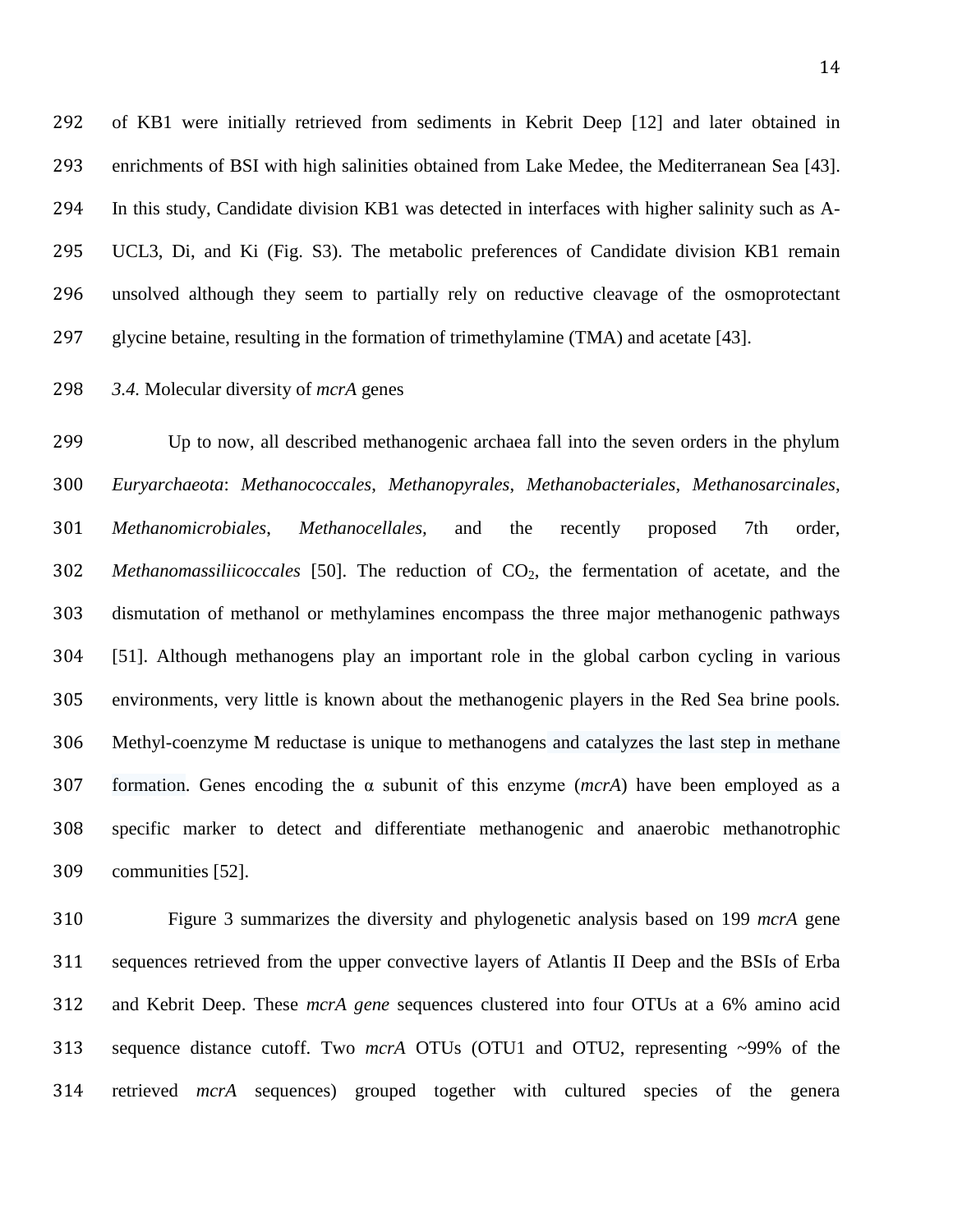of KB1 were initially retrieved from sediments in Kebrit Deep [\[12\]](#page-23-4) and later obtained in enrichments of BSI with high salinities obtained from Lake Medee, the Mediterranean Sea [\[43\]](#page-27-6). In this study, Candidate division KB1 was detected in interfaces with higher salinity such as A- UCL3, Di, and Ki (Fig. S3). The metabolic preferences of Candidate division KB1 remain unsolved although they seem to partially rely on reductive cleavage of the osmoprotectant glycine betaine, resulting in the formation of trimethylamine (TMA) and acetate [\[43\]](#page-27-6).

*3.4.* Molecular diversity of *mcrA* genes

 Up to now, all described methanogenic archaea fall into the seven orders in the phylum *Euryarchaeota*: *Methanococcales*, *Methanopyrales*, *Methanobacteriales*, *Methanosarcinales*, *Methanomicrobiales*, *Methanocellales,* and the recently proposed 7th order, *Methanomassiliicoccales* [\[50\]](#page-28-6). The reduction of CO2, the fermentation of acetate, and the dismutation of methanol or methylamines encompass the three major methanogenic pathways [\[51\]](#page-29-0). Although methanogens play an important role in the global carbon cycling in various environments, very little is known about the methanogenic players in the Red Sea brine pools*.* Methyl-coenzyme M reductase is unique to methanogens and catalyzes the last step in methane formation. Genes encoding the α subunit of this enzyme (*mcrA*) have been employed as a specific marker to detect and differentiate methanogenic and anaerobic methanotrophic communities [\[52\]](#page-29-1).

 Figure 3 summarizes the diversity and phylogenetic analysis based on 199 *mcrA* gene sequences retrieved from the upper convective layers of Atlantis II Deep and the BSIs of Erba and Kebrit Deep. These *mcrA gene* sequences clustered into four OTUs at a 6% amino acid sequence distance cutoff. Two *mcrA* OTUs (OTU1 and OTU2, representing ~99% of the retrieved *mcrA* sequences) grouped together with cultured species of the genera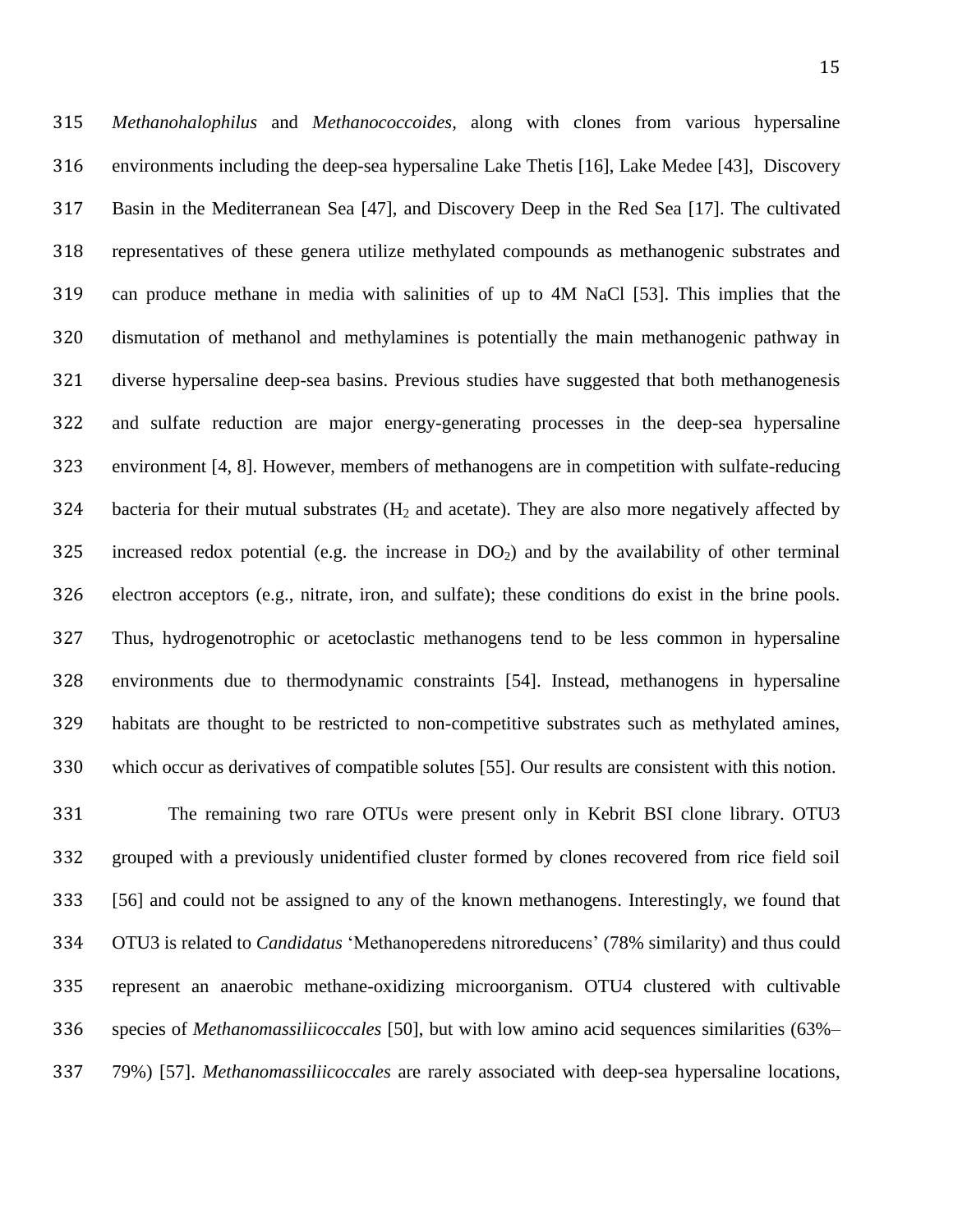*Methanohalophilus* and *Methanococcoides,* along with clones from various hypersaline environments including the deep-sea hypersaline Lake Thetis [\[16\]](#page-24-6), Lake Medee [\[43\]](#page-27-6), Discovery Basin in the Mediterranean Sea [\[47\]](#page-28-3), and Discovery Deep in the Red Sea [\[17\]](#page-24-5). The cultivated representatives of these genera utilize methylated compounds as methanogenic substrates and can produce methane in media with salinities of up to 4M NaCl [\[53\]](#page-29-2). This implies that the dismutation of methanol and methylamines is potentially the main methanogenic pathway in diverse hypersaline deep-sea basins. Previous studies have suggested that both methanogenesis and sulfate reduction are major energy-generating processes in the deep-sea hypersaline environment [\[4,](#page-22-3) [8\]](#page-23-0). However, members of methanogens are in competition with sulfate-reducing 324 bacteria for their mutual substrates  $(H_2 \text{ and } \text{acetate})$ . They are also more negatively affected by 325 increased redox potential (e.g. the increase in  $DO<sub>2</sub>$ ) and by the availability of other terminal electron acceptors (e.g., nitrate, iron, and sulfate); these conditions do exist in the brine pools. Thus, hydrogenotrophic or acetoclastic methanogens tend to be less common in hypersaline environments due to thermodynamic constraints [\[54\]](#page-29-3). Instead, methanogens in hypersaline habitats are thought to be restricted to non-competitive substrates such as methylated amines, which occur as derivatives of compatible solutes [\[55\]](#page-29-4). Our results are consistent with this notion.

 The remaining two rare OTUs were present only in Kebrit BSI clone library. OTU3 grouped with a previously unidentified cluster formed by clones recovered from rice field soil [\[56\]](#page-29-5) and could not be assigned to any of the known methanogens. Interestingly, we found that OTU3 is related to *Candidatus* 'Methanoperedens nitroreducens' (78% similarity) and thus could represent an anaerobic methane-oxidizing microorganism. OTU4 clustered with cultivable species of *Methanomassiliicoccales* [\[50\]](#page-28-6), but with low amino acid sequences similarities (63%– 79%) [\[57\]](#page-29-6). *Methanomassiliicoccales* are rarely associated with deep-sea hypersaline locations,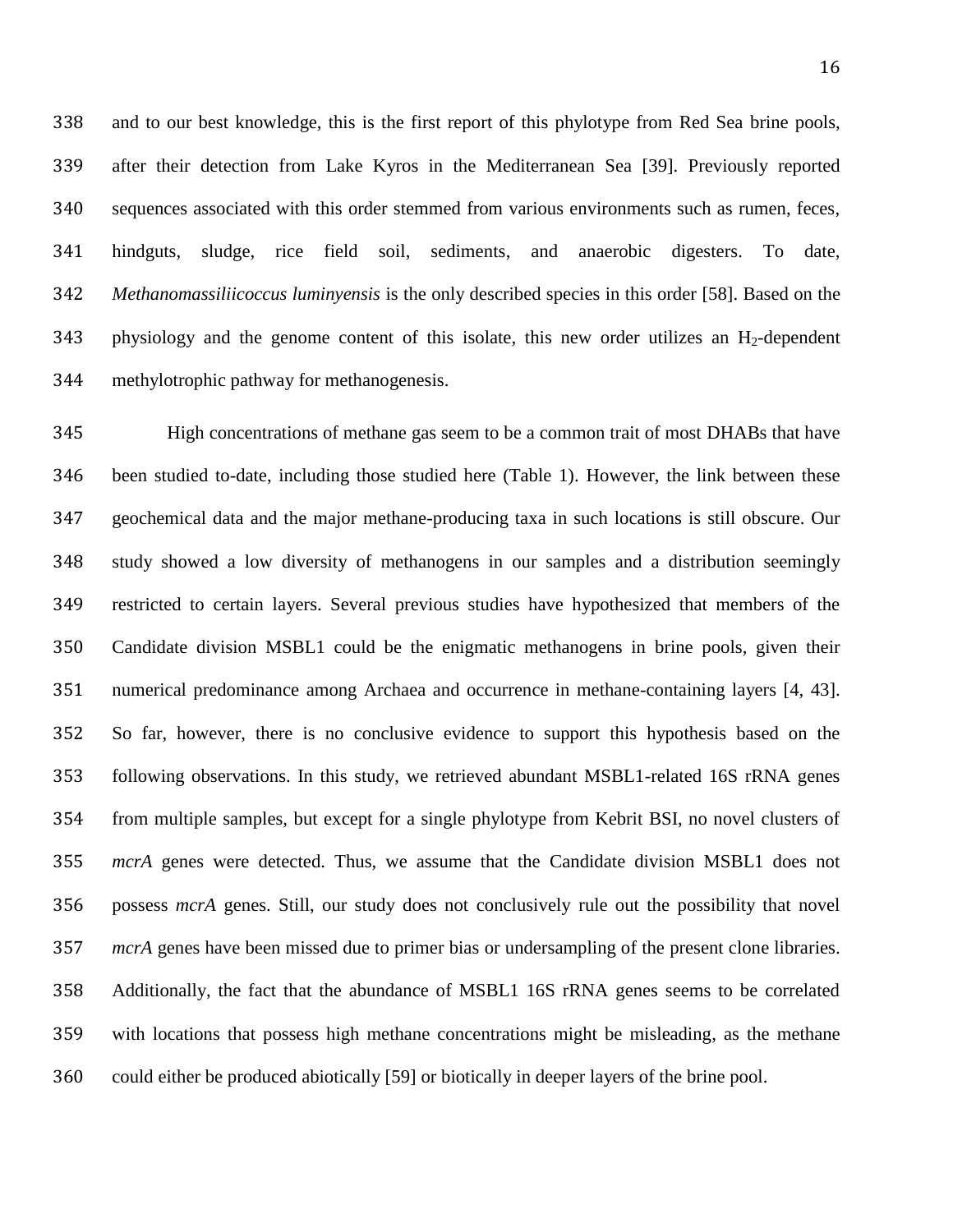and to our best knowledge, this is the first report of this phylotype from Red Sea brine pools, after their detection from Lake Kyros in the Mediterranean Sea [\[39\]](#page-27-2). Previously reported sequences associated with this order stemmed from various environments such as rumen, feces, hindguts, sludge, rice field soil, sediments, and anaerobic digesters. To date, *Methanomassiliicoccus luminyensis* is the only described species in this order [\[58\]](#page-29-7). Based on the physiology and the genome content of this isolate, this new order utilizes an H<sub>2</sub>-dependent methylotrophic pathway for methanogenesis.

 High concentrations of methane gas seem to be a common trait of most DHABs that have been studied to-date, including those studied here (Table 1). However, the link between these geochemical data and the major methane-producing taxa in such locations is still obscure. Our study showed a low diversity of methanogens in our samples and a distribution seemingly restricted to certain layers. Several previous studies have hypothesized that members of the Candidate division MSBL1 could be the enigmatic methanogens in brine pools, given their numerical predominance among Archaea and occurrence in methane-containing layers [\[4,](#page-22-3) [43\]](#page-27-6). So far, however, there is no conclusive evidence to support this hypothesis based on the following observations. In this study, we retrieved abundant MSBL1-related 16S rRNA genes from multiple samples, but except for a single phylotype from Kebrit BSI, no novel clusters of *mcrA* genes were detected. Thus, we assume that the Candidate division MSBL1 does not possess *mcrA* genes. Still, our study does not conclusively rule out the possibility that novel *mcrA* genes have been missed due to primer bias or undersampling of the present clone libraries. Additionally, the fact that the abundance of MSBL1 16S rRNA genes seems to be correlated with locations that possess high methane concentrations might be misleading, as the methane could either be produced abiotically [\[59\]](#page-30-0) or biotically in deeper layers of the brine pool.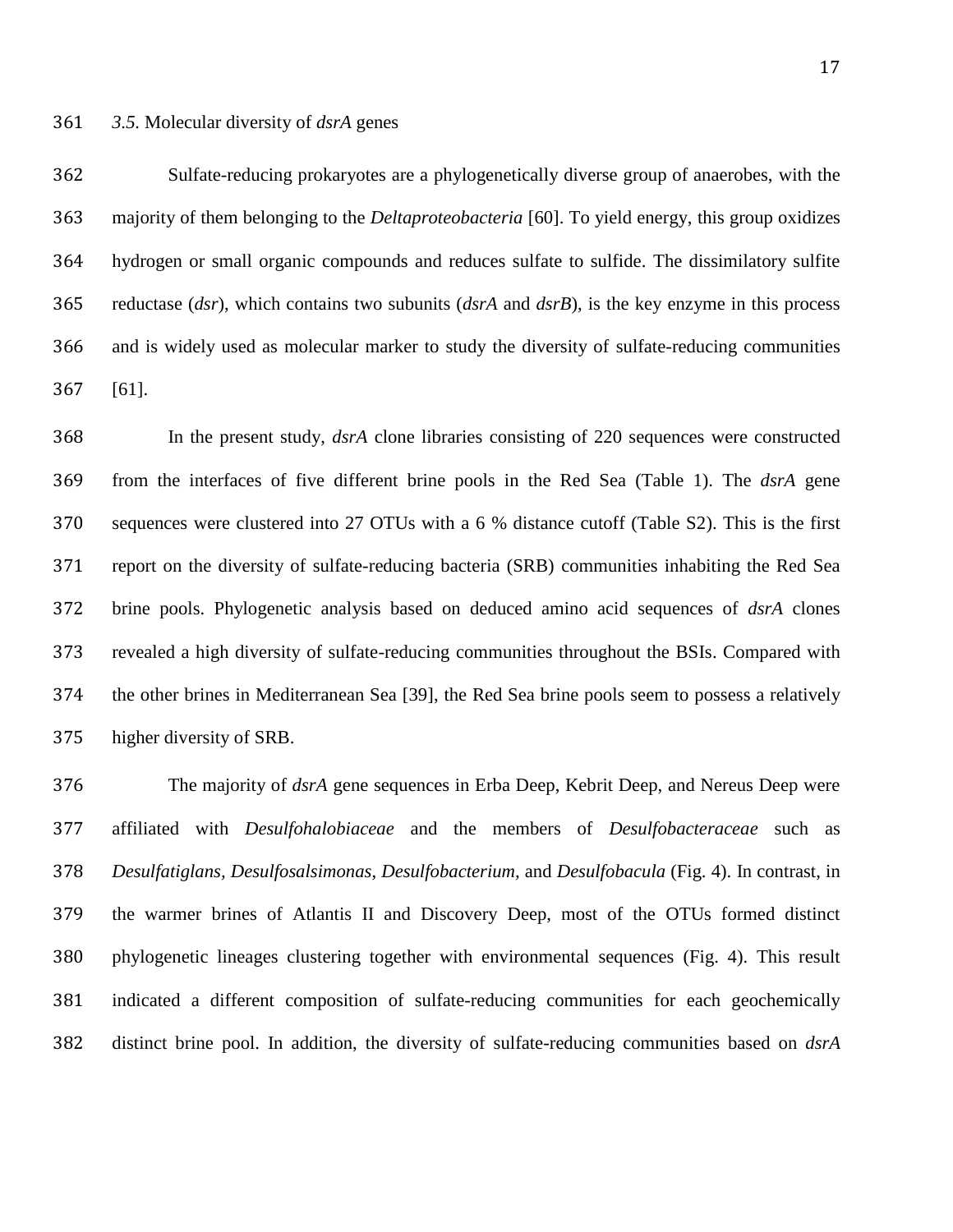Sulfate-reducing prokaryotes are a phylogenetically diverse group of anaerobes, with the majority of them belonging to the *Deltaproteobacteria* [\[60\]](#page-30-1). To yield energy, this group oxidizes hydrogen or small organic compounds and reduces sulfate to sulfide. The dissimilatory sulfite reductase (*dsr*), which contains two subunits (*dsrA* and *dsrB*), is the key enzyme in this process and is widely used as molecular marker to study the diversity of sulfate-reducing communities [\[61\]](#page-30-2).

 In the present study, *dsrA* clone libraries consisting of 220 sequences were constructed from the interfaces of five different brine pools in the Red Sea (Table 1). The *dsrA* gene sequences were clustered into 27 OTUs with a 6 % distance cutoff (Table S2). This is the first report on the diversity of sulfate-reducing bacteria (SRB) communities inhabiting the Red Sea brine pools. Phylogenetic analysis based on deduced amino acid sequences of *dsrA* clones revealed a high diversity of sulfate-reducing communities throughout the BSIs. Compared with the other brines in Mediterranean Sea [\[39\]](#page-27-2), the Red Sea brine pools seem to possess a relatively higher diversity of SRB.

 The majority of *dsrA* gene sequences in Erba Deep, Kebrit Deep, and Nereus Deep were affiliated with *Desulfohalobiaceae* and the members of *Desulfobacteraceae* such as *Desulfatiglans, Desulfosalsimonas*, *Desulfobacterium,* and *Desulfobacula* (Fig. 4). In contrast, in the warmer brines of Atlantis II and Discovery Deep, most of the OTUs formed distinct phylogenetic lineages clustering together with environmental sequences (Fig. 4). This result indicated a different composition of sulfate-reducing communities for each geochemically distinct brine pool. In addition, the diversity of sulfate-reducing communities based on *dsrA*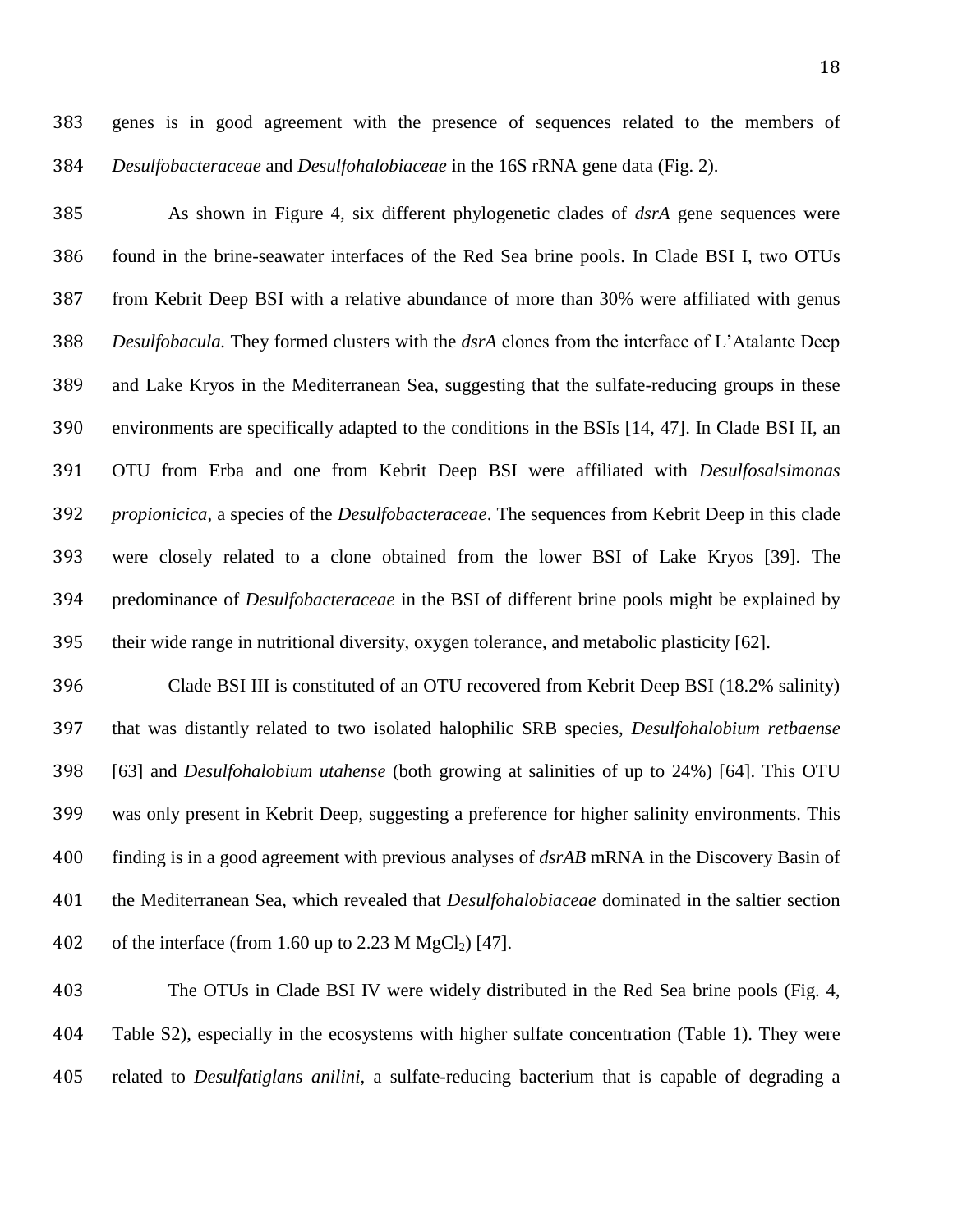genes is in good agreement with the presence of sequences related to the members of *Desulfobacteraceae* and *Desulfohalobiaceae* in the 16S rRNA gene data (Fig. 2).

 As shown in Figure 4, six different phylogenetic clades of *dsrA* gene sequences were found in the brine-seawater interfaces of the Red Sea brine pools. In Clade BSI I, two OTUs from Kebrit Deep BSI with a relative abundance of more than 30% were affiliated with genus *Desulfobacula.* They formed clusters with the *dsrA* clones from the interface of L'Atalante Deep and Lake Kryos in the Mediterranean Sea, suggesting that the sulfate-reducing groups in these environments are specifically adapted to the conditions in the BSIs [\[14,](#page-23-6) [47\]](#page-28-3). In Clade BSI II, an OTU from Erba and one from Kebrit Deep BSI were affiliated with *Desulfosalsimonas propionicica*, a species of the *Desulfobacteraceae*. The sequences from Kebrit Deep in this clade were closely related to a clone obtained from the lower BSI of Lake Kryos [\[39\]](#page-27-2). The predominance of *Desulfobacteraceae* in the BSI of different brine pools might be explained by their wide range in nutritional diversity, oxygen tolerance, and metabolic plasticity [\[62\]](#page-30-3).

 Clade BSI III is constituted of an OTU recovered from Kebrit Deep BSI (18.2% salinity) that was distantly related to two isolated halophilic SRB species, *Desulfohalobium retbaense*  [\[63\]](#page-30-4) and *Desulfohalobium utahense* (both growing at salinities of up to 24%) [\[64\]](#page-30-5). This OTU was only present in Kebrit Deep, suggesting a preference for higher salinity environments. This finding is in a good agreement with previous analyses of *dsrAB* mRNA in the Discovery Basin of the Mediterranean Sea, which revealed that *Desulfohalobiaceae* dominated in the saltier section 402 of the interface (from 1.60 up to 2.23 M MgCl<sub>2</sub>) [\[47\]](#page-28-3).

 The OTUs in Clade BSI IV were widely distributed in the Red Sea brine pools (Fig. 4, Table S2), especially in the ecosystems with higher sulfate concentration (Table 1). They were related to *Desulfatiglans anilini,* a sulfate-reducing bacterium that is capable of degrading a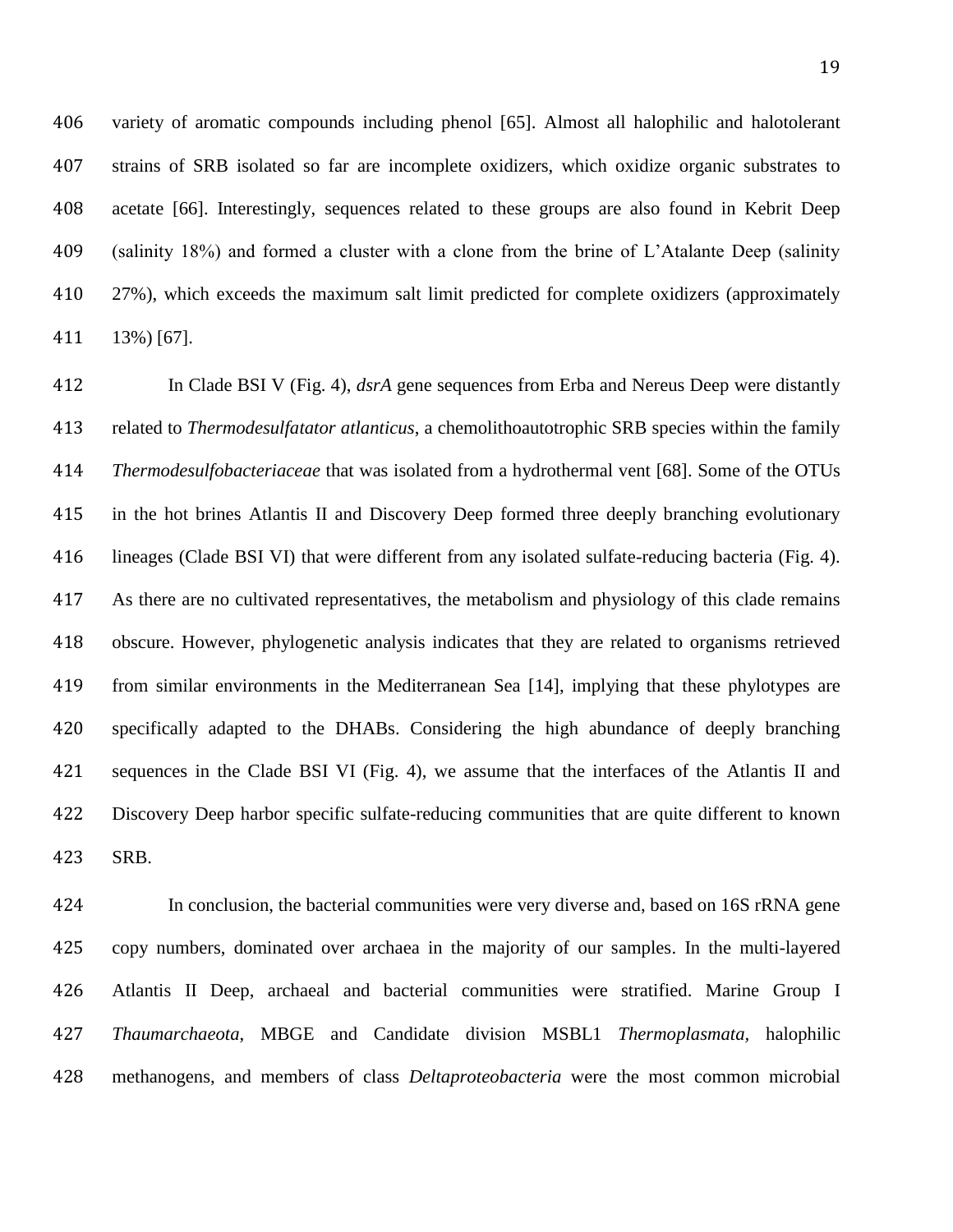variety of aromatic compounds including phenol [\[65\]](#page-30-6). Almost all halophilic and halotolerant strains of SRB isolated so far are incomplete oxidizers, which oxidize organic substrates to acetate [\[66\]](#page-31-0). Interestingly, sequences related to these groups are also found in Kebrit Deep (salinity 18%) and formed a cluster with a clone from the brine of L'Atalante Deep (salinity 27%), which exceeds the maximum salt limit predicted for complete oxidizers (approximately 13%) [\[67\]](#page-31-1).

 In Clade BSI V (Fig. 4), *dsrA* gene sequences from Erba and Nereus Deep were distantly related to *Thermodesulfatator atlanticus*, a chemolithoautotrophic SRB species within the family *Thermodesulfobacteriaceae* that was isolated from a hydrothermal vent [\[68\]](#page-31-2). Some of the OTUs in the hot brines Atlantis II and Discovery Deep formed three deeply branching evolutionary lineages (Clade BSI VI) that were different from any isolated sulfate-reducing bacteria (Fig. 4). As there are no cultivated representatives, the metabolism and physiology of this clade remains obscure. However, phylogenetic analysis indicates that they are related to organisms retrieved from similar environments in the Mediterranean Sea [\[14\]](#page-23-6), implying that these phylotypes are specifically adapted to the DHABs. Considering the high abundance of deeply branching sequences in the Clade BSI VI (Fig. 4), we assume that the interfaces of the Atlantis II and Discovery Deep harbor specific sulfate-reducing communities that are quite different to known SRB.

 In conclusion, the bacterial communities were very diverse and, based on 16S rRNA gene copy numbers, dominated over archaea in the majority of our samples. In the multi-layered Atlantis II Deep, archaeal and bacterial communities were stratified. Marine Group I *Thaumarchaeota*, MBGE and Candidate division MSBL1 *Thermoplasmata,* halophilic methanogens, and members of class *Deltaproteobacteria* were the most common microbial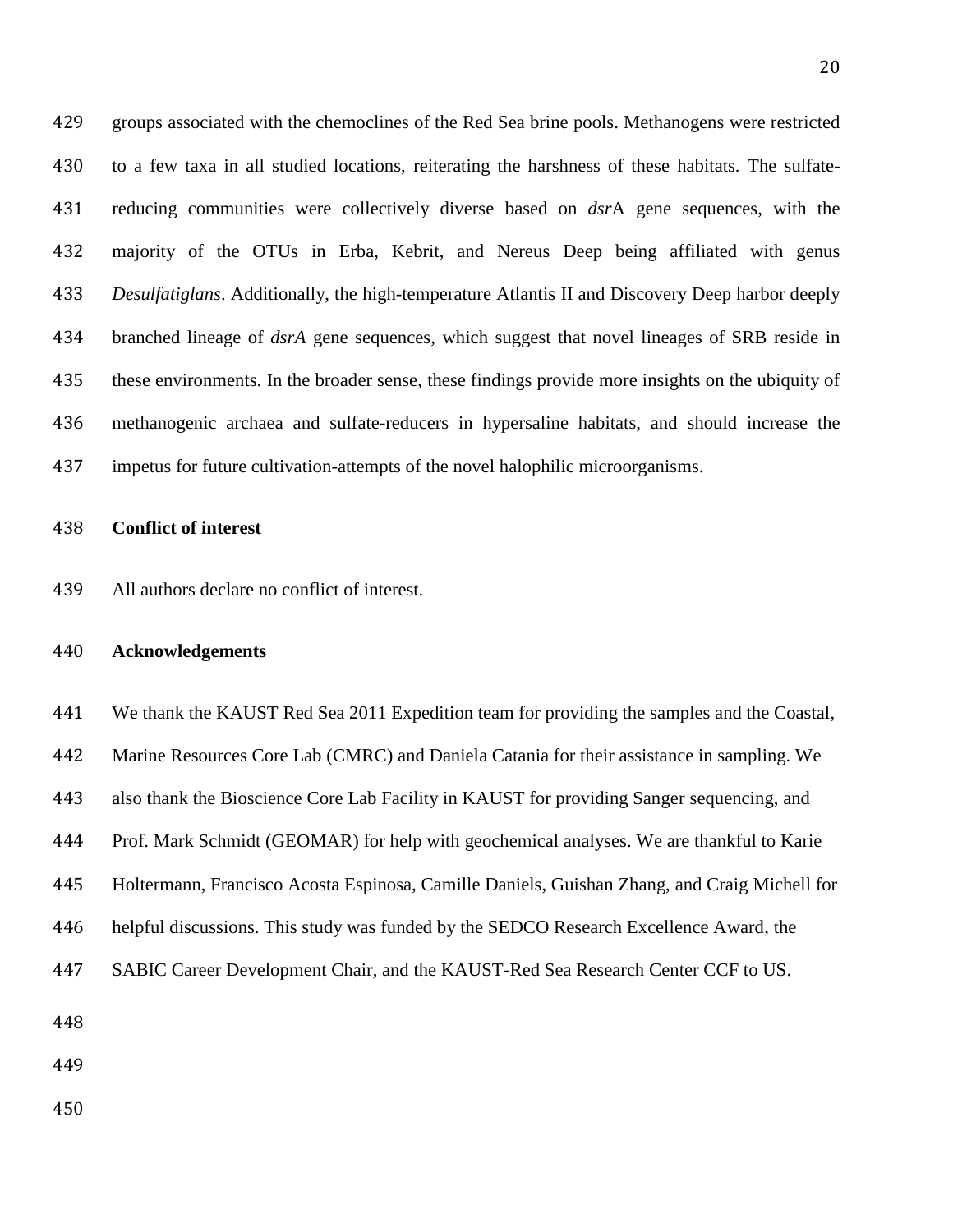groups associated with the chemoclines of the Red Sea brine pools. Methanogens were restricted to a few taxa in all studied locations, reiterating the harshness of these habitats. The sulfate- reducing communities were collectively diverse based on *dsr*A gene sequences, with the majority of the OTUs in Erba, Kebrit, and Nereus Deep being affiliated with genus *Desulfatiglans*. Additionally, the high-temperature Atlantis II and Discovery Deep harbor deeply branched lineage of *dsrA* gene sequences, which suggest that novel lineages of SRB reside in these environments. In the broader sense, these findings provide more insights on the ubiquity of methanogenic archaea and sulfate-reducers in hypersaline habitats, and should increase the impetus for future cultivation-attempts of the novel halophilic microorganisms.

#### **Conflict of interest**

All authors declare no conflict of interest.

# **Acknowledgements**

 We thank the KAUST Red Sea 2011 Expedition team for providing the samples and the Coastal, Marine Resources Core Lab (CMRC) and Daniela Catania for their assistance in sampling. We also thank the Bioscience Core Lab Facility in KAUST for providing Sanger sequencing, and Prof. Mark Schmidt (GEOMAR) for help with geochemical analyses. We are thankful to Karie Holtermann, Francisco Acosta Espinosa, Camille Daniels, Guishan Zhang, and Craig Michell for helpful discussions. This study was funded by the SEDCO Research Excellence Award, the SABIC Career Development Chair, and the KAUST-Red Sea Research Center CCF to US.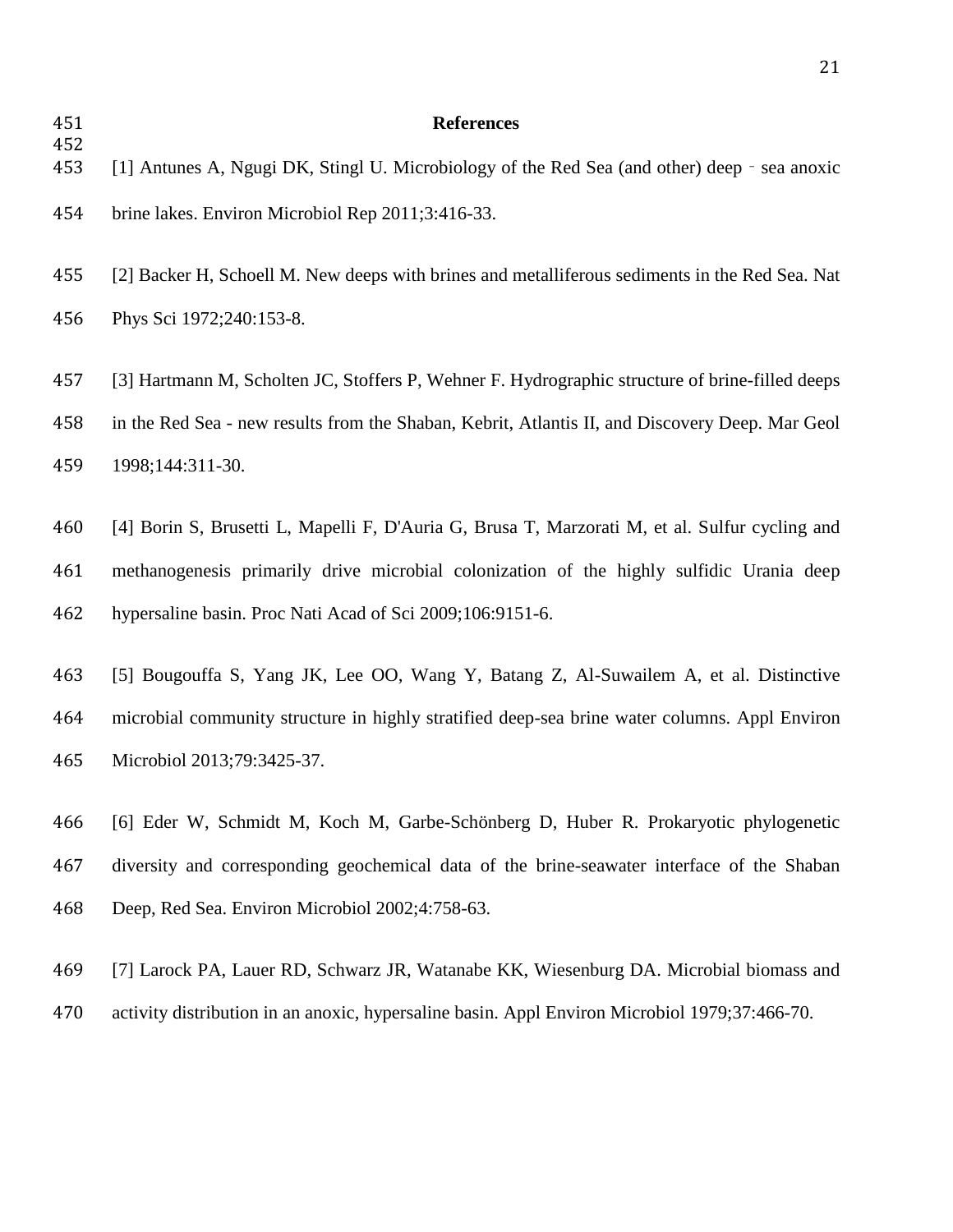# **References**

<span id="page-22-6"></span><span id="page-22-5"></span><span id="page-22-4"></span><span id="page-22-3"></span><span id="page-22-2"></span><span id="page-22-1"></span><span id="page-22-0"></span>

| 454<br>453 | [1] Antunes A, Ngugi DK, Stingl U. Microbiology of the Red Sea (and other) deep - sea anoxic    |
|------------|-------------------------------------------------------------------------------------------------|
| 454        | brine lakes. Environ Microbiol Rep 2011;3:416-33.                                               |
| 455        | [2] Backer H, Schoell M. New deeps with brines and metalliferous sediments in the Red Sea. Nat  |
| 456        | Phys Sci 1972;240:153-8.                                                                        |
| 457        | [3] Hartmann M, Scholten JC, Stoffers P, Wehner F. Hydrographic structure of brine-filled deeps |
| 458        | in the Red Sea - new results from the Shaban, Kebrit, Atlantis II, and Discovery Deep. Mar Geol |
| 459        | 1998;144:311-30.                                                                                |
|            |                                                                                                 |
| 460        | [4] Borin S, Brusetti L, Mapelli F, D'Auria G, Brusa T, Marzorati M, et al. Sulfur cycling and  |
| 461        | methanogenesis primarily drive microbial colonization of the highly sulfidic Urania deep        |
| 462        | hypersaline basin. Proc Nati Acad of Sci 2009;106:9151-6.                                       |
|            |                                                                                                 |
| 463        | [5] Bougouffa S, Yang JK, Lee OO, Wang Y, Batang Z, Al-Suwailem A, et al. Distinctive           |
| 464        | microbial community structure in highly stratified deep-sea brine water columns. Appl Environ   |
| 465        | Microbiol 2013;79:3425-37.                                                                      |
|            |                                                                                                 |
| 466        | [6] Eder W, Schmidt M, Koch M, Garbe-Schönberg D, Huber R. Prokaryotic phylogenetic             |
| 467        | diversity and corresponding geochemical data of the brine-seawater interface of the Shaban      |
| 468        | Deep, Red Sea. Environ Microbiol 2002;4:758-63.                                                 |
|            |                                                                                                 |
| 469        | [7] Larock PA, Lauer RD, Schwarz JR, Watanabe KK, Wiesenburg DA. Microbial biomass and          |
| 470        | activity distribution in an anoxic, hypersaline basin. Appl Environ Microbiol 1979;37:466-70.   |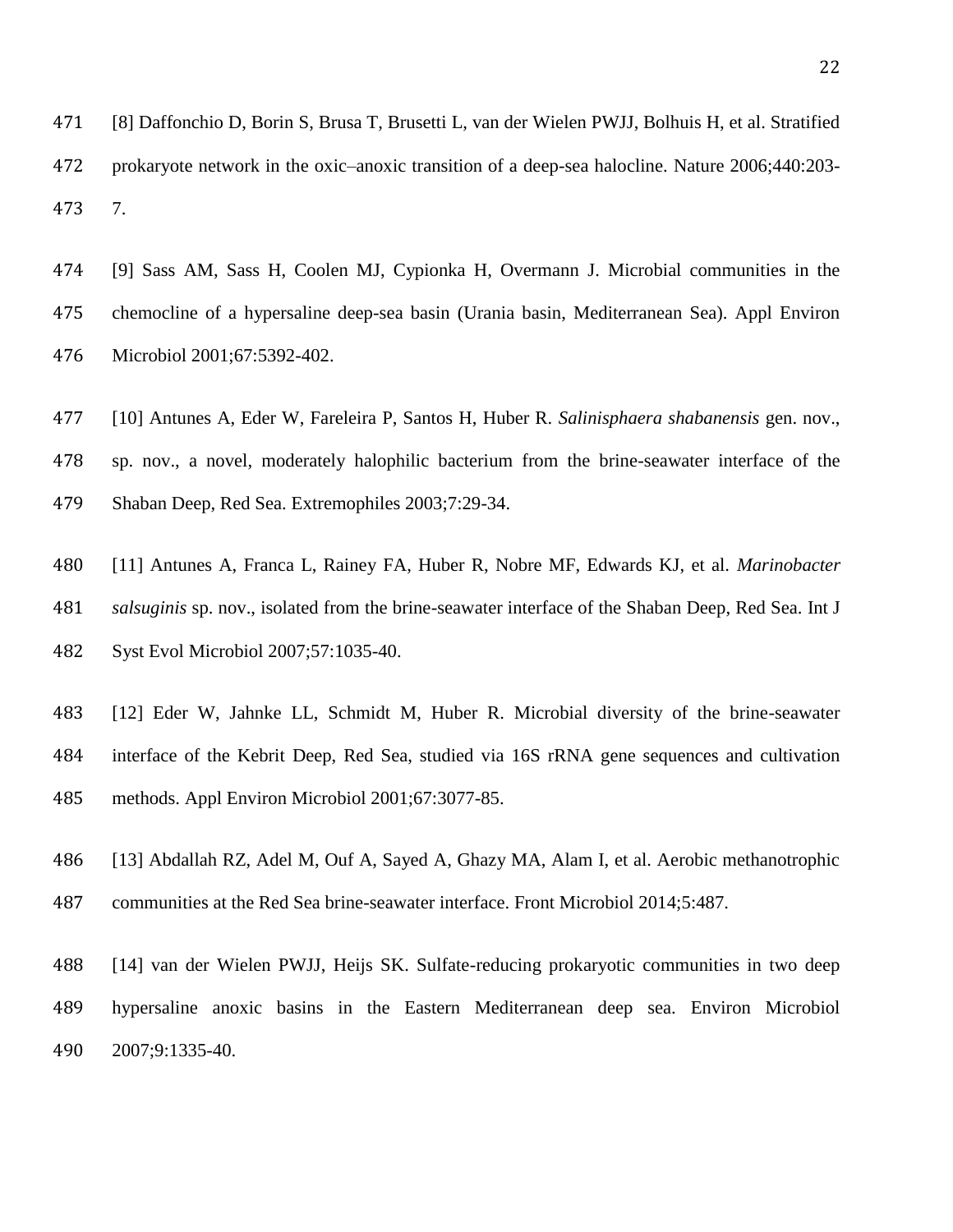<span id="page-23-0"></span> [8] Daffonchio D, Borin S, Brusa T, Brusetti L, van der Wielen PWJJ, Bolhuis H, et al. Stratified prokaryote network in the oxic–anoxic transition of a deep-sea halocline. Nature 2006;440:203- 7.

<span id="page-23-1"></span> [9] Sass AM, Sass H, Coolen MJ, Cypionka H, Overmann J. Microbial communities in the chemocline of a hypersaline deep-sea basin (Urania basin, Mediterranean Sea). Appl Environ Microbiol 2001;67:5392-402.

- <span id="page-23-2"></span>[10] Antunes A, Eder W, Fareleira P, Santos H, Huber R. *Salinisphaera shabanensis* gen. nov.,
- sp. nov., a novel, moderately halophilic bacterium from the brine-seawater interface of the
- Shaban Deep, Red Sea. Extremophiles 2003;7:29-34.
- <span id="page-23-3"></span> [11] Antunes A, Franca L, Rainey FA, Huber R, Nobre MF, Edwards KJ, et al. *Marinobacter salsuginis* sp. nov., isolated from the brine-seawater interface of the Shaban Deep, Red Sea. Int J Syst Evol Microbiol 2007;57:1035-40.
- <span id="page-23-4"></span> [12] Eder W, Jahnke LL, Schmidt M, Huber R. Microbial diversity of the brine-seawater interface of the Kebrit Deep, Red Sea, studied via 16S rRNA gene sequences and cultivation methods. Appl Environ Microbiol 2001;67:3077-85.
- <span id="page-23-5"></span> [13] Abdallah RZ, Adel M, Ouf A, Sayed A, Ghazy MA, Alam I, et al. Aerobic methanotrophic communities at the Red Sea brine-seawater interface. Front Microbiol 2014;5:487.
- <span id="page-23-6"></span> [14] van der Wielen PWJJ, Heijs SK. Sulfate-reducing prokaryotic communities in two deep hypersaline anoxic basins in the Eastern Mediterranean deep sea. Environ Microbiol 2007;9:1335-40.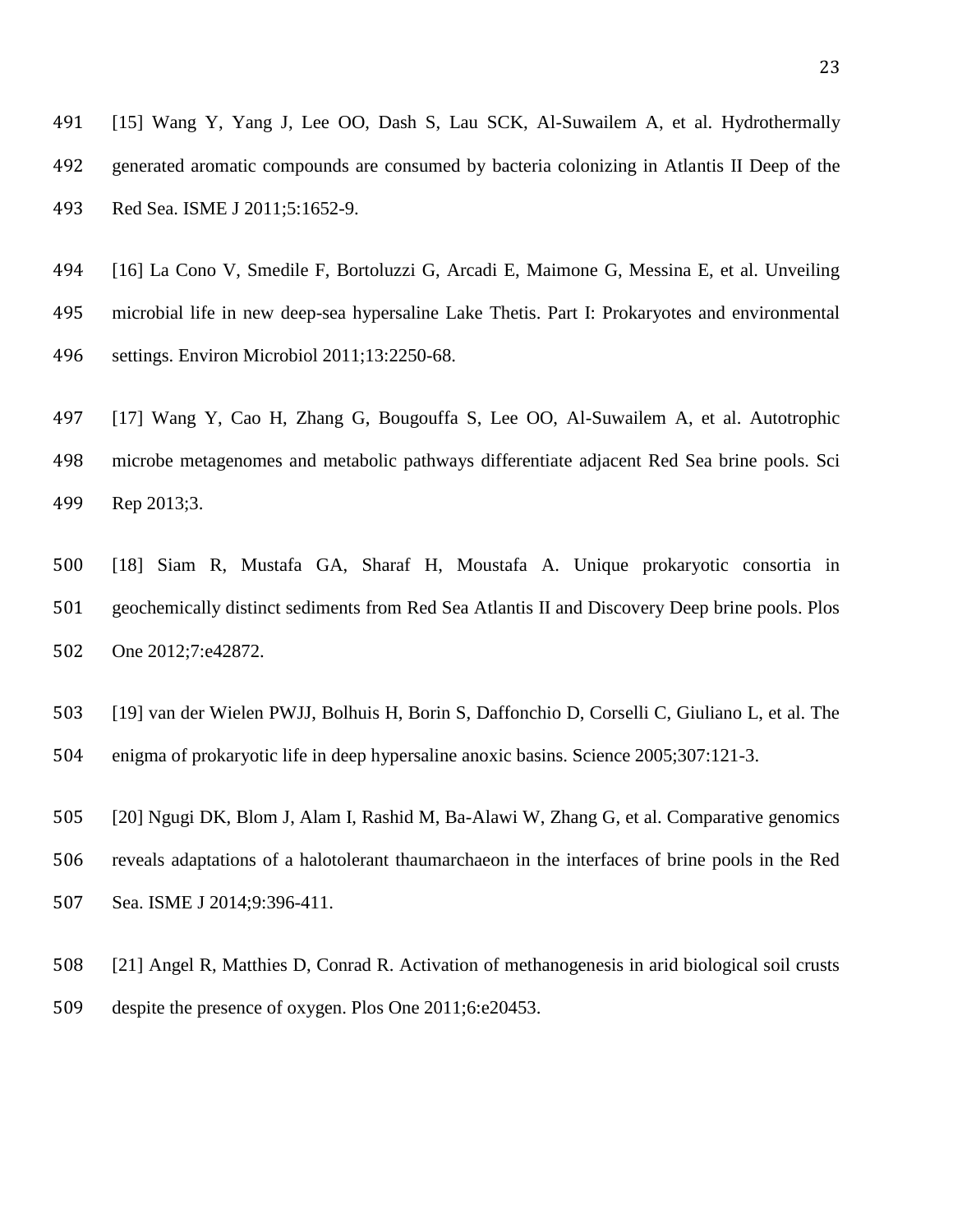<span id="page-24-0"></span> [15] Wang Y, Yang J, Lee OO, Dash S, Lau SCK, Al-Suwailem A, et al. Hydrothermally generated aromatic compounds are consumed by bacteria colonizing in Atlantis II Deep of the Red Sea. ISME J 2011;5:1652-9.

<span id="page-24-6"></span> [16] La Cono V, Smedile F, Bortoluzzi G, Arcadi E, Maimone G, Messina E, et al. Unveiling microbial life in new deep-sea hypersaline Lake Thetis. Part I: Prokaryotes and environmental settings. Environ Microbiol 2011;13:2250-68.

<span id="page-24-5"></span> [17] Wang Y, Cao H, Zhang G, Bougouffa S, Lee OO, Al-Suwailem A, et al. Autotrophic microbe metagenomes and metabolic pathways differentiate adjacent Red Sea brine pools. Sci Rep 2013;3.

<span id="page-24-1"></span> [18] Siam R, Mustafa GA, Sharaf H, Moustafa A. Unique prokaryotic consortia in geochemically distinct sediments from Red Sea Atlantis II and Discovery Deep brine pools. Plos One 2012;7:e42872.

<span id="page-24-2"></span> [19] van der Wielen PWJJ, Bolhuis H, Borin S, Daffonchio D, Corselli C, Giuliano L, et al. The enigma of prokaryotic life in deep hypersaline anoxic basins. Science 2005;307:121-3.

<span id="page-24-3"></span> [20] Ngugi DK, Blom J, Alam I, Rashid M, Ba-Alawi W, Zhang G, et al. Comparative genomics reveals adaptations of a halotolerant thaumarchaeon in the interfaces of brine pools in the Red Sea. ISME J 2014;9:396-411.

<span id="page-24-4"></span> [21] Angel R, Matthies D, Conrad R. Activation of methanogenesis in arid biological soil crusts despite the presence of oxygen. Plos One 2011;6:e20453.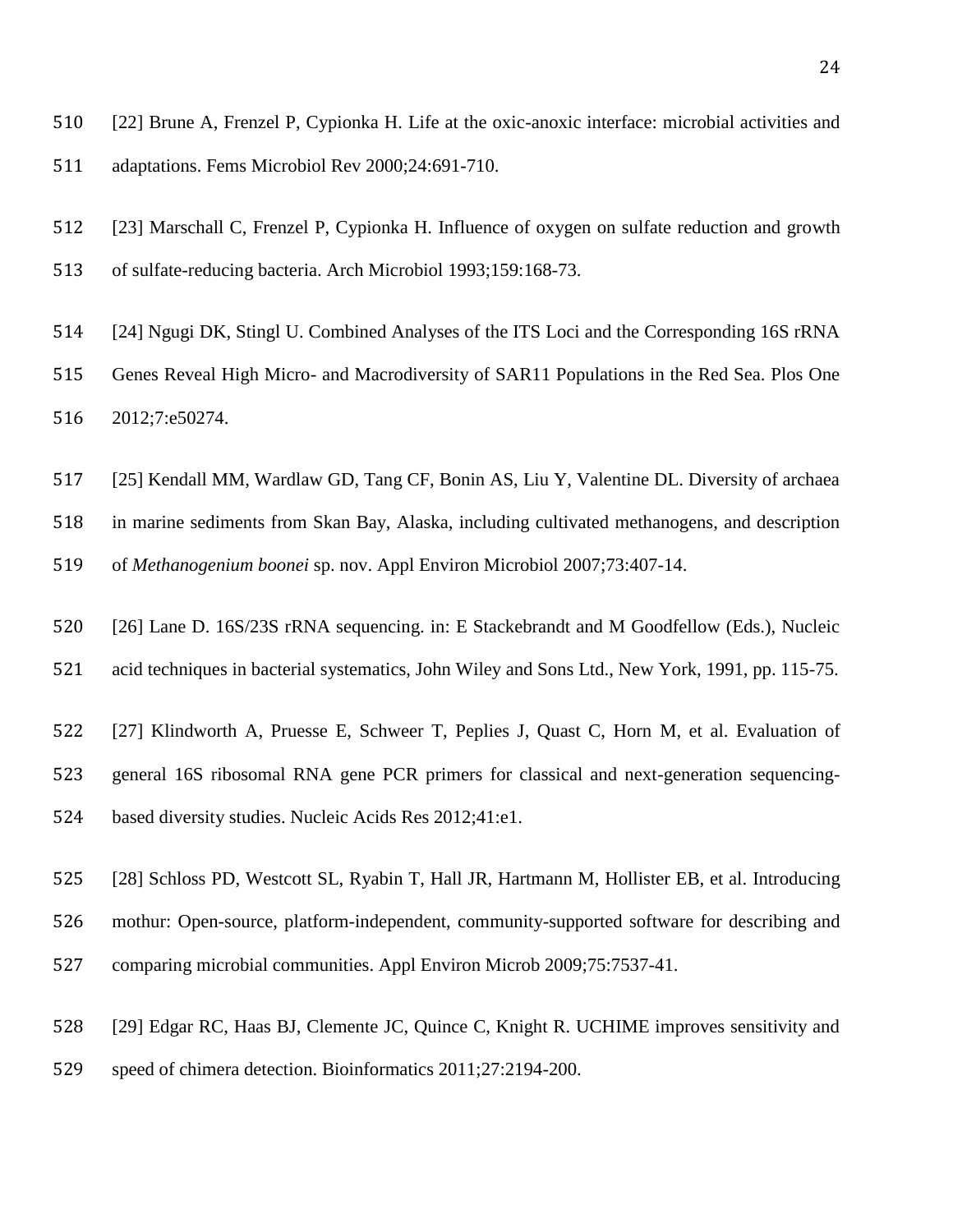[22] Brune A, Frenzel P, Cypionka H. Life at the oxic-anoxic interface: microbial activities and adaptations. Fems Microbiol Rev 2000;24:691-710.

 [23] Marschall C, Frenzel P, Cypionka H. Influence of oxygen on sulfate reduction and growth of sulfate-reducing bacteria. Arch Microbiol 1993;159:168-73.

<span id="page-25-0"></span> [24] Ngugi DK, Stingl U. Combined Analyses of the ITS Loci and the Corresponding 16S rRNA Genes Reveal High Micro- and Macrodiversity of SAR11 Populations in the Red Sea. Plos One 2012;7:e50274.

<span id="page-25-1"></span>[25] Kendall MM, Wardlaw GD, Tang CF, Bonin AS, Liu Y, Valentine DL. Diversity of archaea

 in marine sediments from Skan Bay, Alaska, including cultivated methanogens, and description of *Methanogenium boonei* sp. nov. Appl Environ Microbiol 2007;73:407-14.

<span id="page-25-2"></span> [26] Lane D. 16S/23S rRNA sequencing. in: E Stackebrandt and M Goodfellow (Eds.), Nucleic acid techniques in bacterial systematics, John Wiley and Sons Ltd., New York, 1991, pp. 115-75.

<span id="page-25-3"></span> [27] Klindworth A, Pruesse E, Schweer T, Peplies J, Quast C, Horn M, et al. Evaluation of general 16S ribosomal RNA gene PCR primers for classical and next-generation sequencing-based diversity studies. Nucleic Acids Res 2012;41:e1.

<span id="page-25-4"></span> [28] Schloss PD, Westcott SL, Ryabin T, Hall JR, Hartmann M, Hollister EB, et al. Introducing mothur: Open-source, platform-independent, community-supported software for describing and comparing microbial communities. Appl Environ Microb 2009;75:7537-41.

<span id="page-25-5"></span>[29] Edgar RC, Haas BJ, Clemente JC, Quince C, Knight R. UCHIME improves sensitivity and

speed of chimera detection. Bioinformatics 2011;27:2194-200.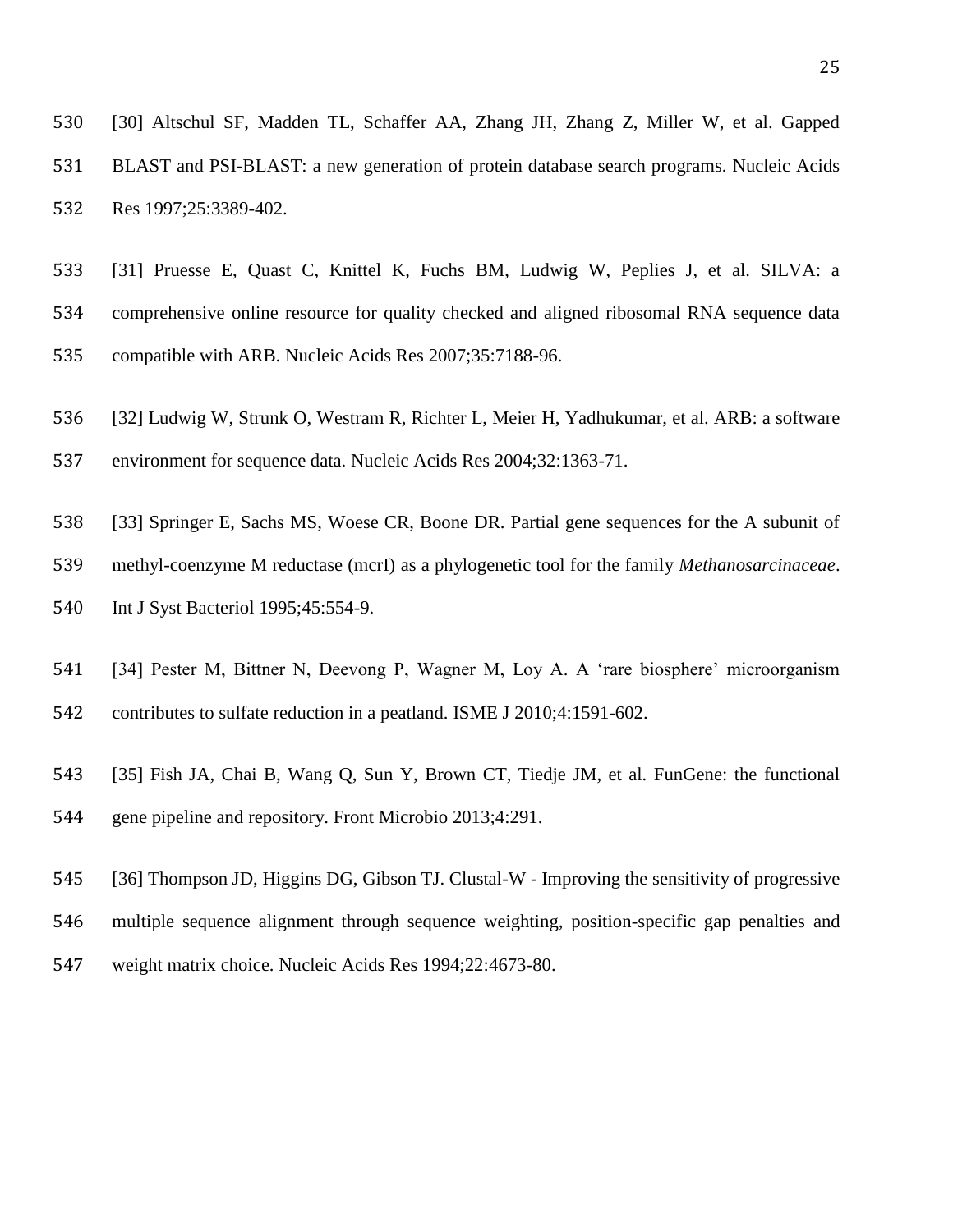<span id="page-26-0"></span> [30] Altschul SF, Madden TL, Schaffer AA, Zhang JH, Zhang Z, Miller W, et al. Gapped BLAST and PSI-BLAST: a new generation of protein database search programs. Nucleic Acids Res 1997;25:3389-402.

- <span id="page-26-1"></span> [31] Pruesse E, Quast C, Knittel K, Fuchs BM, Ludwig W, Peplies J, et al. SILVA: a comprehensive online resource for quality checked and aligned ribosomal RNA sequence data compatible with ARB. Nucleic Acids Res 2007;35:7188-96.
- <span id="page-26-2"></span>[32] Ludwig W, Strunk O, Westram R, Richter L, Meier H, Yadhukumar, et al. ARB: a software
- environment for sequence data. Nucleic Acids Res 2004;32:1363-71.
- <span id="page-26-3"></span>[33] Springer E, Sachs MS, Woese CR, Boone DR. Partial gene sequences for the A subunit of
- methyl-coenzyme M reductase (mcrI) as a phylogenetic tool for the family *Methanosarcinaceae*.
- Int J Syst Bacteriol 1995;45:554-9.
- <span id="page-26-4"></span>[34] Pester M, Bittner N, Deevong P, Wagner M, Loy A. A 'rare biosphere' microorganism
- contributes to sulfate reduction in a peatland. ISME J 2010;4:1591-602.
- <span id="page-26-5"></span> [35] Fish JA, Chai B, Wang Q, Sun Y, Brown CT, Tiedje JM, et al. FunGene: the functional gene pipeline and repository. Front Microbio 2013;4:291.
- <span id="page-26-6"></span>[36] Thompson JD, Higgins DG, Gibson TJ. Clustal-W - Improving the sensitivity of progressive
- multiple sequence alignment through sequence weighting, position-specific gap penalties and
- weight matrix choice. Nucleic Acids Res 1994;22:4673-80.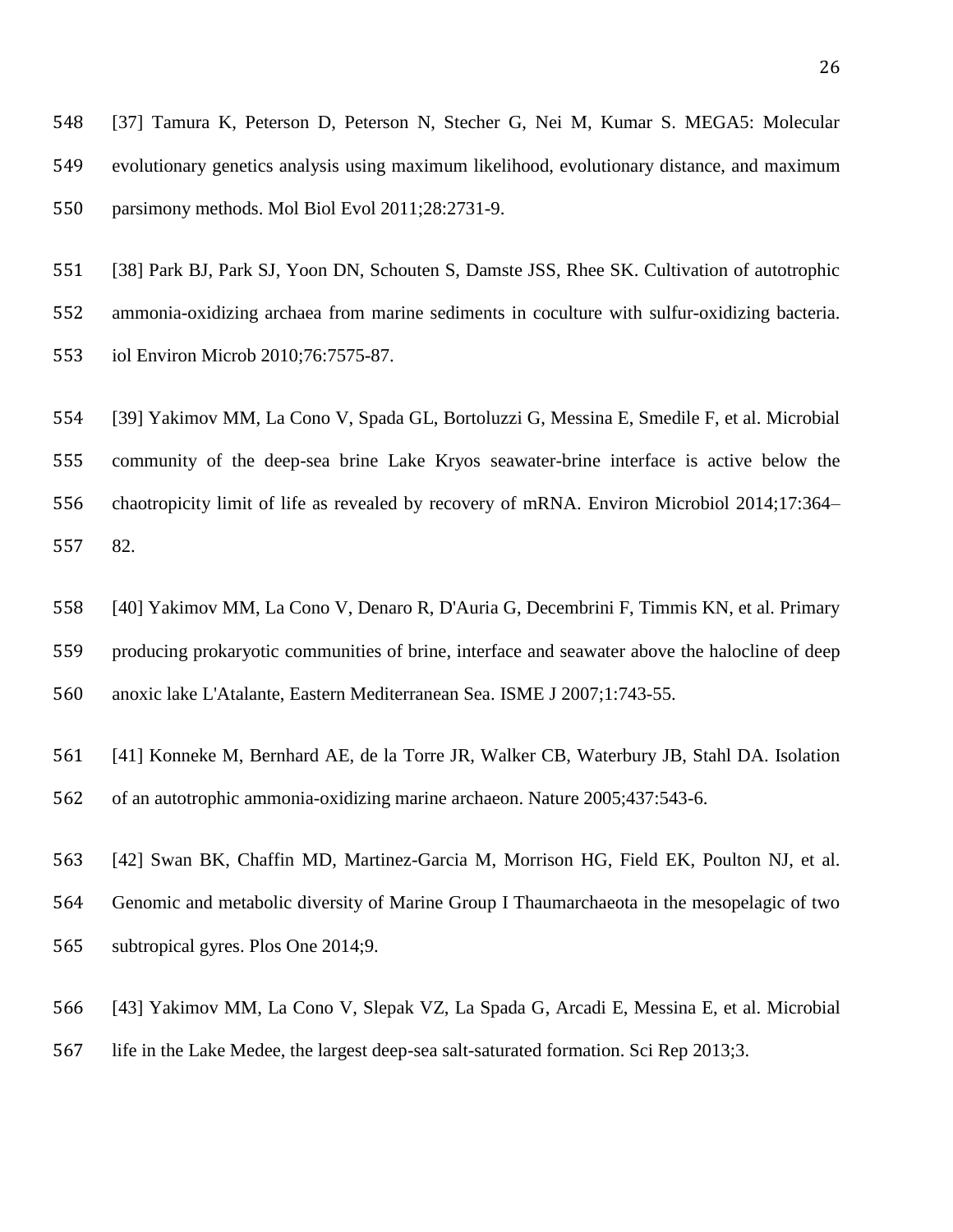<span id="page-27-0"></span> [37] Tamura K, Peterson D, Peterson N, Stecher G, Nei M, Kumar S. MEGA5: Molecular evolutionary genetics analysis using maximum likelihood, evolutionary distance, and maximum parsimony methods. Mol Biol Evol 2011;28:2731-9.

<span id="page-27-1"></span> [38] Park BJ, Park SJ, Yoon DN, Schouten S, Damste JSS, Rhee SK. Cultivation of autotrophic ammonia-oxidizing archaea from marine sediments in coculture with sulfur-oxidizing bacteria. iol Environ Microb 2010;76:7575-87.

<span id="page-27-2"></span> [39] Yakimov MM, La Cono V, Spada GL, Bortoluzzi G, Messina E, Smedile F, et al. Microbial community of the deep-sea brine Lake Kryos seawater-brine interface is active below the chaotropicity limit of life as revealed by recovery of mRNA. Environ Microbiol 2014;17:364– 82.

<span id="page-27-3"></span> [40] Yakimov MM, La Cono V, Denaro R, D'Auria G, Decembrini F, Timmis KN, et al. Primary producing prokaryotic communities of brine, interface and seawater above the halocline of deep anoxic lake L'Atalante, Eastern Mediterranean Sea. ISME J 2007;1:743-55.

<span id="page-27-4"></span> [41] Konneke M, Bernhard AE, de la Torre JR, Walker CB, Waterbury JB, Stahl DA. Isolation of an autotrophic ammonia-oxidizing marine archaeon. Nature 2005;437:543-6.

<span id="page-27-5"></span> [42] Swan BK, Chaffin MD, Martinez-Garcia M, Morrison HG, Field EK, Poulton NJ, et al. Genomic and metabolic diversity of Marine Group I Thaumarchaeota in the mesopelagic of two subtropical gyres. Plos One 2014;9.

<span id="page-27-6"></span>[43] Yakimov MM, La Cono V, Slepak VZ, La Spada G, Arcadi E, Messina E, et al. Microbial

life in the Lake Medee, the largest deep-sea salt-saturated formation. Sci Rep 2013;3.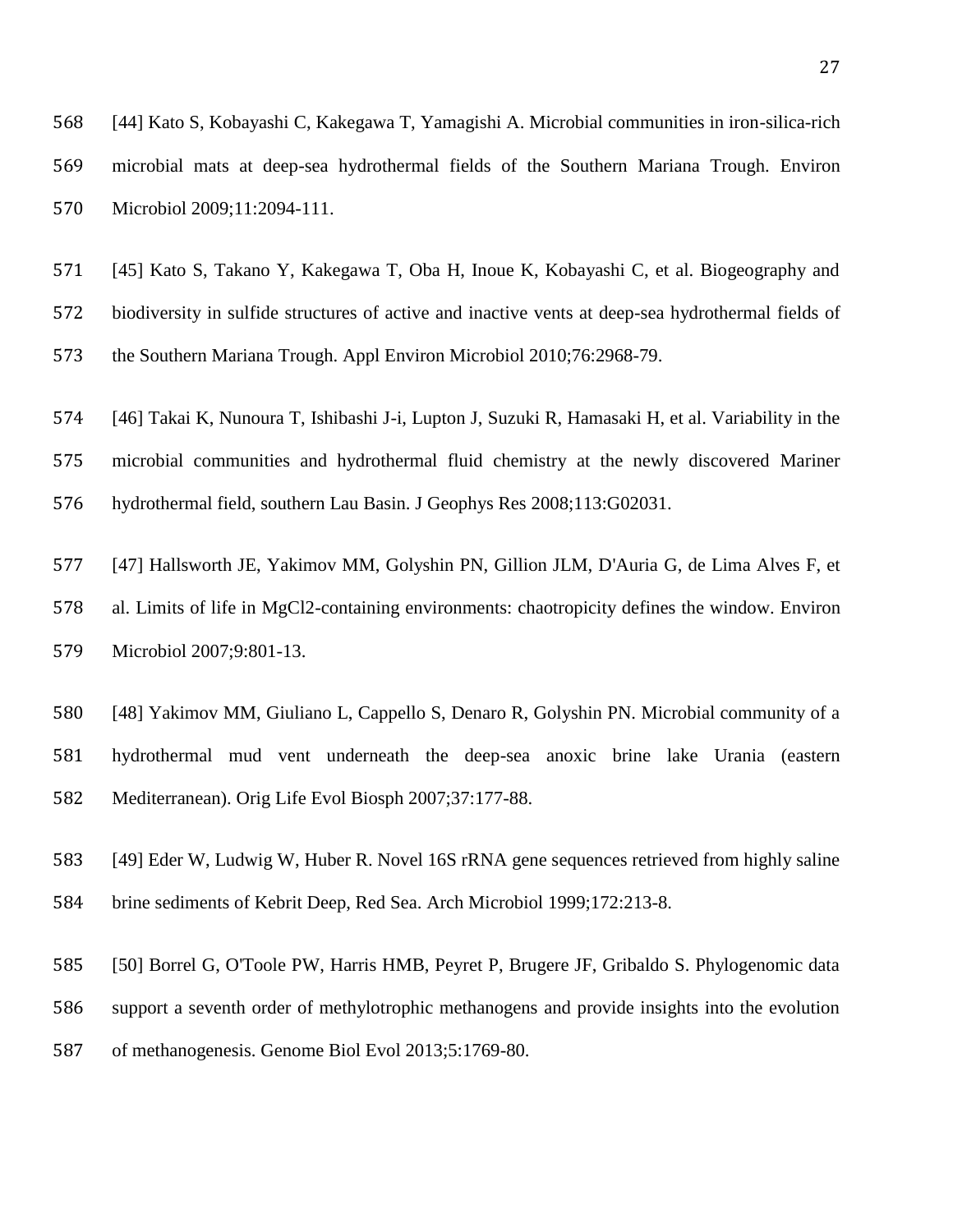<span id="page-28-0"></span> [44] Kato S, Kobayashi C, Kakegawa T, Yamagishi A. Microbial communities in iron-silica-rich microbial mats at deep-sea hydrothermal fields of the Southern Mariana Trough. Environ Microbiol 2009;11:2094-111.

<span id="page-28-1"></span> [45] Kato S, Takano Y, Kakegawa T, Oba H, Inoue K, Kobayashi C, et al. Biogeography and biodiversity in sulfide structures of active and inactive vents at deep-sea hydrothermal fields of the Southern Mariana Trough. Appl Environ Microbiol 2010;76:2968-79.

<span id="page-28-2"></span> [46] Takai K, Nunoura T, Ishibashi J-i, Lupton J, Suzuki R, Hamasaki H, et al. Variability in the microbial communities and hydrothermal fluid chemistry at the newly discovered Mariner hydrothermal field, southern Lau Basin. J Geophys Res 2008;113:G02031.

<span id="page-28-3"></span> [47] Hallsworth JE, Yakimov MM, Golyshin PN, Gillion JLM, D'Auria G, de Lima Alves F, et al. Limits of life in MgCl2-containing environments: chaotropicity defines the window. Environ Microbiol 2007;9:801-13.

<span id="page-28-4"></span> [48] Yakimov MM, Giuliano L, Cappello S, Denaro R, Golyshin PN. Microbial community of a hydrothermal mud vent underneath the deep-sea anoxic brine lake Urania (eastern Mediterranean). Orig Life Evol Biosph 2007;37:177-88.

<span id="page-28-5"></span> [49] Eder W, Ludwig W, Huber R. Novel 16S rRNA gene sequences retrieved from highly saline brine sediments of Kebrit Deep, Red Sea. Arch Microbiol 1999;172:213-8.

<span id="page-28-6"></span> [50] Borrel G, O'Toole PW, Harris HMB, Peyret P, Brugere JF, Gribaldo S. Phylogenomic data support a seventh order of methylotrophic methanogens and provide insights into the evolution of methanogenesis. Genome Biol Evol 2013;5:1769-80.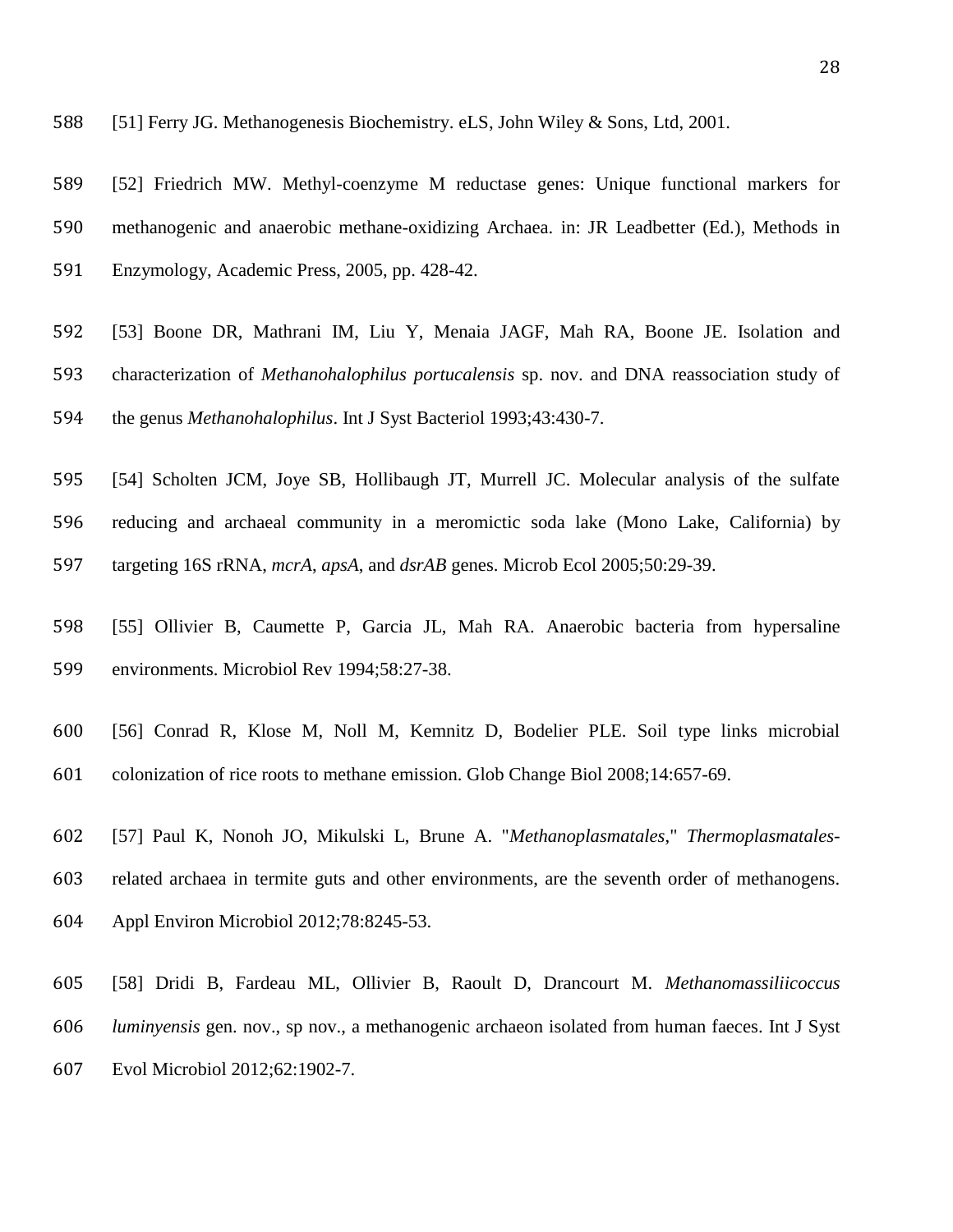- <span id="page-29-1"></span> [52] Friedrich MW. Methyl-coenzyme M reductase genes: Unique functional markers for methanogenic and anaerobic methane-oxidizing Archaea. in: JR Leadbetter (Ed.), Methods in Enzymology, Academic Press, 2005, pp. 428-42.
- <span id="page-29-2"></span> [53] Boone DR, Mathrani IM, Liu Y, Menaia JAGF, Mah RA, Boone JE. Isolation and characterization of *Methanohalophilus portucalensis* sp. nov. and DNA reassociation study of the genus *Methanohalophilus*. Int J Syst Bacteriol 1993;43:430-7.
- <span id="page-29-3"></span> [54] Scholten JCM, Joye SB, Hollibaugh JT, Murrell JC. Molecular analysis of the sulfate reducing and archaeal community in a meromictic soda lake (Mono Lake, California) by targeting 16S rRNA, *mcrA*, *apsA*, and *dsrAB* genes. Microb Ecol 2005;50:29-39.
- <span id="page-29-4"></span> [55] Ollivier B, Caumette P, Garcia JL, Mah RA. Anaerobic bacteria from hypersaline environments. Microbiol Rev 1994;58:27-38.
- <span id="page-29-5"></span>[56] Conrad R, Klose M, Noll M, Kemnitz D, Bodelier PLE. Soil type links microbial
- colonization of rice roots to methane emission. Glob Change Biol 2008;14:657-69.
- <span id="page-29-6"></span> [57] Paul K, Nonoh JO, Mikulski L, Brune A. "*Methanoplasmatales*," *Thermoplasmatales*-related archaea in termite guts and other environments, are the seventh order of methanogens.
- Appl Environ Microbiol 2012;78:8245-53.
- <span id="page-29-7"></span> [58] Dridi B, Fardeau ML, Ollivier B, Raoult D, Drancourt M. *Methanomassiliicoccus luminyensis* gen. nov., sp nov., a methanogenic archaeon isolated from human faeces. Int J Syst Evol Microbiol 2012;62:1902-7.

<span id="page-29-0"></span>[51] Ferry JG. Methanogenesis Biochemistry. eLS, John Wiley & Sons, Ltd, 2001.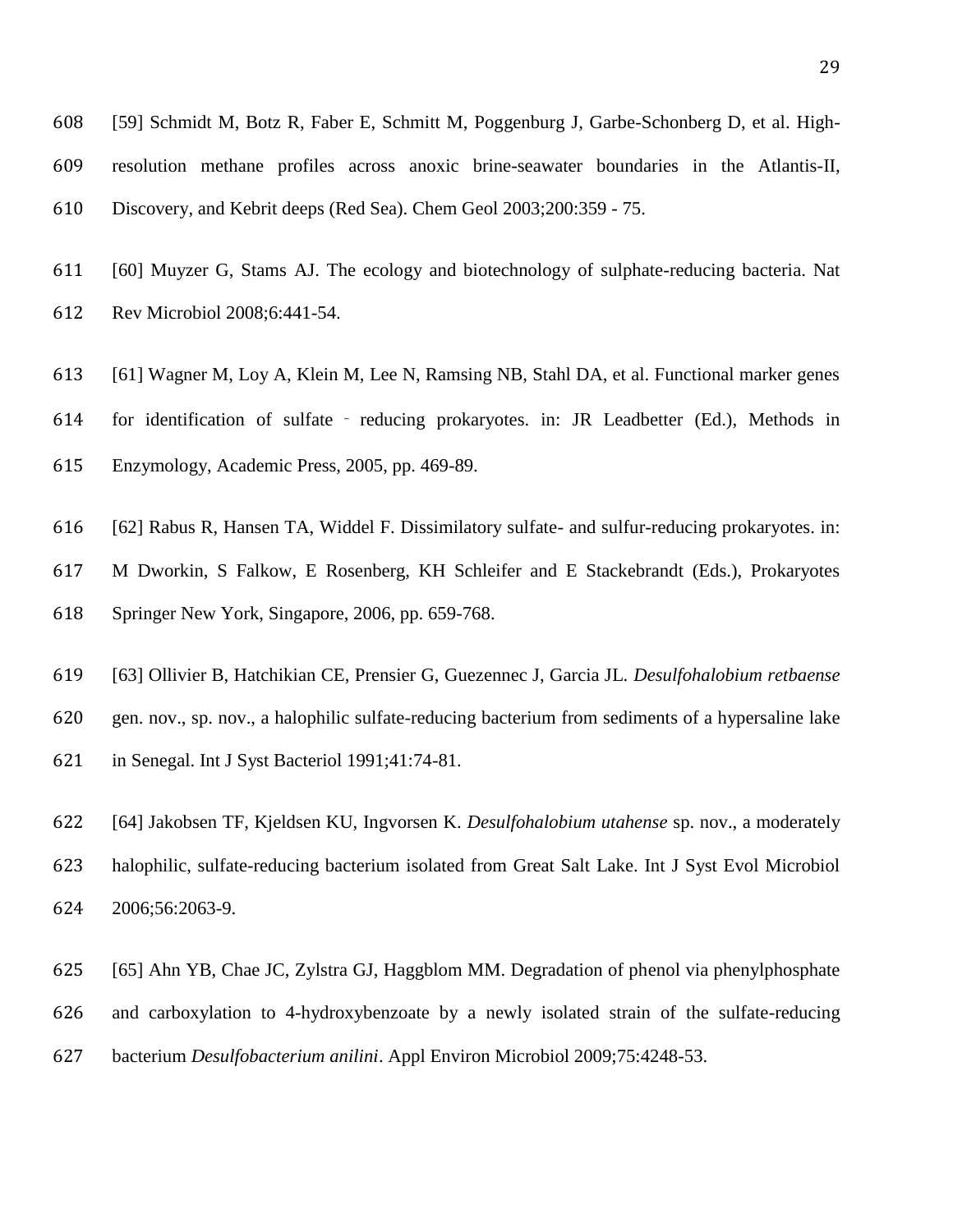- <span id="page-30-0"></span> [59] Schmidt M, Botz R, Faber E, Schmitt M, Poggenburg J, Garbe-Schonberg D, et al. High- resolution methane profiles across anoxic brine-seawater boundaries in the Atlantis-II, Discovery, and Kebrit deeps (Red Sea). Chem Geol 2003;200:359 - 75.
- <span id="page-30-1"></span> [60] Muyzer G, Stams AJ. The ecology and biotechnology of sulphate-reducing bacteria. Nat Rev Microbiol 2008;6:441-54.
- <span id="page-30-2"></span>[61] Wagner M, Loy A, Klein M, Lee N, Ramsing NB, Stahl DA, et al. Functional marker genes
- for identification of sulfate ‐ reducing prokaryotes. in: JR Leadbetter (Ed.), Methods in
- Enzymology, Academic Press, 2005, pp. 469-89.
- <span id="page-30-3"></span> [62] Rabus R, Hansen TA, Widdel F. Dissimilatory sulfate- and sulfur-reducing prokaryotes. in: M Dworkin, S Falkow, E Rosenberg, KH Schleifer and E Stackebrandt (Eds.), Prokaryotes Springer New York, Singapore, 2006, pp. 659-768.
- <span id="page-30-4"></span>[63] Ollivier B, Hatchikian CE, Prensier G, Guezennec J, Garcia JL. *Desulfohalobium retbaense*
- gen. nov., sp. nov., a halophilic sulfate-reducing bacterium from sediments of a hypersaline lake
- in Senegal. Int J Syst Bacteriol 1991;41:74-81.
- <span id="page-30-5"></span> [64] Jakobsen TF, Kjeldsen KU, Ingvorsen K. *Desulfohalobium utahense* sp. nov., a moderately halophilic, sulfate-reducing bacterium isolated from Great Salt Lake. Int J Syst Evol Microbiol 2006;56:2063-9.
- <span id="page-30-6"></span> [65] Ahn YB, Chae JC, Zylstra GJ, Haggblom MM. Degradation of phenol via phenylphosphate and carboxylation to 4-hydroxybenzoate by a newly isolated strain of the sulfate-reducing bacterium *Desulfobacterium anilini*. Appl Environ Microbiol 2009;75:4248-53.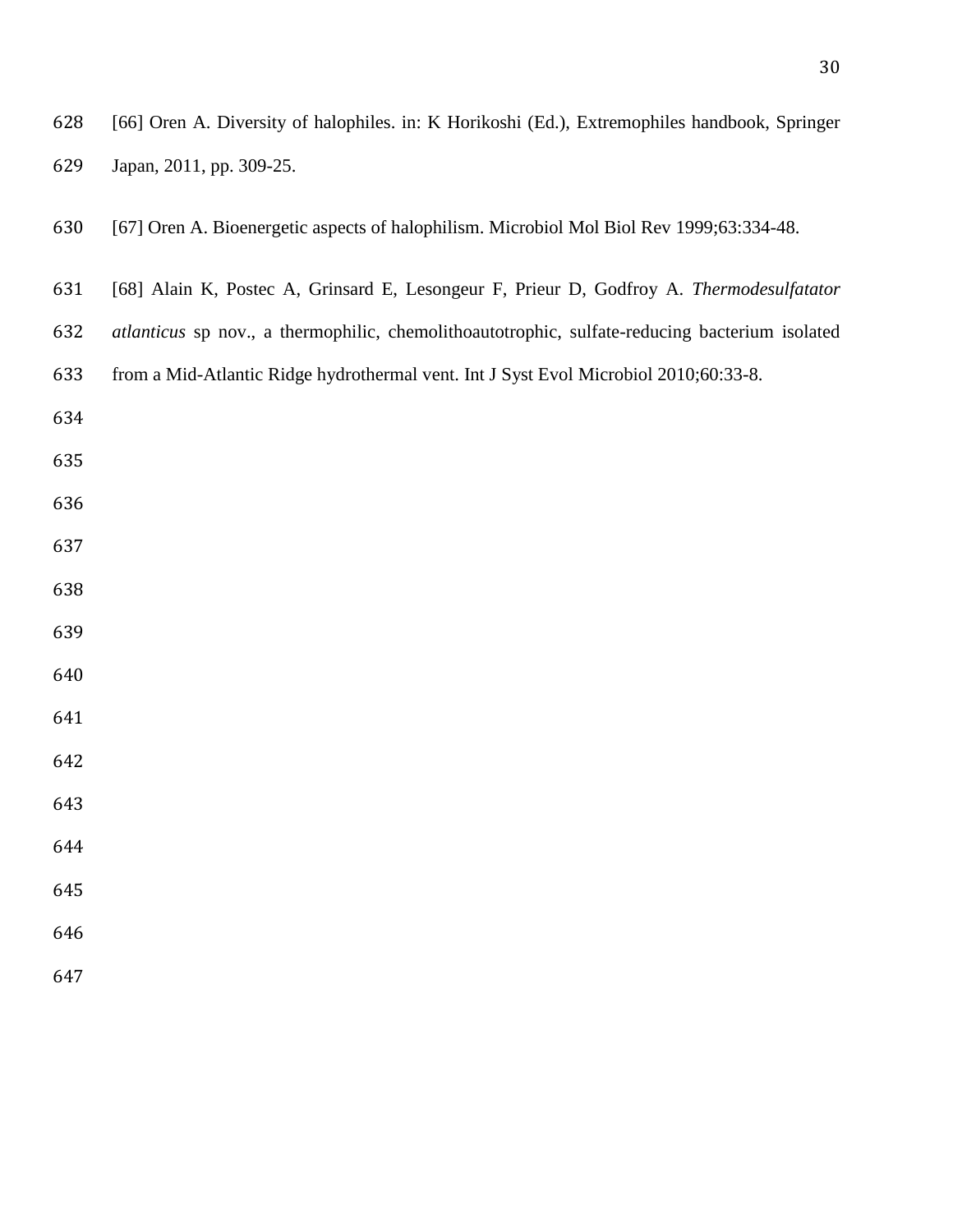<span id="page-31-2"></span><span id="page-31-1"></span><span id="page-31-0"></span>

| 628 | [66] Oren A. Diversity of halophiles. in: K Horikoshi (Ed.), Extremophiles handbook, Springer  |
|-----|------------------------------------------------------------------------------------------------|
| 629 | Japan, 2011, pp. 309-25.                                                                       |
| 630 | [67] Oren A. Bioenergetic aspects of halophilism. Microbiol Mol Biol Rev 1999;63:334-48.       |
| 631 | [68] Alain K, Postec A, Grinsard E, Lesongeur F, Prieur D, Godfroy A. Thermodesulfatator       |
| 632 | atlanticus sp nov., a thermophilic, chemolithoautotrophic, sulfate-reducing bacterium isolated |
| 633 | from a Mid-Atlantic Ridge hydrothermal vent. Int J Syst Evol Microbiol 2010;60:33-8.           |
| 634 |                                                                                                |
| 635 |                                                                                                |
| 636 |                                                                                                |
| 637 |                                                                                                |
| 638 |                                                                                                |
| 639 |                                                                                                |
| 640 |                                                                                                |
| 641 |                                                                                                |
| 642 |                                                                                                |
| 643 |                                                                                                |
| 644 |                                                                                                |
| 645 |                                                                                                |
| 646 |                                                                                                |
| 647 |                                                                                                |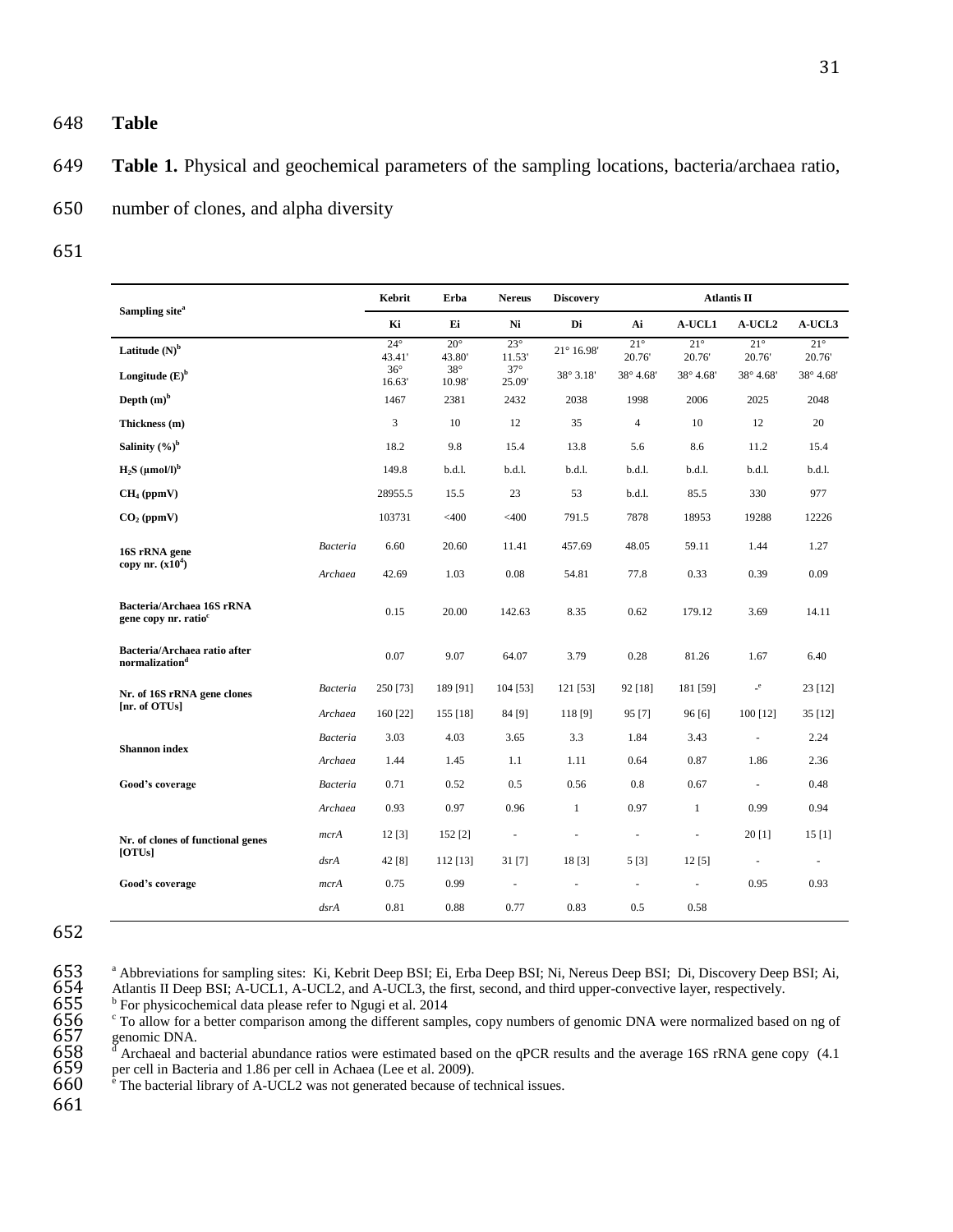- 648 **Table**
- 649 **Table 1.** Physical and geochemical parameters of the sampling locations, bacteria/archaea ratio,

650 number of clones, and alpha diversity

651

| Sampling site <sup>a</sup>                                    |                 | Kebrit                 | Erba                   | <b>Nereus</b>        | <b>Discovery</b>         | <b>Atlantis II</b>   |                       |                                       |                     |
|---------------------------------------------------------------|-----------------|------------------------|------------------------|----------------------|--------------------------|----------------------|-----------------------|---------------------------------------|---------------------|
|                                                               |                 | Ki                     | Ei                     | Ni                   | Di                       | Ai                   | A-UCL1                | A-UCL2                                | A-UCL3              |
| Latitude $(N)^b$                                              |                 | $24^{\circ}$<br>43.41' | $20^{\circ}$<br>43.80' | $23^\circ$<br>11.53' | $21^{\circ}$ 16.98'      | $21^\circ$<br>20.76' | $21^{\circ}$<br>20.76 | $21^{\circ}$<br>20.76                 | $21^\circ$<br>20.76 |
| Longitude $(E)^b$                                             |                 | $36^\circ$<br>16.63'   | $38^\circ$<br>10.98'   | $37^\circ$<br>25.09' | 38° 3.18'                | 38° 4.68'            | 38° 4.68'             | 38° 4.68'                             | 38° 4.68'           |
| Depth $(m)^b$                                                 |                 | 1467                   | 2381                   | 2432                 | 2038                     | 1998                 | 2006                  | 2025                                  | 2048                |
| Thickness (m)                                                 |                 | $\overline{3}$         | 10                     | 12                   | 35                       | $\overline{4}$       | 10                    | 12                                    | 20                  |
| Salinity $(%)^b$                                              |                 | 18.2                   | 9.8                    | 15.4                 | 13.8                     | 5.6                  | 8.6                   | 11.2                                  | 15.4                |
| $H_2S$ (umol/l) <sup>b</sup>                                  |                 | 149.8                  | b.d.1.                 | b.d.l.               | b.d.l.                   | b.d.l.               | b.d.l.                | b.d.l.                                | b.d.l.              |
| $CH4$ (ppmV)                                                  |                 | 28955.5                | 15.5                   | 23                   | 53                       | b.d.1.               | 85.5                  | 330                                   | 977                 |
| $CO2$ (ppmV)                                                  |                 | 103731                 | $<$ 400                | $<$ 400              | 791.5                    | 7878                 | 18953                 | 19288                                 | 12226               |
| 16S rRNA gene                                                 | <b>Bacteria</b> | 6.60                   | 20.60                  | 11.41                | 457.69                   | 48.05                | 59.11                 | 1.44                                  | 1.27                |
| copy nr. $(x10^4)$                                            | Archaea         | 42.69                  | 1.03                   | 0.08                 | 54.81                    | 77.8                 | 0.33                  | 0.39                                  | 0.09                |
| Bacteria/Archaea 16S rRNA<br>gene copy nr. ratio <sup>c</sup> |                 | 0.15                   | 20.00                  | 142.63               | 8.35                     | 0.62                 | 179.12                | 3.69                                  | 14.11               |
| Bacteria/Archaea ratio after<br>normalization <sup>d</sup>    |                 | 0.07                   | 9.07                   | 64.07                | 3.79                     | 0.28                 | 81.26                 | 1.67                                  | 6.40                |
| Nr. of 16S rRNA gene clones                                   | <b>Bacteria</b> | 250 [73]               | 189 [91]               | 104 [53]             | 121 [53]                 | 92 [18]              | 181 [59]              | $\mathbin{\relax{\text{--}}}{^\circ}$ | 23 [12]             |
| [nr. of OTUs]                                                 | Archaea         | 160 [22]               | 155 [18]               | 84 [9]               | 118 [9]                  | 95 [7]               | 96[6]                 | $100$ [12]                            | 35 [12]             |
| <b>Shannon</b> index                                          | <b>Bacteria</b> | 3.03                   | 4.03                   | 3.65                 | 3.3                      | 1.84                 | 3.43                  | ä,                                    | 2.24                |
|                                                               | Archaea         | 1.44                   | 1.45                   | 1.1                  | 1.11                     | 0.64                 | 0.87                  | 1.86                                  | 2.36                |
| Good's coverage                                               | <b>Bacteria</b> | 0.71                   | 0.52                   | 0.5                  | 0.56                     | 0.8                  | 0.67                  | $\omega$                              | 0.48                |
|                                                               | Archaea         | 0.93                   | 0.97                   | 0.96                 | $\mathbf{1}$             | 0.97                 | $\mathbf{1}$          | 0.99                                  | 0.94                |
| Nr. of clones of functional genes                             | mcrA            | 12[3]                  | $152$ [2]              | $\bar{a}$            | ÷,                       | $\bar{\phantom{a}}$  | $\bar{\phantom{a}}$   | 20[1]                                 | 15[1]               |
| [OTUs]                                                        | dsrA            | 42 [8]                 | $112$ [13]             | 31 [7]               | 18 [3]                   | 5 [3]                | 12[5]                 | ä,                                    | $\bar{a}$           |
| Good's coverage                                               | mcrA            | 0.75                   | 0.99                   | $\blacksquare$       | $\overline{\phantom{a}}$ | $\blacksquare$       | $\bar{a}$             | 0.95                                  | 0.93                |
|                                                               | dsrA            | 0.81                   | 0.88                   | 0.77                 | 0.83                     | 0.5                  | 0.58                  |                                       |                     |

<sup>652</sup>

654 Atlantis II Deep BSI; A-UCL1, A-UCL2, and A-UCL3, the first, second, and third upper-convective layer, respectively.

 $<sup>b</sup>$  For physicochemical data please refer to Ngugi et al. 2014</sup>

<sup>c</sup> To allow for a better comparison among the different samples, copy numbers of genomic DNA were normalized based on ng of 657 genomic DNA.

<sup>a</sup> Abbreviations for sampling sites: Ki, Kebrit Deep BSI; Ei, Erba Deep BSI; Ni, Nereus Deep BSI; Di, Discovery Deep BSI; Ai,<br> **654** Atlantis II Deep BSI; A-UCL1, A-UCL2, and A-UCL3, the first, second, and third upper-con  $658$   $\textdegree$ <sup>d</sup> Archaeal and bacterial abundance ratios were estimated based on the qPCR results and the average 16S rRNA gene copy (4.1) 659 per cell in Bacteria and 1.86 per cell in Achaea (Lee et al. 2009).

 $660$  <sup>e</sup> The bacterial library of A-UCL2 was not generated because of technical issues.

661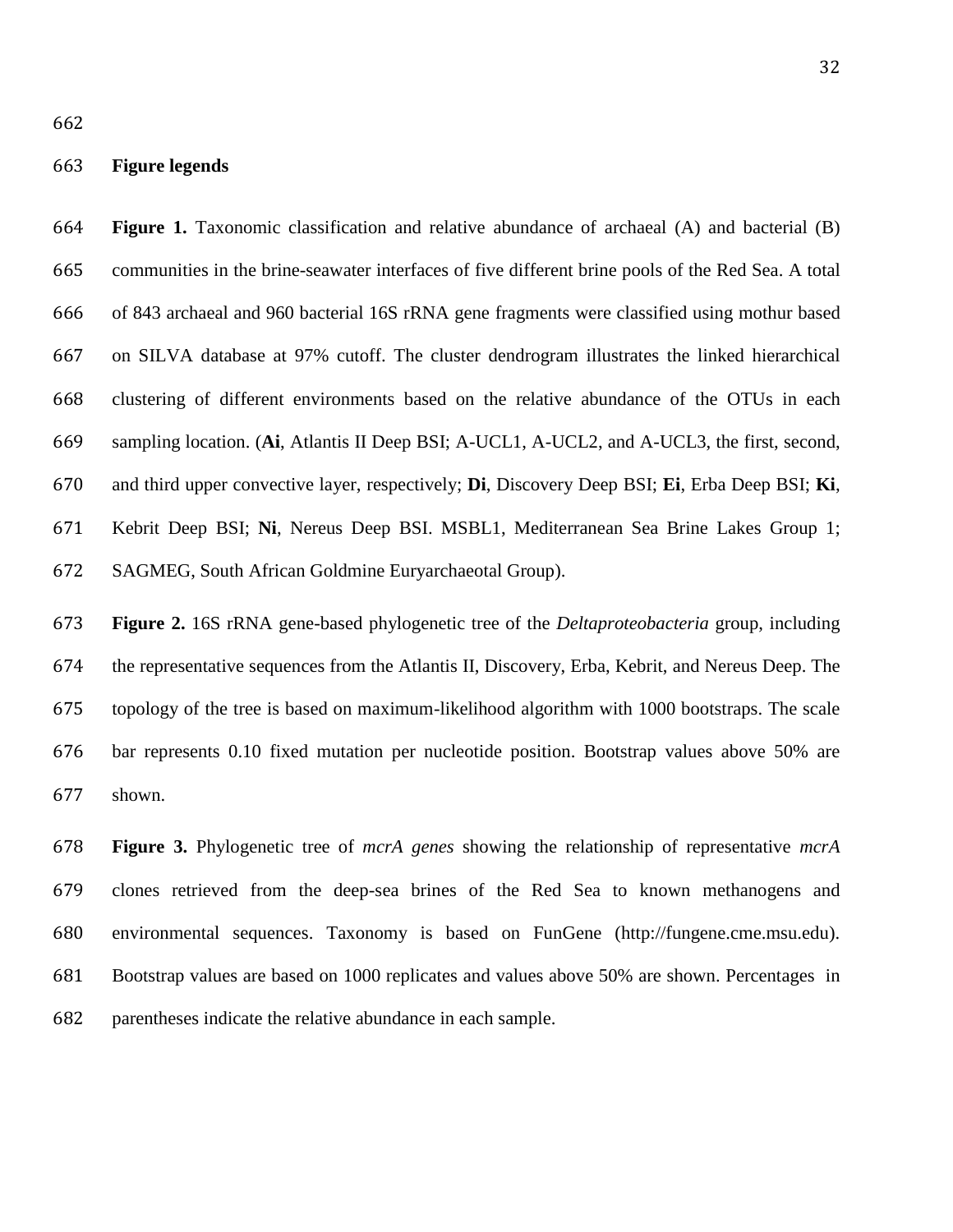#### **Figure legends**

 **Figure 1.** Taxonomic classification and relative abundance of archaeal (A) and bacterial (B) communities in the brine-seawater interfaces of five different brine pools of the Red Sea. A total of 843 archaeal and 960 bacterial 16S rRNA gene fragments were classified using mothur based on SILVA database at 97% cutoff. The cluster dendrogram illustrates the linked hierarchical clustering of different environments based on the relative abundance of the OTUs in each sampling location. (**Ai**, Atlantis II Deep BSI; A-UCL1, A-UCL2, and A-UCL3, the first, second, and third upper convective layer, respectively; **Di**, Discovery Deep BSI; **Ei**, Erba Deep BSI; **Ki**, Kebrit Deep BSI; **Ni**, Nereus Deep BSI. MSBL1, Mediterranean Sea Brine Lakes Group 1; SAGMEG, South African Goldmine Euryarchaeotal Group).

 **Figure 2.** 16S rRNA gene-based phylogenetic tree of the *Deltaproteobacteria* group, including the representative sequences from the Atlantis II, Discovery, Erba, Kebrit, and Nereus Deep. The topology of the tree is based on maximum-likelihood algorithm with 1000 bootstraps. The scale bar represents 0.10 fixed mutation per nucleotide position. Bootstrap values above 50% are shown.

 **Figure 3.** Phylogenetic tree of *mcrA genes* showing the relationship of representative *mcrA* clones retrieved from the deep-sea brines of the Red Sea to known methanogens and environmental sequences. Taxonomy is based on FunGene (http://fungene.cme.msu.edu). Bootstrap values are based on 1000 replicates and values above 50% are shown. Percentages in parentheses indicate the relative abundance in each sample.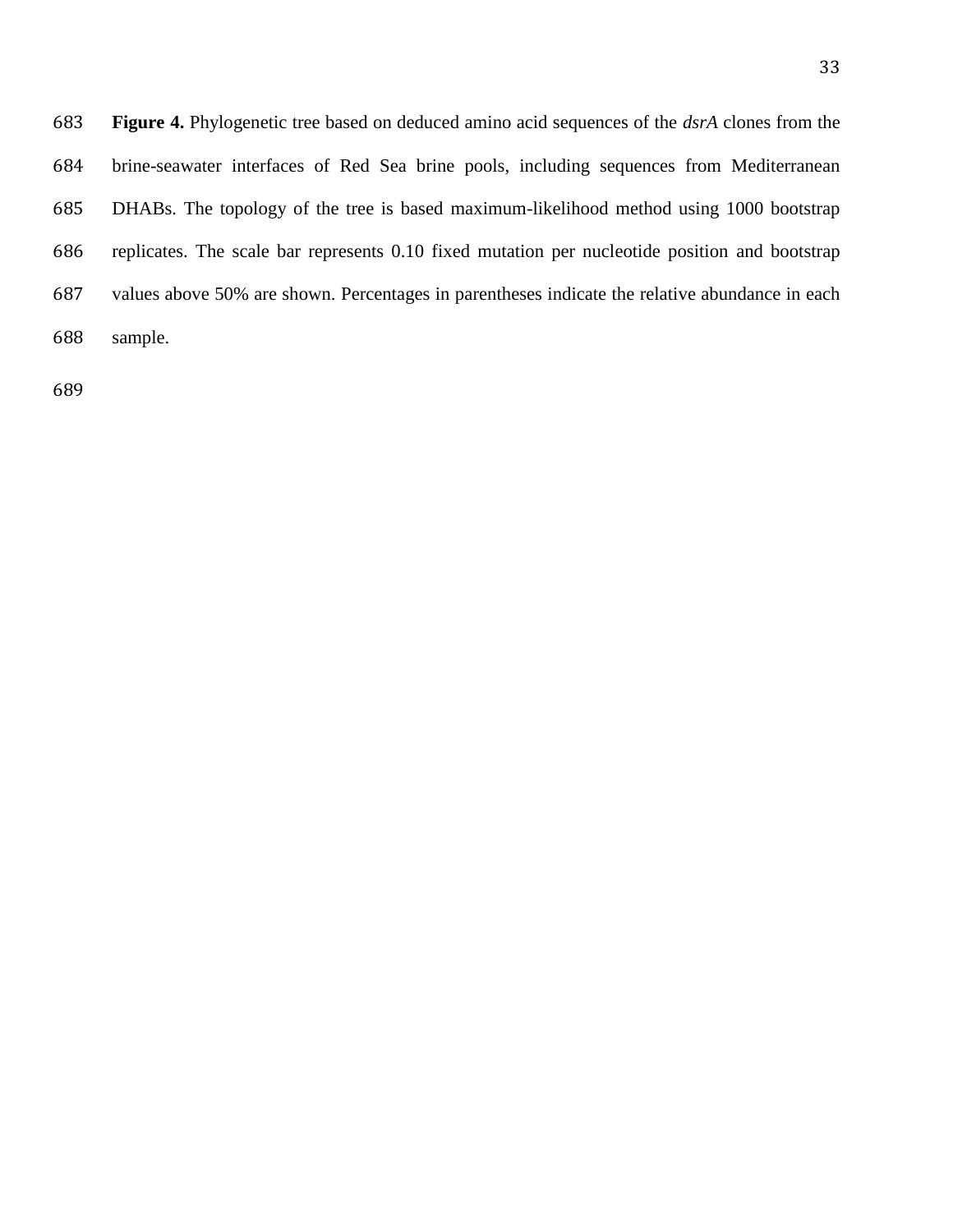**Figure 4.** Phylogenetic tree based on deduced amino acid sequences of the *dsrA* clones from the brine-seawater interfaces of Red Sea brine pools, including sequences from Mediterranean DHABs. The topology of the tree is based maximum-likelihood method using 1000 bootstrap replicates. The scale bar represents 0.10 fixed mutation per nucleotide position and bootstrap values above 50% are shown. Percentages in parentheses indicate the relative abundance in each sample.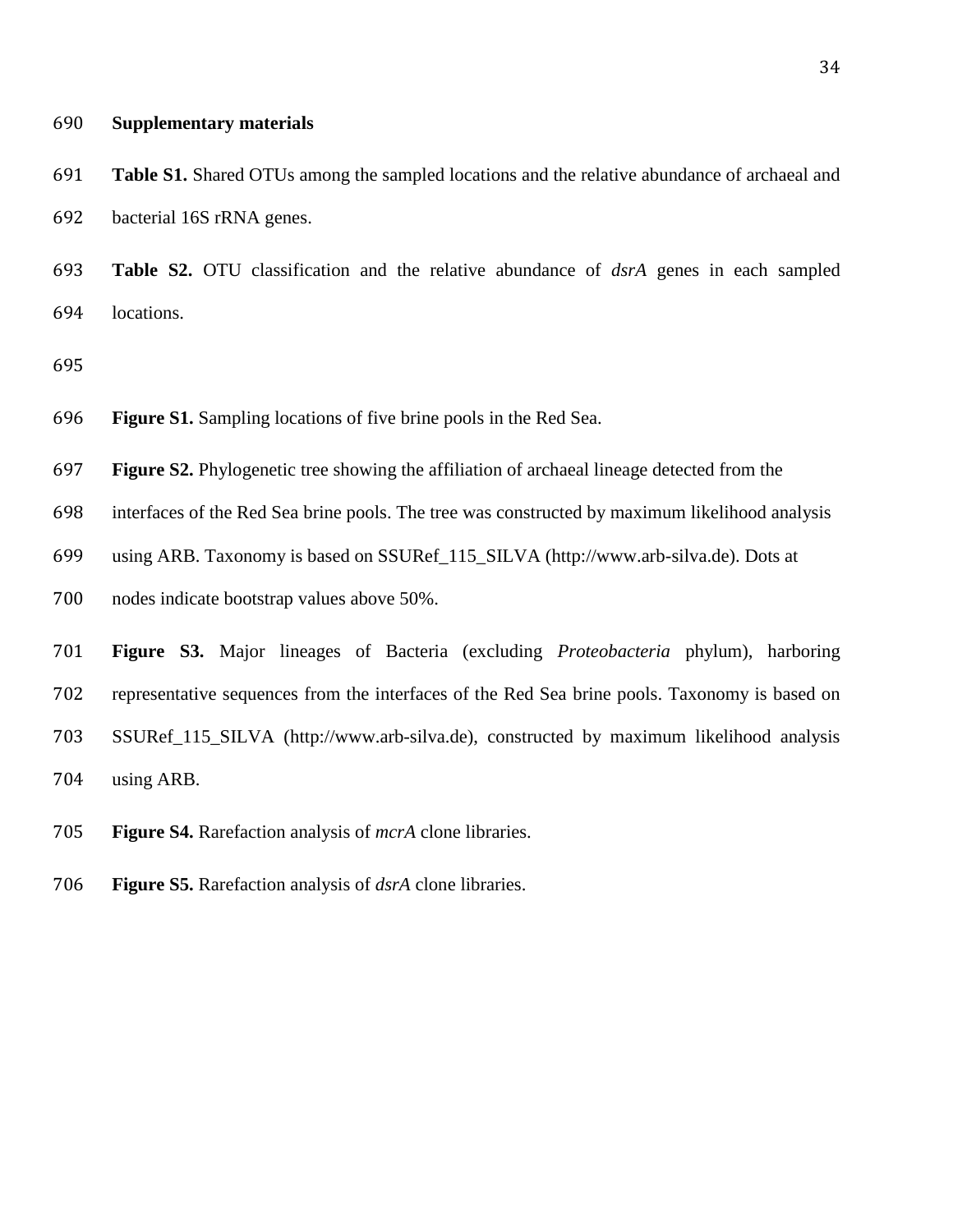#### **Supplementary materials**

 **Table S1.** Shared OTUs among the sampled locations and the relative abundance of archaeal and bacterial 16S rRNA genes.

 **Table S2.** OTU classification and the relative abundance of *dsrA* genes in each sampled locations.

- **Figure S1.** Sampling locations of five brine pools in the Red Sea.
- **Figure S2.** Phylogenetic tree showing the affiliation of archaeal lineage detected from the
- interfaces of the Red Sea brine pools. The tree was constructed by maximum likelihood analysis
- using ARB. Taxonomy is based on SSURef\_115\_SILVA (http://www.arb-silva.de). Dots at
- nodes indicate bootstrap values above 50%.
- **Figure S3.** Major lineages of Bacteria (excluding *Proteobacteria* phylum), harboring representative sequences from the interfaces of the Red Sea brine pools. Taxonomy is based on SSURef\_115\_SILVA (http://www.arb-silva.de), constructed by maximum likelihood analysis using ARB.
- **Figure S4.** Rarefaction analysis of *mcrA* clone libraries.
- **Figure S5.** Rarefaction analysis of *dsrA* clone libraries.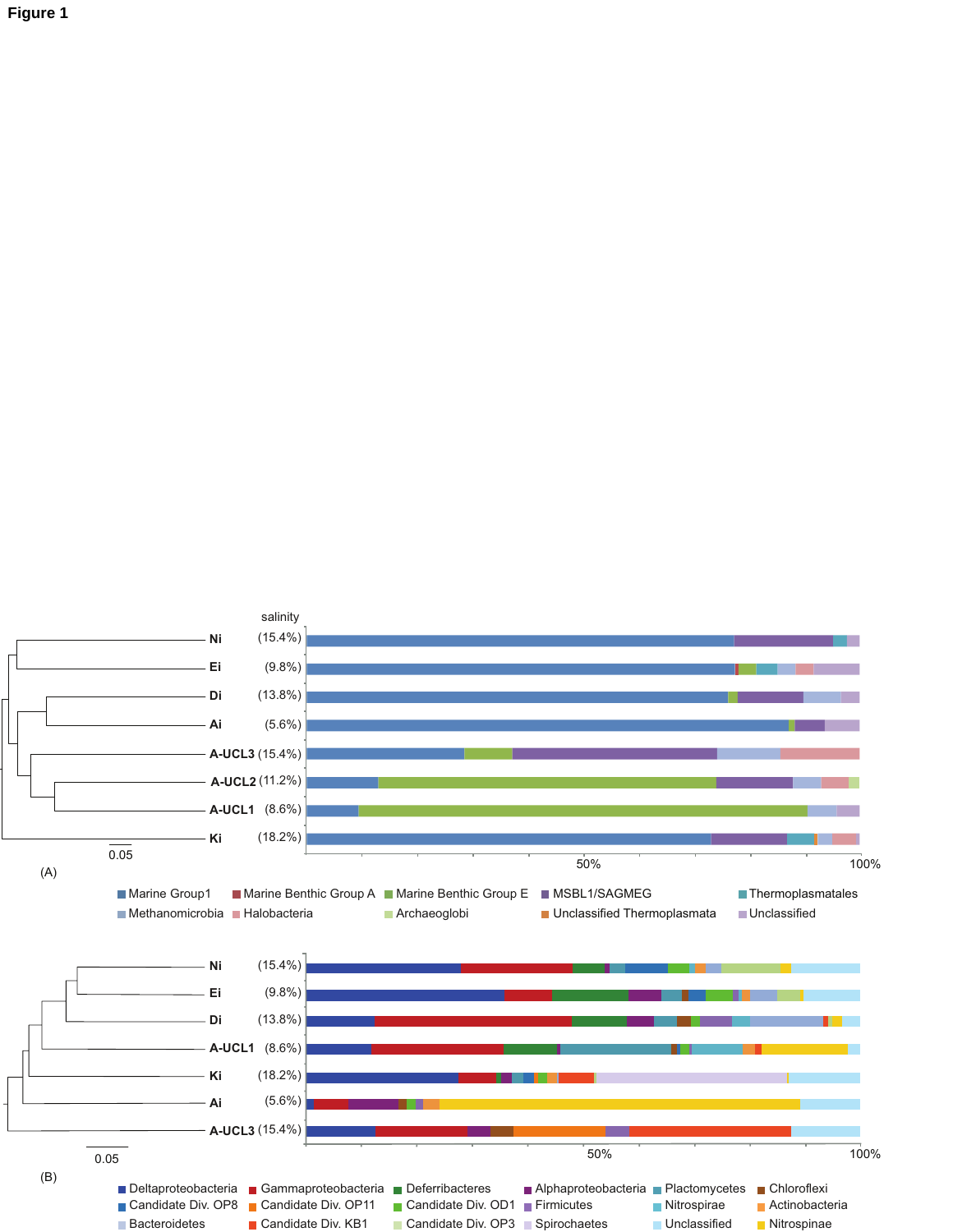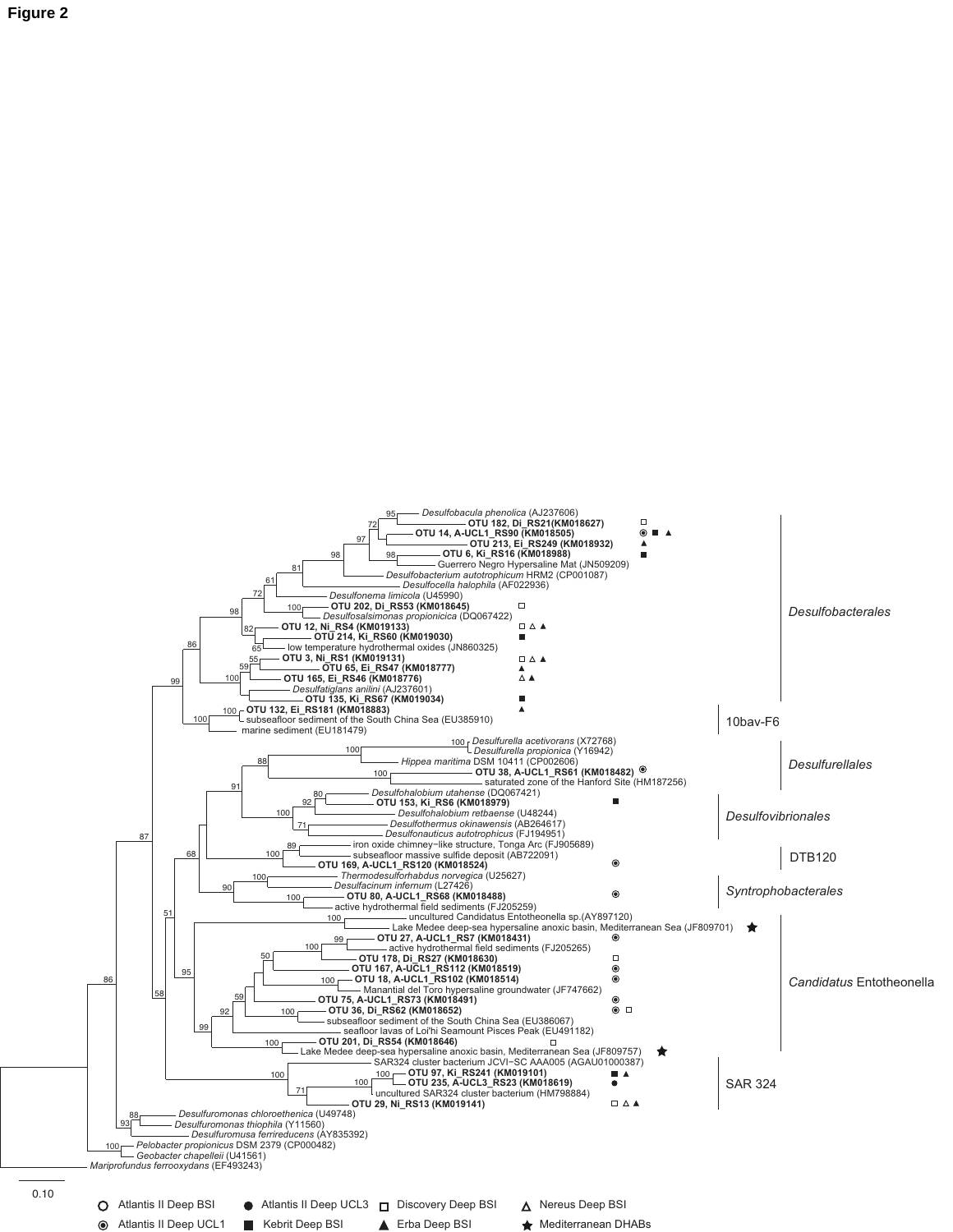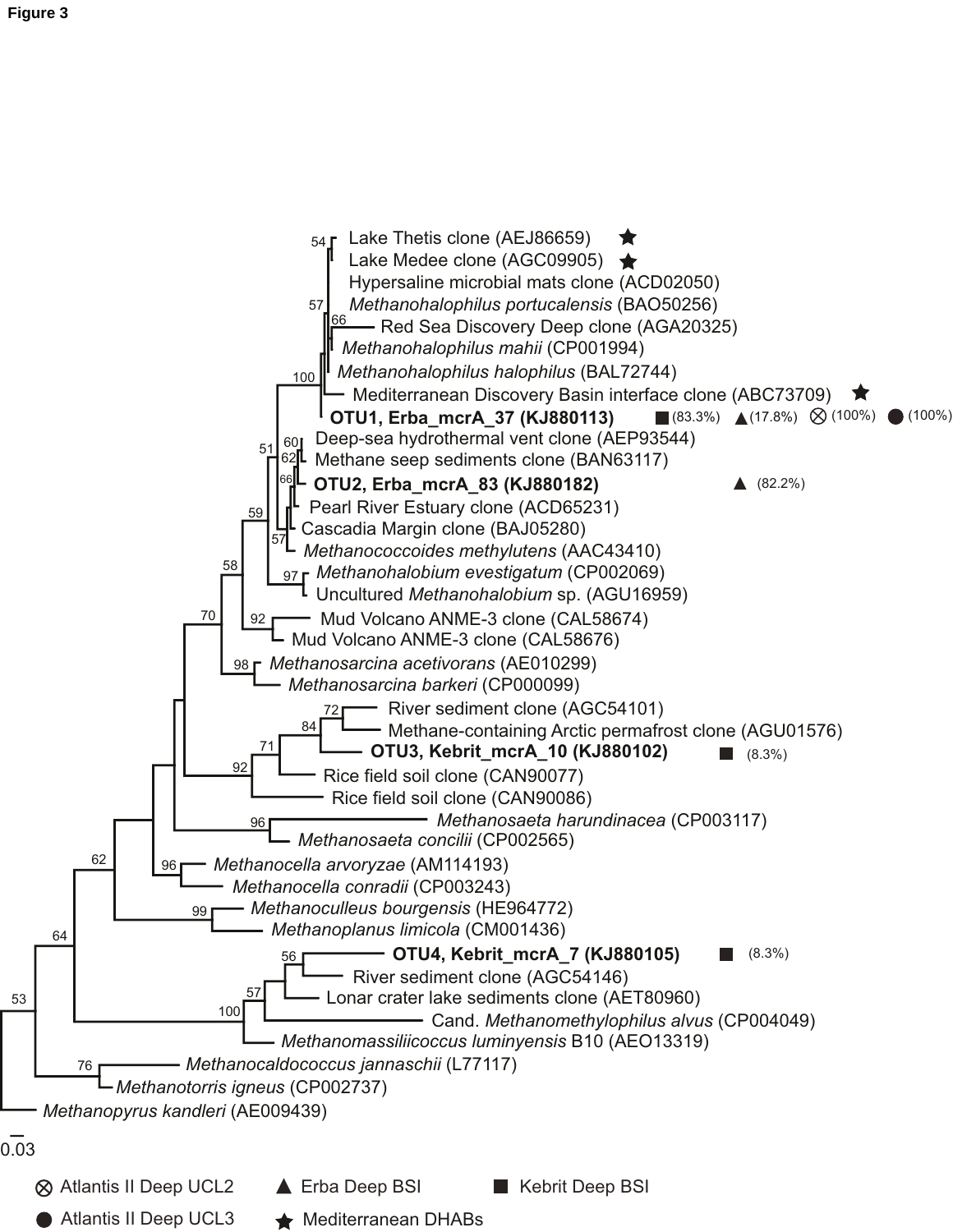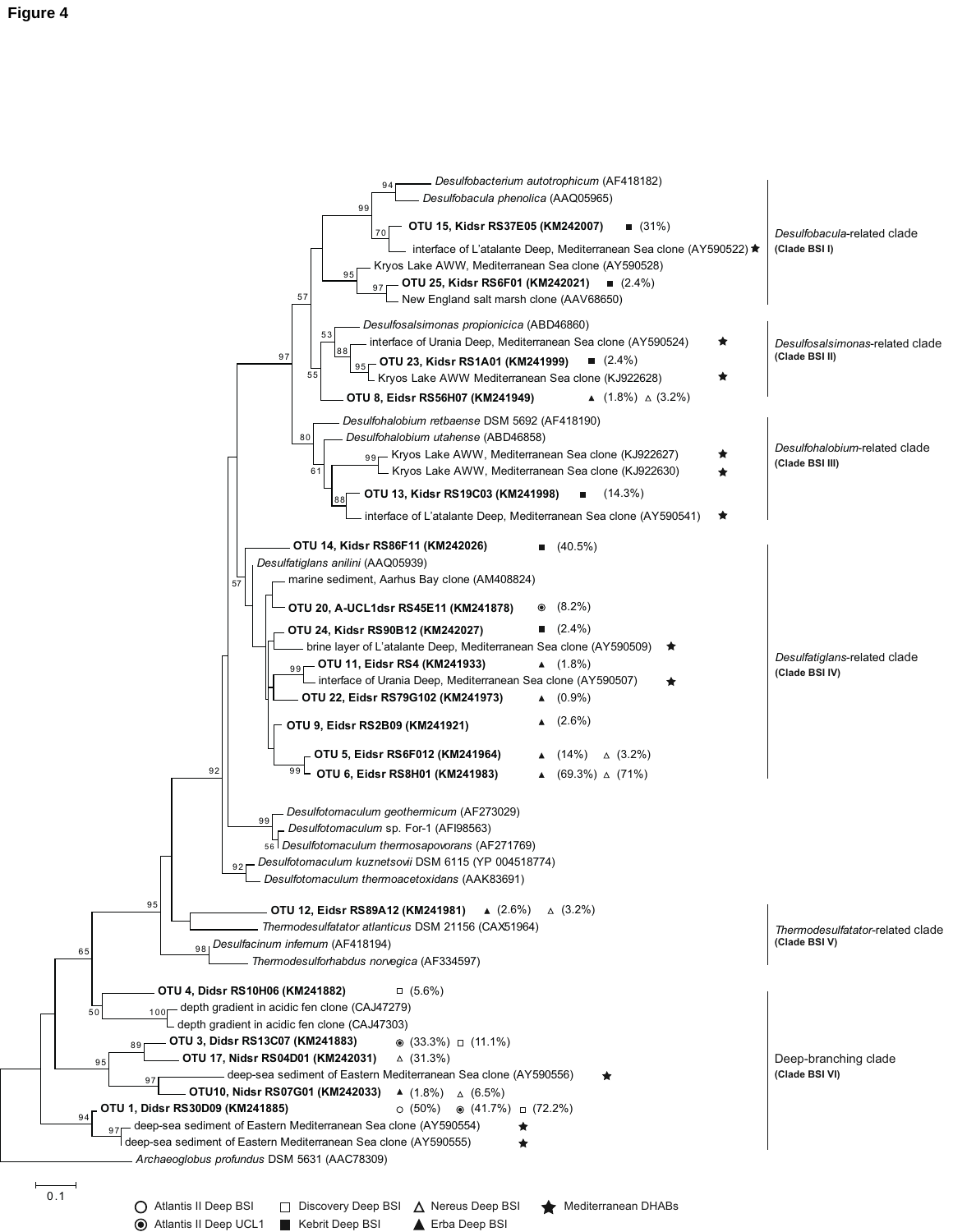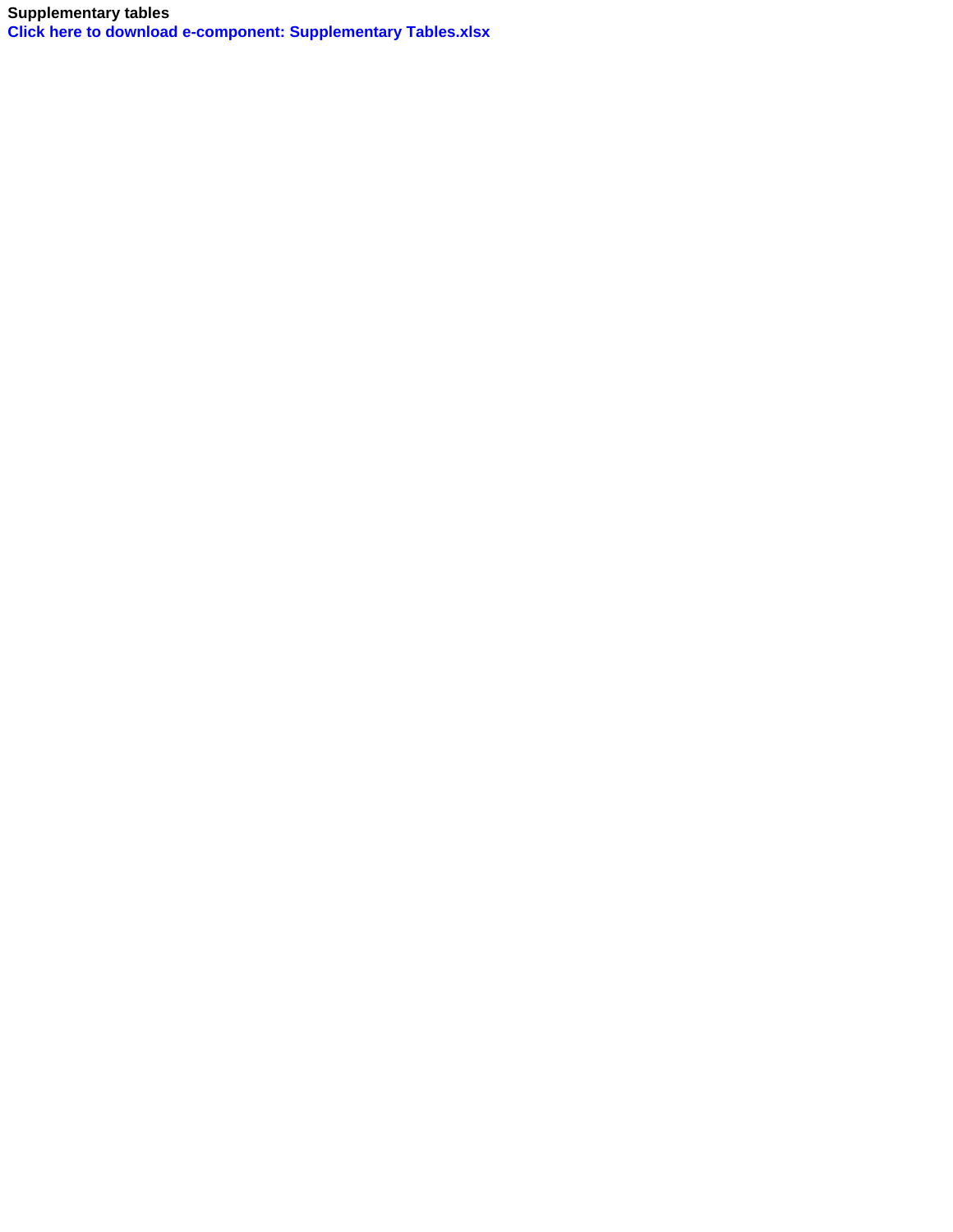**Supplementary tables [Click here to download e-component: Supplementary Tables.xlsx](http://ees.elsevier.com/resmic/download.aspx?id=16050&guid=2942c8a3-627b-49c1-b76c-d2a3726978db&scheme=1)**